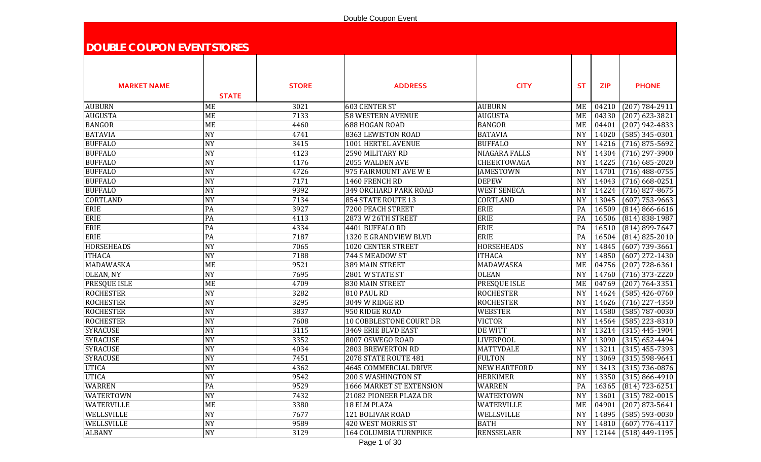## Double Coupon Event

| <b>DOUBLE COUPON EVENT STORES</b> |                          |              |                            |                      |           |                |                                        |
|-----------------------------------|--------------------------|--------------|----------------------------|----------------------|-----------|----------------|----------------------------------------|
|                                   |                          |              |                            |                      |           |                |                                        |
|                                   |                          |              |                            |                      |           |                |                                        |
| <b>MARKET NAME</b>                |                          | <b>STORE</b> | <b>ADDRESS</b>             | <b>CITY</b>          | <b>ST</b> | <b>ZIP</b>     | <b>PHONE</b>                           |
|                                   | <b>STATE</b>             |              |                            |                      |           |                |                                        |
| <b>AUBURN</b>                     |                          | 3021         | <b>603 CENTER ST</b>       | <b>AUBURN</b>        |           |                |                                        |
| <b>AUGUSTA</b>                    | ME<br>ME                 | 7133         | <b>58 WESTERN AVENUE</b>   | <b>AUGUSTA</b>       | ME<br>ME  | 04210<br>04330 | $(207) 784 - 2911$<br>$(207)$ 623-3821 |
| <b>BANGOR</b>                     | ME                       | 4460         | 688 HOGAN ROAD             | <b>BANGOR</b>        | ME        | 04401          | $(207)$ 942-4833                       |
| <b>BATAVIA</b>                    | <b>NY</b>                | 4741         | 8363 LEWISTON ROAD         | <b>BATAVIA</b>       | <b>NY</b> | 14020          | $(585)$ 345-0301                       |
| <b>BUFFALO</b>                    | <b>NY</b>                | 3415         | 1001 HERTEL AVENUE         | <b>BUFFALO</b>       | <b>NY</b> | 14216          | $(716)$ 875-5692                       |
| <b>BUFFALO</b>                    | <b>NY</b>                | 4123         | 2590 MILITARY RD           | <b>NIAGARA FALLS</b> | <b>NY</b> | 14304          | $(716)$ 297-3900                       |
| <b>BUFFALO</b>                    | <b>NY</b>                | 4176         | 2055 WALDEN AVE            | CHEEKTOWAGA          | <b>NY</b> | 14225          | $(716)$ 685-2020                       |
| <b>BUFFALO</b>                    | <b>NY</b>                | 4726         | 975 FAIRMOUNT AVE W E      | <b>JAMESTOWN</b>     | <b>NY</b> | 14701          | $(716)$ 488-0755                       |
| <b>BUFFALO</b>                    | <b>NY</b>                | 7171         | 1460 FRENCH RD             | <b>DEPEW</b>         | <b>NY</b> | 14043          | $(716)$ 668-0251                       |
| <b>BUFFALO</b>                    | <b>NY</b>                | 9392         | 349 ORCHARD PARK ROAD      | <b>WEST SENECA</b>   | <b>NY</b> | 14224          | $(716)$ 827-8675                       |
| <b>CORTLAND</b>                   | <b>NY</b>                | 7134         | 854 STATE ROUTE 13         | <b>CORTLAND</b>      | <b>NY</b> | 13045          | $(607)$ 753-9663                       |
| <b>ERIE</b>                       | PA                       | 3927         | 7200 PEACH STREET          | <b>ERIE</b>          | PA        | 16509          | $(814) 866 - 6616$                     |
| <b>ERIE</b>                       | PA                       | 4113         | 2873 W 26TH STREET         | <b>ERIE</b>          | PA        | 16506          | $(814) 838 - 1987$                     |
| ERIE                              | PA                       | 4334         | 4401 BUFFALO RD            | <b>ERIE</b>          | PA        |                | 16510 (814) 899-7647                   |
| <b>ERIE</b>                       | PA                       | 7187         | 1320 E GRANDVIEW BLVD      | <b>ERIE</b>          | PA        | 16504          | $(814) 825 - 2010$                     |
| <b>HORSEHEADS</b>                 | <b>NY</b>                | 7065         | 1020 CENTER STREET         | <b>HORSEHEADS</b>    | <b>NY</b> | 14845          | $(607)$ 739-3661                       |
| <b>ITHACA</b>                     | <b>NY</b>                | 7188         | 744 S MEADOW ST            | <b>ITHACA</b>        | <b>NY</b> | 14850          | $(607)$ 272-1430                       |
| MADAWASKA                         | <b>ME</b>                | 9521         | 389 MAIN STREET            | MADAWASKA            | <b>ME</b> | 04756          | $(207)$ 728-6361                       |
| OLEAN, NY                         | <b>NY</b>                | 7695         | 2801 W STATE ST            | <b>OLEAN</b>         | <b>NY</b> | 14760          | $(716)$ 373-2220                       |
| PRESQUE ISLE                      | ME                       | 4709         | 830 MAIN STREET            | PRESQUE ISLE         | ME        | 04769          | $(207) 764 - 3351$                     |
| <b>ROCHESTER</b>                  | <b>NY</b>                | 3282         | 810 PAUL RD                | <b>ROCHESTER</b>     | <b>NY</b> | 14624          | $(585)$ 426-0760                       |
| <b>ROCHESTER</b>                  | <b>NY</b>                | 3295         | 3049 W RIDGE RD            | <b>ROCHESTER</b>     | <b>NY</b> | 14626          | $(716)$ 227-4350                       |
| <b>ROCHESTER</b>                  | <b>NY</b>                | 3837         | 950 RIDGE ROAD             | <b>WEBSTER</b>       | <b>NY</b> | 14580          | $(585) 787 - 0030$                     |
| <b>ROCHESTER</b>                  | <b>NY</b>                | 7608         | 10 COBBLESTONE COURT DR    | <b>VICTOR</b>        | <b>NY</b> | 14564          | $(585)$ 223-8310                       |
| <b>SYRACUSE</b>                   | <b>NY</b>                | 3115         | 3469 ERIE BLVD EAST        | DE WITT              | <b>NY</b> | 13214          | $(315)$ 445-1904                       |
| <b>SYRACUSE</b>                   | <b>NY</b>                | 3352         | 8007 OSWEGO ROAD           | <b>LIVERPOOL</b>     | <b>NY</b> | 13090          | $(315) 652 - 4494$                     |
| <b>SYRACUSE</b>                   | <b>NY</b>                | 4034         | 2803 BREWERTON RD          | <b>MATTYDALE</b>     | <b>NY</b> | 13211          | $(315)$ 455-7393                       |
| <b>SYRACUSE</b>                   | <b>NY</b>                | 7451         | 2078 STATE ROUTE 481       | <b>FULTON</b>        | <b>NY</b> |                | 13069 (315) 598-9641                   |
| <b>UTICA</b>                      | <b>NY</b>                | 4362         | 4645 COMMERCIAL DRIVE      | <b>NEW HARTFORD</b>  | NY        |                | 13413 (315) 736-0876                   |
| <b>UTICA</b>                      | <b>NY</b>                | 9542         | <b>200 S WASHINGTON ST</b> | <b>HERKIMER</b>      | <b>NY</b> |                | 13350 (315) 866-4910                   |
| <b>WARREN</b>                     | PA                       | 9529         | 1666 MARKET ST EXTENSION   | <b>WARREN</b>        | PA        |                | 16365 (814) 723-6251                   |
| <b>WATERTOWN</b>                  | <b>NY</b>                | 7432         | 21082 PIONEER PLAZA DR     | WATERTOWN            | <b>NY</b> | 13601          | $(315) 782 - 0015$                     |
| <b>WATERVILLE</b>                 | ME                       | 3380         | 18 ELM PLAZA               | WATERVILLE           | ME        | 04901          | $(207)$ 873-5641                       |
| WELLSVILLE                        | <b>NY</b>                | 7677         | 121 BOLIVAR ROAD           | WELLSVILLE           | <b>NY</b> | 14895          | $(585) 593 - 0030$                     |
| WELLSVILLE                        | $\ensuremath{\text{NY}}$ | 9589         | 420 WEST MORRIS ST         | <b>BATH</b>          | <b>NY</b> | 14810          | $(607)$ 776-4117                       |
| <b>ALBANY</b>                     | <b>NY</b>                | 3129         | 164 COLUMBIA TURNPIKE      | <b>RENSSELAER</b>    | <b>NY</b> |                | 12144   (518) 449-1195                 |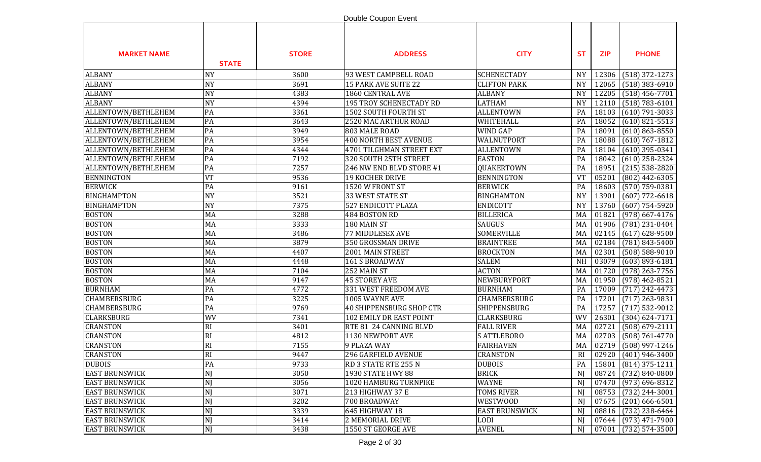|                       |              |              | Double Coupon Event             |                       |           |            |                                    |
|-----------------------|--------------|--------------|---------------------------------|-----------------------|-----------|------------|------------------------------------|
| <b>MARKET NAME</b>    | <b>STATE</b> | <b>STORE</b> | <b>ADDRESS</b>                  | <b>CITY</b>           | <b>ST</b> | <b>ZIP</b> | <b>PHONE</b>                       |
| <b>ALBANY</b>         | <b>NY</b>    | 3600         | 93 WEST CAMPBELL ROAD           | <b>SCHENECTADY</b>    | <b>NY</b> | 12306      | $(518)$ 372-1273                   |
| <b>ALBANY</b>         | <b>NY</b>    | 3691         | 15 PARK AVE SUITE 22            | <b>CLIFTON PARK</b>   | <b>NY</b> | 12065      | $(518)$ 383-6910                   |
| <b>ALBANY</b>         | <b>NY</b>    | 4383         | 1860 CENTRAL AVE                | <b>ALBANY</b>         | <b>NY</b> | 12205      | $(518)$ 456-7701                   |
| <b>ALBANY</b>         | <b>NY</b>    | 4394         | 195 TROY SCHENECTADY RD         | <b>LATHAM</b>         | <b>NY</b> | 12110      | $(518) 783 - 6101$                 |
| ALLENTOWN/BETHLEHEM   | PA           | 3361         | 1502 SOUTH FOURTH ST            | <b>ALLENTOWN</b>      | PA        | 18103      | $(610)$ 791-3033                   |
| ALLENTOWN/BETHLEHEM   | PA           | 3643         | 2520 MAC ARTHUR ROAD            | WHITEHALL             | PA        | 18052      | $(610)$ 821-5513                   |
| ALLENTOWN/BETHLEHEM   | PA           | 3949         | 803 MALE ROAD                   | WIND GAP              | PA        | 18091      | $(610) 863 - 8550$                 |
| ALLENTOWN/BETHLEHEM   | PA           | 3954         | <b>400 NORTH BEST AVENUE</b>    | WALNUTPORT            | PA        | 18088      | $(610) 767 - 1812$                 |
| ALLENTOWN/BETHLEHEM   | PA           | 4344         | 4701 TILGHMAN STREET EXT        | <b>ALLENTOWN</b>      | PA        | 18104      | $(610)$ 395-0341                   |
| ALLENTOWN/BETHLEHEM   | PA           | 7192         | 320 SOUTH 25TH STREET           | <b>EASTON</b>         | PA        | 18042      | $(610)$ 258-2324                   |
| ALLENTOWN/BETHLEHEM   | PA           | 7257         | 246 NW END BLVD STORE #1        | QUAKERTOWN            | PA        | 18951      | $(215)$ 538-2820                   |
| <b>BENNINGTON</b>     | <b>VT</b>    | 9536         | 19 KOCHER DRIVE                 | <b>BENNINGTON</b>     | <b>VT</b> | 05201      | $(802)$ 442-6305                   |
| <b>BERWICK</b>        | PA           | 9161         | 1520 W FRONT ST                 | <b>BERWICK</b>        | PA        | 18603      | $(570) 759 - 0381$                 |
| <b>BINGHAMPTON</b>    | <b>NY</b>    | 3521         | 33 WEST STATE ST                | <b>BINGHAMTON</b>     | <b>NY</b> | 13901      | $(607)$ 772-6618                   |
| <b>BINGHAMPTON</b>    | <b>NY</b>    | 7375         | <b>527 ENDICOTT PLAZA</b>       | <b>ENDICOTT</b>       | <b>NY</b> | 13760      | $(607)$ 754-5920                   |
| <b>BOSTON</b>         | MA           | 3288         | 484 BOSTON RD                   | <b>BILLERICA</b>      | MA        | 01821      | $(978)$ 667-4176                   |
| <b>BOSTON</b>         | MA           | 3333         | 180 MAIN ST                     | SAUGUS                | MA        | 01906      | $(781)$ 231-0404                   |
| <b>BOSTON</b>         | MA           | 3486         | 77 MIDDLESEX AVE                | SOMERVILLE            | MA        | 02145      | $(617) 628 - 9500$                 |
| <b>BOSTON</b>         | MA           | 3879         | 350 GROSSMAN DRIVE              | <b>BRAINTREE</b>      | MA        | 02184      | $(781) 843 - 5400$                 |
| <b>BOSTON</b>         | MA           | 4407         | 2001 MAIN STREET                | <b>BROCKTON</b>       | MA        | 02301      | $(508) 588 - 9010$                 |
| <b>BOSTON</b>         | MA           | 4448         | 161 S BROADWAY                  | <b>SALEM</b>          | <b>NH</b> | 03079      | $(603) 893 - 6181$                 |
| <b>BOSTON</b>         | MA           | 7104         | 252 MAIN ST                     | <b>ACTON</b>          | MA        | 01720      | $(978)$ 263-7756                   |
| <b>BOSTON</b>         | MA           | 9147         | <b>45 STOREY AVE</b>            | NEWBURYPORT           | MA        | 01950      | $(978)$ 462-8521                   |
| <b>BURNHAM</b>        | PA           | 4772         | 331 WEST FREEDOM AVE            | <b>BURNHAM</b>        | PA        | 17009      | $(717)$ 242-4473                   |
| <b>CHAMBERSBURG</b>   | PA           | 3225         | 1005 WAYNE AVE                  | CHAMBERSBURG          | PA        | 17201      | $(717)$ 263-9831                   |
| <b>CHAMBERSBURG</b>   | PA           | 9769         | <b>40 SHIPPENSBURG SHOP CTR</b> | SHIPPENSBURG          | PA        | 17257      | $(717)$ 532-9012                   |
| <b>CLARKSBURG</b>     | WV           | 7341         | 102 EMILY DR EAST POINT         | <b>CLARKSBURG</b>     | WV        | 26301      | $(304) 624 - 7171$                 |
| <b>CRANSTON</b>       | RI           | 3401         | RTE 81 24 CANNING BLVD          | <b>FALL RIVER</b>     | MA        | 02721      | $(508) 679 - 2111$                 |
| <b>CRANSTON</b>       | RI           | 4812         | 1130 NEWPORT AVE                | <b>S ATTLEBORO</b>    | MA        | 02703      | $(508) 761 - 4770$                 |
| <b>CRANSTON</b>       | RI           | 7155         | 9 PLAZA WAY                     | <b>FAIRHAVEN</b>      | MA        | 02719      | $(508)$ 997-1246                   |
| <b>CRANSTON</b>       | RI           | 9447         | 296 GARFIELD AVENUE             | CRANSTON              | RI        |            | $\boxed{02920   (401) 946 - 3400}$ |
| <b>DUBOIS</b>         | PA           | 9733         | RD 3 STATE RTE 255 N            | <b>DUBOIS</b>         | PA        |            | 15801 (814) 375-1211               |
| <b>EAST BRUNSWICK</b> | NJ           | 3050         | 1930 STATE HWY 88               | <b>BRICK</b>          | NJ        | 08724      | $(732) 840 - 0800$                 |
| <b>EAST BRUNSWICK</b> | NJ           | 3056         | 1020 HAMBURG TURNPIKE           | <b>WAYNE</b>          | NJ        | 07470      | $(973) 696 - 8312$                 |
| <b>EAST BRUNSWICK</b> | NJ           | 3071         | 213 HIGHWAY 37 E                | <b>TOMS RIVER</b>     | N)        | 08753      | $(732)$ 244-3001                   |
| <b>EAST BRUNSWICK</b> | NJ           | 3202         | 700 BROADWAY                    | <b>WESTWOOD</b>       | N)        | 07675      | $(201)$ 666-6501                   |
| <b>EAST BRUNSWICK</b> | NJ           | 3339         | 645 HIGHWAY 18                  | <b>EAST BRUNSWICK</b> | N)        | 08816      | (732) 238-6464                     |
| <b>EAST BRUNSWICK</b> | NJ           | 3414         | 2 MEMORIAL DRIVE                | <b>LODI</b>           | NJ        |            | $07644$ (973) 471-7900             |
| <b>EAST BRUNSWICK</b> | NJ           | 3438         | 1550 ST GEORGE AVE              | <b>AVENEL</b>         | NJ        |            | $07001$ (732) 574-3500             |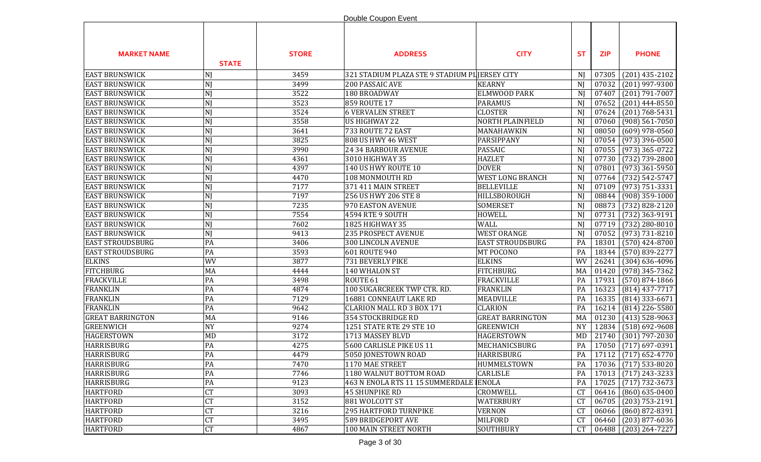|                         |                |              | Double Coupon Event                            |                         |                |            |                                       |
|-------------------------|----------------|--------------|------------------------------------------------|-------------------------|----------------|------------|---------------------------------------|
| <b>MARKET NAME</b>      | <b>STATE</b>   | <b>STORE</b> | <b>ADDRESS</b>                                 | <b>CITY</b>             | <b>ST</b>      | <b>ZIP</b> | <b>PHONE</b>                          |
| <b>EAST BRUNSWICK</b>   | NJ             | 3459         | 321 STADIUM PLAZA STE 9 STADIUM PI JERSEY CITY |                         | NJ             | 07305      | $(201)$ 435-2102                      |
| <b>EAST BRUNSWICK</b>   | NJ             | 3499         | 200 PASSAIC AVE                                | <b>KEARNY</b>           | NJ             | 07032      | $(201)$ 997-9300                      |
| <b>EAST BRUNSWICK</b>   | N <sub>I</sub> | 3522         | 180 BROADWAY                                   | ELMWOOD PARK            | N)             | 07407      | $(201) 791 - 7007$                    |
| <b>EAST BRUNSWICK</b>   | NJ             | 3523         | 859 ROUTE 17                                   | <b>PARAMUS</b>          | N)             | 07652      | $(201)$ 444-8550                      |
| <b>EAST BRUNSWICK</b>   | NJ             | 3524         | <b>6 VERVALEN STREET</b>                       | <b>CLOSTER</b>          | N <sub>I</sub> | 07624      | $(201) 768 - 5431$                    |
| <b>EAST BRUNSWICK</b>   | NJ             | 3558         | US HIGHWAY 22                                  | NORTH PLAINFIELD        | N <sub>J</sub> | 07060      | $(908) 561 - 7050$                    |
| <b>EAST BRUNSWICK</b>   | NJ             | 3641         | 733 ROUTE 72 EAST                              | MANAHAWKIN              | N              | 08050      | $(609)$ 978-0560                      |
| <b>EAST BRUNSWICK</b>   | NJ             | 3825         | 808 US HWY 46 WEST                             | PARSIPPANY              | N              | 07054      | $(973)$ 396-0500                      |
| <b>EAST BRUNSWICK</b>   | NJ             | 3990         | 24 34 BARBOUR AVENUE                           | <b>PASSAIC</b>          | N)             | 07055      | $(973)$ 365-0722                      |
| <b>EAST BRUNSWICK</b>   | NJ             | 4361         | 3010 HIGHWAY 35                                | <b>HAZLET</b>           | N)             | 07730      | $(732) 739 - 2800$                    |
| <b>EAST BRUNSWICK</b>   | NJ             | 4397         | 140 US HWY ROUTE 10                            | <b>DOVER</b>            | N)             | 07801      | $(973)$ 361-5950                      |
| <b>EAST BRUNSWICK</b>   | NJ             | 4470         | 108 MONMOUTH RD                                | <b>WEST LONG BRANCH</b> | N              | 07764      | $(732) 542 - 5747$                    |
| <b>EAST BRUNSWICK</b>   | NJ             | 7177         | 371 411 MAIN STREET                            | <b>BELLEVILLE</b>       | NJ             | 07109      | $(973) 751 - 3331$                    |
| <b>EAST BRUNSWICK</b>   | NJ             | 7197         | 256 US HWY 206 STE 8                           | HILLSBOROUGH            | N)             | 08844      | $(908)$ 359-1000                      |
| <b>EAST BRUNSWICK</b>   | NJ             | 7235         | 970 EASTON AVENUE                              | <b>SOMERSET</b>         | N <sub>J</sub> | 08873      | $(732) 828 - 2120$                    |
| <b>EAST BRUNSWICK</b>   | NJ             | 7554         | 4594 RTE 9 SOUTH                               | <b>HOWELL</b>           | NJ             | 07731      | (732) 363-9191                        |
| <b>EAST BRUNSWICK</b>   | NJ             | 7602         | 1825 HIGHWAY 35                                | <b>WALL</b>             | NJ             | 07719      | $(732)$ 280-8010                      |
| <b>EAST BRUNSWICK</b>   | NJ             | 9413         | <b>235 PROSPECT AVENUE</b>                     | <b>WEST ORANGE</b>      | NJ             | 07052      | $(973) 731 - 8210$                    |
| <b>EAST STROUDSBURG</b> | PA             | 3406         | 300 LINCOLN AVENUE                             | <b>EAST STROUDSBURG</b> | PA             | 18301      | $(570)$ 424-8700                      |
| <b>EAST STROUDSBURG</b> | PA             | 3593         | 601 ROUTE 940                                  | MT POCONO               | PA             | 18344      | $(570) 839 - 2277$                    |
| <b>ELKINS</b>           | WV             | 3877         | 731 BEVERLY PIKE                               | <b>ELKINS</b>           | WV             | 26241      | $(304)$ 636-4096                      |
| <b>FITCHBURG</b>        | MA             | 4444         | 140 WHALON ST                                  | <b>FITCHBURG</b>        | MA             | 01420      | $(978)$ 345-7362                      |
| <b>FRACKVILLE</b>       | PA             | 3498         | ROUTE <sub>61</sub>                            | <b>FRACKVILLE</b>       | PA             | 17931      | $(570)$ 874-1866                      |
| <b>FRANKLIN</b>         | PA             | 4874         | 100 SUGARCREEK TWP CTR. RD.                    | <b>FRANKLIN</b>         | PA             | 16323      | $(814)$ 437-7717                      |
| <b>FRANKLIN</b>         | PA             | 7129         | 16881 CONNEAUT LAKE RD                         | <b>MEADVILLE</b>        | PA             | 16335      | $(814)$ 333-6671                      |
| <b>FRANKLIN</b>         | PA             | 9642         | <b>CLARION MALL RD 3 BOX 171</b>               | <b>CLARION</b>          | PA             | 16214      | $(814)$ 226-5580                      |
| <b>GREAT BARRINGTON</b> | MA             | 9146         | 354 STOCKBRIDGE RD                             | <b>GREAT BARRINGTON</b> | MA             | 01230      | $(413)$ 528-9063                      |
| <b>GREENWICH</b>        | <b>NY</b>      | 9274         | 1251 STATE RTE 29 STE 10                       | <b>GREENWICH</b>        | <b>NY</b>      | 12834      | $(518) 692 - 9608$                    |
| <b>HAGERSTOWN</b>       | MD             | 3172         | 1713 MASSEY BLVD                               | <b>HAGERSTOWN</b>       | MD             | 21740      | $(301)$ 797-2030                      |
| <b>HARRISBURG</b>       | PA             | 4275         | 5600 CARLISLE PIKE US 11                       | MECHANICSBURG           | PA             | 17050      | $(717)$ 697-0391                      |
| <b>HARRISBURG</b>       | $\mathsf{PA}$  | 4479         | 5050 JONESTOWN ROAD                            | <b>HARRISBURG</b>       | PA             |            | $\boxed{17112 \mid (717) 652 - 4770}$ |
| <b>HARRISBURG</b>       | PA             | 7470         | 1170 MAE STREET                                | HUMMELSTOWN             | PA             | 17036      | $(717)$ 533-8020                      |
| <b>HARRISBURG</b>       | PA             | 7746         | 1180 WALNUT BOTTOM ROAD                        | <b>CARLISLE</b>         | PA             | 17013      | $(717)$ 243-3233                      |
| <b>HARRISBURG</b>       | PA             | 9123         | 463 N ENOLA RTS 11 15 SUMMERDALE ENOLA         |                         | PA             | 17025      | $(717) 732 - 3673$                    |
| <b>HARTFORD</b>         | <b>CT</b>      | 3093         | 45 SHUNPIKE RD                                 | CROMWELL                | <b>CT</b>      | 06416      | $(860) 635 - 0400$                    |
| <b>HARTFORD</b>         | <b>CT</b>      | 3152         | 881 WOLCOTT ST                                 | WATERBURY               | <b>CT</b>      | 06705      | $(203) 753 - 2191$                    |
| <b>HARTFORD</b>         | <b>CT</b>      | 3216         | 295 HARTFORD TURNPIKE                          | <b>VERNON</b>           | <b>CT</b>      | 06066      | $(860) 872 - 8391$                    |
| <b>HARTFORD</b>         | CT             | 3495         | <b>589 BRIDGEPORT AVE</b>                      | <b>MILFORD</b>          | <b>CT</b>      | 06460      | $(203)$ 877-6036                      |
| <b>HARTFORD</b>         | CT             | 4867         | 100 MAIN STREET NORTH                          | SOUTHBURY               | <b>CT</b>      | 06488      | $(203) 264 - 7227$                    |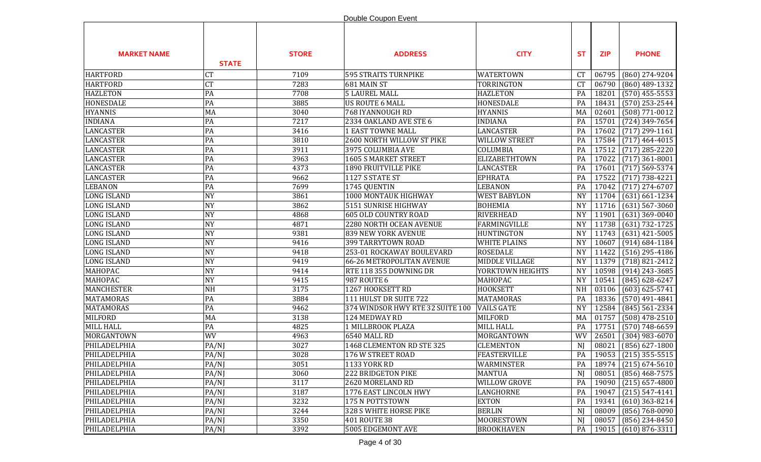|                    |              |              | Double Coupon Event              |                      |           |            |                              |
|--------------------|--------------|--------------|----------------------------------|----------------------|-----------|------------|------------------------------|
| <b>MARKET NAME</b> | <b>STATE</b> | <b>STORE</b> | <b>ADDRESS</b>                   | <b>CITY</b>          | <b>ST</b> | <b>ZIP</b> | <b>PHONE</b>                 |
| <b>HARTFORD</b>    | <b>CT</b>    | 7109         | <b>595 STRAITS TURNPIKE</b>      | <b>WATERTOWN</b>     | <b>CT</b> | 06795      | (860) 274-9204               |
| <b>HARTFORD</b>    | <b>CT</b>    | 7283         | 681 MAIN ST                      | TORRINGTON           | CT        | 06790      | $(860)$ 489-1332             |
| <b>HAZLETON</b>    | PA           | 7708         | <b>5 LAUREL MALL</b>             | <b>HAZLETON</b>      | PA        | 18201      | $(570)$ 455-5553             |
| <b>HONESDALE</b>   | PA           | 3885         | <b>US ROUTE 6 MALL</b>           | HONESDALE            | PA        | 18431      | $(570)$ 253-2544             |
| <b>HYANNIS</b>     | MA           | 3040         | 768 IYANNOUGH RD                 | <b>HYANNIS</b>       | MA        | 02601      | $(508) 771 - 0012$           |
| <b>INDIANA</b>     | PA           | 7217         | 2334 OAKLAND AVE STE 6           | <b>INDIANA</b>       | PA        | 15701      | $(724)$ 349-7654             |
| <b>LANCASTER</b>   | PA           | 3416         | <b>1 EAST TOWNE MALL</b>         | LANCASTER            | PA        | 17602      | $(717)$ 299-1161             |
| <b>LANCASTER</b>   | PA           | 3810         | 2600 NORTH WILLOW ST PIKE        | <b>WILLOW STREET</b> | PA        | 17584      | $(717)$ 464-4015             |
| <b>LANCASTER</b>   | PA           | 3911         | 3975 COLUMBIA AVE                | COLUMBIA             | PA        | 17512      | $(717)$ 285-2220             |
| <b>LANCASTER</b>   | PA           | 3963         | 1605 S MARKET STREET             | ELIZABETHTOWN        | PA        | 17022      | $(717)$ 361-8001             |
| <b>LANCASTER</b>   | PA           | 4373         | 1890 FRUITVILLE PIKE             | <b>LANCASTER</b>     | PA        | 17601      | $(717) 569 - 5374$           |
| <b>LANCASTER</b>   | PA           | 9662         | 1127 S STATE ST                  | <b>EPHRATA</b>       | PA        | 17522      | $(717) 738 - 4221$           |
| <b>LEBANON</b>     | PA           | 7699         | 1745 QUENTIN                     | <b>LEBANON</b>       | PA        | 17042      | $(717)$ 274-6707             |
| <b>LONG ISLAND</b> | <b>NY</b>    | 3861         | 1000 MONTAUK HIGHWAY             | <b>WEST BABYLON</b>  | <b>NY</b> | 11704      | $(631) 661 - 1234$           |
| <b>LONG ISLAND</b> | <b>NY</b>    | 3862         | 5151 SUNRISE HIGHWAY             | <b>BOHEMIA</b>       | <b>NY</b> | 11716      | $(631)$ 567-3060             |
| <b>LONG ISLAND</b> | <b>NY</b>    | 4868         | <b>605 OLD COUNTRY ROAD</b>      | <b>RIVERHEAD</b>     | <b>NY</b> | 11901      | $(631)$ 369-0040             |
| <b>LONG ISLAND</b> | <b>NY</b>    | 4871         | 2280 NORTH OCEAN AVENUE          | <b>FARMINGVILLE</b>  | <b>NY</b> | 11738      | $(631) 732 - 1725$           |
| <b>LONG ISLAND</b> | <b>NY</b>    | 9381         | <b>839 NEW YORK AVENUE</b>       | <b>HUNTINGTON</b>    | <b>NY</b> | 11743      | $(631)$ 421-5005             |
| <b>LONG ISLAND</b> | <b>NY</b>    | 9416         | 399 TARRYTOWN ROAD               | <b>WHITE PLAINS</b>  | <b>NY</b> | 10607      | $(914) 684 - 1184$           |
| <b>LONG ISLAND</b> | <b>NY</b>    | 9418         | 253-01 ROCKAWAY BOULEVARD        | <b>ROSEDALE</b>      | <b>NY</b> | 11422      | $(516)$ 295-4186             |
| <b>LONG ISLAND</b> | <b>NY</b>    | 9419         | 66-26 METROPOLITAN AVENUE        | MIDDLE VILLAGE       | <b>NY</b> | 11379      | $(718) 821 - 2412$           |
| MAHOPAC            | <b>NY</b>    | 9414         | RTE 118 355 DOWNING DR           | YORKTOWN HEIGHTS     | <b>NY</b> | 10598      | $(914)$ 243-3685             |
| MAHOPAC            | <b>NY</b>    | 9415         | 987 ROUTE 6                      | MAHOPAC              | <b>NY</b> | 10541      | $(845) 628 - 6247$           |
| <b>MANCHESTER</b>  | <b>NH</b>    | 3175         | 1267 HOOKSETT RD                 | <b>HOOKSETT</b>      | <b>NH</b> | 03106      | $(603) 625 - 5741$           |
| <b>MATAMORAS</b>   | PA           | 3884         | 111 HULST DR SUITE 722           | <b>MATAMORAS</b>     | PA        | 18336      | $(570)$ 491-4841             |
| <b>MATAMORAS</b>   | PA           | 9462         | 374 WINDSOR HWY RTE 32 SUITE 100 | <b>VAILS GATE</b>    | <b>NY</b> | 12584      | $(845) 561 - 2334$           |
| <b>MILFORD</b>     | MA           | 3138         | 124 MEDWAY RD                    | <b>MILFORD</b>       | MA        | 01757      | $(508)$ 478-2510             |
| <b>MILL HALL</b>   | PA           | 4825         | 1 MILLBROOK PLAZA                | <b>MILL HALL</b>     | PA        | 17751      | $(570) 748 - 6659$           |
| MORGANTOWN         | WV           | 4963         | <b>6540 MALL RD</b>              | MORGANTOWN           | WV        | 26501      | $(304)$ 983-6070             |
| PHILADELPHIA       | PA/NJ        | 3027         | 1468 CLEMENTON RD STE 325        | <b>CLEMENTON</b>     | NJ        | 08021      | $(856) 627 - 1800$           |
| PHILADELPHIA       | PA/NJ        | 3028         | 176 W STREET ROAD                | FEASTERVILLE         | PA        |            | $\vert$ 19053 (215) 355-5515 |
| PHILADELPHIA       | PA/NJ        | 3051         | <b>1133 YORK RD</b>              | WARMINSTER           | PA        | 18974      | $(215) 674 - 5610$           |
| PHILADELPHIA       | PA/NJ        | 3060         | 222 BRIDGETON PIKE               | <b>MANTUA</b>        | NJ        | 08051      | $(856)$ 468-7575             |
| PHILADELPHIA       | PA/NJ        | 3117         | 2620 MORELAND RD                 | <b>WILLOW GROVE</b>  | PA        | 19090      | $(215)$ 657-4800             |
| PHILADELPHIA       | PA/NJ        | 3187         | 1776 EAST LINCOLN HWY            | LANGHORNE            | PA        | 19047      | $(215) 547 - 4141$           |
| PHILADELPHIA       | PA/NJ        | 3232         | 175 N POTTSTOWN                  | <b>EXTON</b>         | PA        | 19341      | $(610)$ 363-8214             |
| PHILADELPHIA       | PA/NJ        | 3244         | 328 S WHITE HORSE PIKE           | <b>BERLIN</b>        | NJ        | 08009      | $(856) 768 - 0090$           |
| PHILADELPHIA       | PA/NJ        | 3350         | 401 ROUTE 38                     | MOORESTOWN           | NJ        | 08057      | $(856)$ 234-8450             |
| PHILADELPHIA       | PA/NJ        | 3392         | 5005 EDGEMONT AVE                | <b>BROOKHAVEN</b>    | PA        | 19015      | $(610)$ 876-3311             |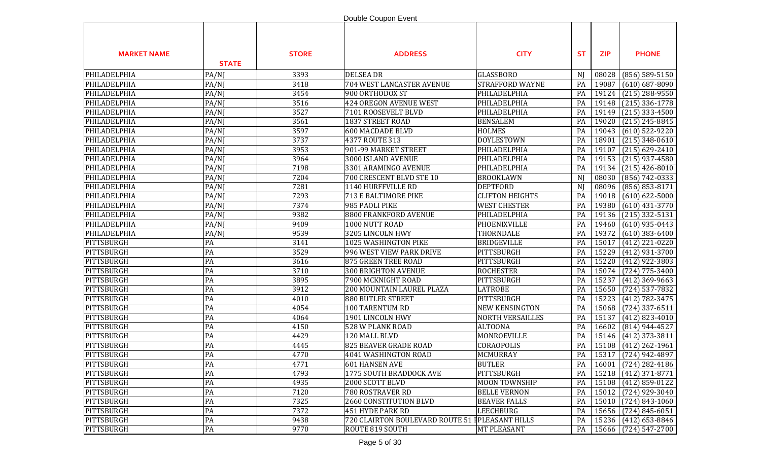|                    |              |              | Double Coupon Event                              |                         |           |            |                                |
|--------------------|--------------|--------------|--------------------------------------------------|-------------------------|-----------|------------|--------------------------------|
| <b>MARKET NAME</b> | <b>STATE</b> | <b>STORE</b> | <b>ADDRESS</b>                                   | <b>CITY</b>             | <b>ST</b> | <b>ZIP</b> | <b>PHONE</b>                   |
| PHILADELPHIA       | PA/NJ        | 3393         | <b>DELSEA DR</b>                                 | <b>GLASSBORO</b>        | NJ        | 08028      | $(856) 589 - 5150$             |
| PHILADELPHIA       | PA/NJ        | 3418         | 704 WEST LANCASTER AVENUE                        | STRAFFORD WAYNE         | PA        | 19087      | $(610) 687 - 8090$             |
| PHILADELPHIA       | PA/NJ        | 3454         | 900 ORTHODOX ST                                  | PHILADELPHIA            | PA        | 19124      | $(215)$ 288-9550               |
| PHILADELPHIA       | PA/NJ        | 3516         | 424 OREGON AVENUE WEST                           | PHILADELPHIA            | PA        | 19148      | $(215)$ 336-1778               |
| PHILADELPHIA       | PA/NJ        | 3527         | 7101 ROOSEVELT BLVD                              | PHILADELPHIA            | PA        | 19149      | $(215)$ 333-4500               |
| PHILADELPHIA       | PA/NJ        | 3561         | <b>1837 STREET ROAD</b>                          | <b>BENSALEM</b>         | PA        | 19020      | $(215)$ 245-8845               |
| PHILADELPHIA       | PA/NJ        | 3597         | <b>600 MACDADE BLVD</b>                          | <b>HOLMES</b>           | PA        | 19043      | $(610)$ 522-9220               |
| PHILADELPHIA       | PA/NJ        | 3737         | 4377 ROUTE 313                                   | <b>DOYLESTOWN</b>       | PA        | 18901      | $(215)$ 348-0610               |
| PHILADELPHIA       | PA/NJ        | 3953         | 901-99 MARKET STREET                             | PHILADELPHIA            | PA        | 19107      | $(215) 629 - 2410$             |
| PHILADELPHIA       | PA/NJ        | 3964         | 3000 ISLAND AVENUE                               | PHILADELPHIA            | PA        | 19153      | $(215)$ 937-4580               |
| PHILADELPHIA       | PA/NJ        | 7198         | 3301 ARAMINGO AVENUE                             | PHILADELPHIA            | PA        | 19134      | $(215)$ 426-8010               |
| PHILADELPHIA       | PA/NJ        | 7204         | 700 CRESCENT BLVD STE 10                         | <b>BROOKLAWN</b>        | N)        | 08030      | $(856) 742 - 0333$             |
| PHILADELPHIA       | PA/NJ        | 7281         | 1140 HURFFVILLE RD                               | <b>DEPTFORD</b>         | N)        | 08096      | $(856) 853 - 8171$             |
| PHILADELPHIA       | PA/NJ        | 7293         | 713 E BALTIMORE PIKE                             | <b>CLIFTON HEIGHTS</b>  | PA        | 19018      | $(610) 622 - 5000$             |
| PHILADELPHIA       | PA/NJ        | 7374         | 985 PAOLI PIKE                                   | <b>WEST CHESTER</b>     | PA        | 19380      | $(610)$ 431-3770               |
| PHILADELPHIA       | PA/NJ        | 9382         | 8800 FRANKFORD AVENUE                            | PHILADELPHIA            | PA        | 19136      | $(215)$ 332-5131               |
| PHILADELPHIA       | PA/NJ        | 9409         | 1000 NUTT ROAD                                   | PHOENIXVILLE            | PA        | 19460      | $(610)$ 935-0443               |
| PHILADELPHIA       | PA/NJ        | 9539         | 3205 LINCOLN HWY                                 | THORNDALE               | PA        | 19372      | $(610)$ 383-6400               |
| PITTSBURGH         | PA           | 3141         | 1025 WASHINGTON PIKE                             | <b>BRIDGEVILLE</b>      | PA        | 15017      | $(412)$ 221-0220               |
| PITTSBURGH         | PA           | 3529         | 996 WEST VIEW PARK DRIVE                         | PITTSBURGH              | PA        | 15229      | $(412)$ 931-3700               |
| PITTSBURGH         | PA           | 3616         | 875 GREEN TREE ROAD                              | PITTSBURGH              | PA        | 15220      | $(412)$ 922-3803               |
| PITTSBURGH         | PA           | 3710         | 300 BRIGHTON AVENUE                              | <b>ROCHESTER</b>        | PA        | 15074      | $(724)$ 775-3400               |
| PITTSBURGH         | PA           | 3895         | 7900 MCKNIGHT ROAD                               | PITTSBURGH              | PA        | 15237      | $(412)$ 369-9663               |
| PITTSBURGH         | PA           | 3912         | 200 MOUNTAIN LAUREL PLAZA                        | <b>LATROBE</b>          | PA        | 15650      | $(724)$ 537-7832               |
| PITTSBURGH         | PA           | 4010         | <b>880 BUTLER STREET</b>                         | PITTSBURGH              | PA        | 15223      | $(412) 782 - 3475$             |
| PITTSBURGH         | PA           | 4054         | 100 TARENTUM RD                                  | <b>NEW KENSINGTON</b>   | PA        | 15068      | $(724)$ 337-6511               |
| PITTSBURGH         | PA           | 4064         | 1901 LINCOLN HWY                                 | <b>NORTH VERSAILLES</b> | PA        | 15137      | $(412)$ 823-4010               |
| PITTSBURGH         | PA           | 4150         | 528 W PLANK ROAD                                 | <b>ALTOONA</b>          | PA        | 16602      | $(814)$ 944-4527               |
| PITTSBURGH         | PA           | 4429         | 120 MALL BLVD                                    | MONROEVILLE             | PA        | 15146      | $(412)$ 373-3811               |
| PITTSBURGH         | PA           | 4445         | 825 BEAVER GRADE ROAD                            | CORAOPOLIS              | PA        |            | 15108 (412) 262-1961           |
| PITTSBURGH         | PA           | 4770         | 4041 WASHINGTON ROAD                             | MCMURRAY                | PA        |            | $\boxed{15317}$ (724) 942-4897 |
| PITTSBURGH         | PA           | 4771         | <b>601 HANSEN AVE</b>                            | <b>BUTLER</b>           | PA        | 16001      | $(724)$ 282-4186               |
| PITTSBURGH         | PA           | 4793         | 1775 SOUTH BRADDOCK AVE                          | PITTSBURGH              | PA        | 15218      | $(412)$ 371-8771               |
| PITTSBURGH         | PA           | 4935         | 2000 SCOTT BLVD                                  | <b>MOON TOWNSHIP</b>    | PA        | 15108      | $(412) 859 - 0122$             |
| PITTSBURGH         | PA           | 7120         | 780 ROSTRAVER RD                                 | <b>BELLE VERNON</b>     | PA        | 15012      | $(724)$ 929-3040               |
| PITTSBURGH         | PA           | 7325         | 2660 CONSTITUTION BLVD                           | <b>BEAVER FALLS</b>     | PA        | 15010      | $(724) 843 - 1060$             |
| PITTSBURGH         | PA           | 7372         | 451 HYDE PARK RD                                 | LEECHBURG               | PA        | 15656      | $(724) 845 - 6051$             |
| PITTSBURGH         | PA           | 9438         | 720 CLAIRTON BOULEVARD ROUTE 51   PLEASANT HILLS |                         | PA        | 15236      | $(412)$ 653-8846               |
| PITTSBURGH         | PA           | 9770         | ROUTE 819 SOUTH                                  | MT PLEASANT             | PA        | 15666      | $(724)$ 547-2700               |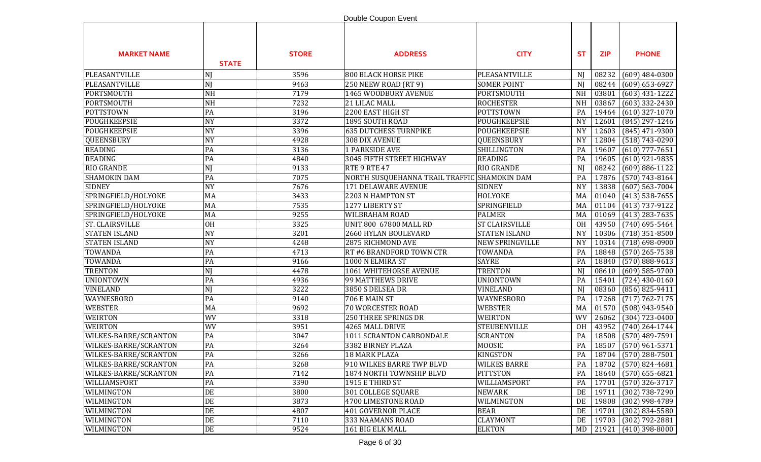|                        |              |              | Double Coupon Event                          |                       |           |            |                        |
|------------------------|--------------|--------------|----------------------------------------------|-----------------------|-----------|------------|------------------------|
| <b>MARKET NAME</b>     | <b>STATE</b> | <b>STORE</b> | <b>ADDRESS</b>                               | <b>CITY</b>           | <b>ST</b> | <b>ZIP</b> | <b>PHONE</b>           |
| PLEASANTVILLE          | NJ           | 3596         | <b>800 BLACK HORSE PIKE</b>                  | PLEASANTVILLE         | NJ        | 08232      | $(609)$ 484-0300       |
| PLEASANTVILLE          | NJ           | 9463         | 250 NEEW ROAD (RT 9)                         | <b>SOMER POINT</b>    | NJ        | 08244      | $(609) 653 - 6927$     |
| PORTSMOUTH             | <b>NH</b>    | 7179         | 1465 WOODBURY AVENUE                         | PORTSMOUTH            | <b>NH</b> | 03801      | $(603)$ 431-1222       |
| <b>PORTSMOUTH</b>      | <b>NH</b>    | 7232         | 21 LILAC MALL                                | <b>ROCHESTER</b>      | <b>NH</b> | 03867      | $(603)$ 332-2430       |
| POTTSTOWN              | PA           | 3196         | 2200 EAST HIGH ST                            | <b>POTTSTOWN</b>      | PA        | 19464      | $(610)$ 327-1070       |
| POUGHKEEPSIE           | <b>NY</b>    | 3372         | 1895 SOUTH ROAD                              | POUGHKEEPSIE          | <b>NY</b> | 12601      | (845) 297-1246         |
| POUGHKEEPSIE           | <b>NY</b>    | 3396         | <b>635 DUTCHESS TURNPIKE</b>                 | POUGHKEEPSIE          | <b>NY</b> | 12603      | $(845)$ 471-9300       |
| <b>QUEENSBURY</b>      | <b>NY</b>    | 4928         | 308 DIX AVENUE                               | QUEENSBURY            | <b>NY</b> | 12804      | $(518) 743 - 0290$     |
| <b>READING</b>         | PA           | 3136         | <b>1 PARKSIDE AVE</b>                        | <b>SHILLINGTON</b>    | PA        | 19607      | $(610)$ 777-7651       |
| <b>READING</b>         | PA           | 4840         | 3045 FIFTH STREET HIGHWAY                    | <b>READING</b>        | PA        | 19605      | $(610)$ 921-9835       |
| <b>RIO GRANDE</b>      | NJ           | 9133         | RTE 9 RTE 47                                 | <b>RIO GRANDE</b>     | NJ        | 08242      | $(609) 886 - 1122$     |
| <b>SHAMOKIN DAM</b>    | PA           | 7075         | NORTH SUSQUEHANNA TRAIL TRAFFIC SHAMOKIN DAM |                       | PA        | 17876      | $(570) 743 - 8164$     |
| <b>SIDNEY</b>          | <b>NY</b>    | 7676         | <b>171 DELAWARE AVENUE</b>                   | <b>SIDNEY</b>         | <b>NY</b> | 13838      | $(607)$ 563-7004       |
| SPRINGFIELD/HOLYOKE    | MA           | 3433         | 2203 N HAMPTON ST                            | <b>HOLYOKE</b>        | MA        | 01040      | $(413)$ 538-7655       |
| SPRINGFIELD/HOLYOKE    | MA           | 7535         | 1277 LIBERTY ST                              | SPRINGFIELD           | MA        | 01104      | $(413)$ 737-9122       |
| SPRINGFIELD/HOLYOKE    | MA           | 9255         | <b>WILBRAHAM ROAD</b>                        | <b>PALMER</b>         | MA        | 01069      | $(413)$ 283-7635       |
| <b>ST. CLAIRSVILLE</b> | <b>OH</b>    | 3325         | UNIT 800 67800 MALL RD                       | <b>ST CLAIRSVILLE</b> | <b>OH</b> | 43950      | $(740)$ 695-5464       |
| <b>STATEN ISLAND</b>   | <b>NY</b>    | 3201         | 2660 HYLAN BOULEVARD                         | <b>STATEN ISLAND</b>  | <b>NY</b> | 10306      | $(718)$ 351-8500       |
| <b>STATEN ISLAND</b>   | <b>NY</b>    | 4248         | 2875 RICHMOND AVE                            | NEW SPRINGVILLE       | <b>NY</b> | 10314      | $(718) 698 - 0900$     |
| <b>TOWANDA</b>         | PA           | 4713         | RT #6 BRANDFORD TOWN CTR                     | TOWANDA               | PA        | 18848      | $(570)$ 265-7538       |
| <b>TOWANDA</b>         | PA           | 9166         | 1000 N ELMIRA ST                             | <b>SAYRE</b>          | PA        | 18840      | $(570) 888 - 9613$     |
| <b>TRENTON</b>         | NJ           | 4478         | 1061 WHITEHORSE AVENUE                       | <b>TRENTON</b>        | NJ        | 08610      | $(609)$ 585-9700       |
| <b>UNIONTOWN</b>       | PA           | 4936         | 99 MATTHEWS DRIVE                            | <b>UNIONTOWN</b>      | PA        | 15401      | $(724)$ 430-0160       |
| <b>VINELAND</b>        | NJ           | 3222         | 3850 S DELSEA DR                             | VINELAND              | NJ        | 08360      | $(856) 825 - 9411$     |
| <b>WAYNESBORO</b>      | PA           | 9140         | 706 E MAIN ST                                | WAYNESBORO            | PA        | 17268      | $(717) 762 - 7175$     |
| <b>WEBSTER</b>         | MA           | 9692         | <b>70 WORCESTER ROAD</b>                     | <b>WEBSTER</b>        | MA        | 01570      | $(508)$ 943-9540       |
| <b>WEIRTON</b>         | WV           | 3318         | <b>250 THREE SPRINGS DR</b>                  | <b>WEIRTON</b>        | WV        | 26062      | $(304) 723 - 0400$     |
| <b>WEIRTON</b>         | WV           | 3951         | 4265 MALL DRIVE                              | <b>STEUBENVILLE</b>   | <b>OH</b> | 43952      | $(740)$ 264-1744       |
| WILKES-BARRE/SCRANTON  | PA           | 3047         | 1011 SCRANTON CARBONDALE                     | <b>SCRANTON</b>       | PA        | 18508      | $(570)$ 489-7591       |
| WILKES-BARRE/SCRANTON  | PA           | 3264         | 3382 BIRNEY PLAZA                            | <b>MOOSIC</b>         | PA        | 18507      | $(570)$ 961-5371       |
| WILKES-BARRE/SCRANTON  | PA           | 3266         | 18 MARK PLAZA                                | <b>KINGSTON</b>       | PA        |            | $18704$ (570) 288-7501 |
| WILKES-BARRE/SCRANTON  | PA           | 3268         | 910 WILKES BARRE TWP BLVD                    | <b>WILKES BARRE</b>   | PA        | 18702      | $(570)$ 824-4681       |
| WILKES-BARRE/SCRANTON  | PA           | 7142         | 1874 NORTH TOWNSHIP BLVD                     | <b>PITTSTON</b>       | PA        | 18640      | $(570)$ 655-6821       |
| WILLIAMSPORT           | PA           | 3390         | 1915 E THIRD ST                              | WILLIAMSPORT          | PA        | 17701      | $(570)$ 326-3717       |
| WILMINGTON             | DE           | 3800         | 301 COLLEGE SQUARE                           | <b>NEWARK</b>         | DE        | 19711      | $(302)$ 738-7290       |
| WILMINGTON             | DE           | 3873         | 4700 LIMESTONE ROAD                          | WILMINGTON            | DE        | 19808      | (302) 998-4789         |
| WILMINGTON             | $DE$         | 4807         | 401 GOVERNOR PLACE                           | <b>BEAR</b>           | DE        | 19701      | $(302) 834 - 5580$     |
| WILMINGTON             | $\rm DE$     | 7110         | 333 NAAMANS ROAD                             | <b>CLAYMONT</b>       | DE        | 19703      | $(302) 792 - 2881$     |
| WILMINGTON             | $\rm DE$     | 9524         | 161 BIG ELK MALL                             | <b>ELKTON</b>         |           | MD 21921   | $(410)$ 398-8000       |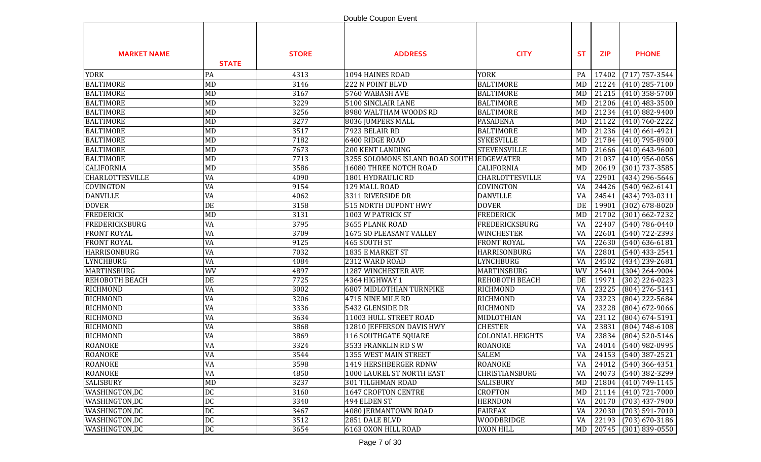|                        |              |              | Double Coupon Event                       |                         |           |            |                               |
|------------------------|--------------|--------------|-------------------------------------------|-------------------------|-----------|------------|-------------------------------|
| <b>MARKET NAME</b>     | <b>STATE</b> | <b>STORE</b> | <b>ADDRESS</b>                            | <b>CITY</b>             | <b>ST</b> | <b>ZIP</b> | <b>PHONE</b>                  |
| <b>YORK</b>            | PA           | 4313         | 1094 HAINES ROAD                          | <b>YORK</b>             | PA        | 17402      | $(717) 757 - 3544$            |
| <b>BALTIMORE</b>       | <b>MD</b>    | 3146         | 222 N POINT BLVD                          | <b>BALTIMORE</b>        | MD        |            | 21224 (410) 285-7100          |
| <b>BALTIMORE</b>       | <b>MD</b>    | 3167         | 5760 WABASH AVE                           | <b>BALTIMORE</b>        | MD        | 21215      | $(410)$ 358-5700              |
| <b>BALTIMORE</b>       | MD           | 3229         | 5100 SINCLAIR LANE                        | <b>BALTIMORE</b>        | MD        | 21206      | $(410)$ 483-3500              |
| <b>BALTIMORE</b>       | MD           | 3256         | 8980 WALTHAM WOODS RD                     | <b>BALTIMORE</b>        | MD        | 21234      | $(410) 882 - 9400$            |
| <b>BALTIMORE</b>       | MD           | 3277         | 8036 JUMPERS MALL                         | <b>PASADENA</b>         | MD        | 21122      | $(410) 760 - 2222$            |
| <b>BALTIMORE</b>       | MD           | 3517         | 7923 BELAIR RD                            | <b>BALTIMORE</b>        | MD        | 21236      | $(410)$ 661-4921              |
| <b>BALTIMORE</b>       | MD           | 7182         | 6400 RIDGE ROAD                           | <b>SYKESVILLE</b>       | MD        | 21784      | $(410)$ 795-8900              |
| <b>BALTIMORE</b>       | <b>MD</b>    | 7673         | 200 KENT LANDING                          | <b>STEVENSVILLE</b>     | MD        | 21666      | $(410)$ 643-9600              |
| <b>BALTIMORE</b>       | <b>MD</b>    | 7713         | 3255 SOLOMONS ISLAND ROAD SOUTH EDGEWATER |                         | MD        | 21037      | $(410)$ 956-0056              |
| <b>CALIFORNIA</b>      | <b>MD</b>    | 3586         | 16080 THREE NOTCH ROAD                    | <b>CALIFORNIA</b>       | MD        | 20619      | $(301)$ 737-3585              |
| <b>CHARLOTTESVILLE</b> | VA           | 4090         | 1801 HYDRAULIC RD                         | CHARLOTTESVILLE         | VA        | 22901      | (434) 296-5646                |
| COVINGTON              | VA           | 9154         | 129 MALL ROAD                             | COVINGTON               | VA        | 24426      | $(540)$ 962-6141              |
| <b>DANVILLE</b>        | <b>VA</b>    | 4062         | 3311 RIVERSIDE DR                         | <b>DANVILLE</b>         | VA        | 24541      | $(434) 793 - 0311$            |
| <b>DOVER</b>           | DE           | 3158         | <b>515 NORTH DUPONT HWY</b>               | <b>DOVER</b>            | DE        | 19901      | $(302) 678 - 8020$            |
| <b>FREDERICK</b>       | <b>MD</b>    | 3131         | 1003 W PATRICK ST                         | <b>FREDERICK</b>        | MD        | 21702      | $(301)$ 662-7232              |
| <b>FREDERICKSBURG</b>  | VA           | 3795         | 3655 PLANK ROAD                           | FREDERICKSBURG          | VA        | 22407      | $(540) 786 - 0440$            |
| <b>FRONT ROYAL</b>     | VA           | 3709         | 1675 SO PLEASANT VALLEY                   | WINCHESTER              | VA        | 22601      | $(540)$ 722-2393              |
| <b>FRONT ROYAL</b>     | VA           | 9125         | 465 SOUTH ST                              | <b>FRONT ROYAL</b>      | VA        | 22630      | $(540) 636 - 6181$            |
| <b>HARRISONBURG</b>    | VA           | 7032         | 1835 E MARKET ST                          | HARRISONBURG            | VA        | 22801      | $(540)$ 433-2541              |
| <b>LYNCHBURG</b>       | VA           | 4084         | 2312 WARD ROAD                            | LYNCHBURG               | VA        | 24502      | $(434)$ 239-2681              |
| MARTINSBURG            | WV           | 4897         | 1287 WINCHESTER AVE                       | MARTINSBURG             | WV        | 25401      | $(304)$ 264-9004              |
| REHOBOTH BEACH         | DE           | 7725         | 4364 HIGHWAY 1                            | REHOBOTH BEACH          | DE        | 19971      | $(302)$ 226-0223              |
| RICHMOND               | VA           | 3002         | <b>6807 MIDLOTHIAN TURNPIKE</b>           | RICHMOND                | VA        | 23225      | $(804)$ 276-5141              |
| RICHMOND               | VA           | 3206         | 4715 NINE MILE RD                         | RICHMOND                | VA        | 23223      | (804) 222-5684                |
| RICHMOND               | VA           | 3336         | 5432 GLENSIDE DR                          | RICHMOND                | VA        | 23228      | $(804)$ 672-9066              |
| RICHMOND               | VA           | 3634         | 11003 HULL STREET ROAD                    | MIDLOTHIAN              | VA        | 23112      | $(804) 674 - 5191$            |
| <b>RICHMOND</b>        | VA           | 3868         | 12810 JEFFERSON DAVIS HWY                 | <b>CHESTER</b>          | VA        | 23831      | $(804) 748 - 6108$            |
| RICHMOND               | VA           | 3869         | 116 SOUTHGATE SQUARE                      | <b>COLONIAL HEIGHTS</b> | VA        | 23834      | (804) 520-5146                |
| <b>ROANOKE</b>         | VA           | 3324         | 3533 FRANKLIN RD SW                       | <b>ROANOKE</b>          | VA        |            | 24014 (540) 982-0995          |
| <b>ROANOKE</b>         | VA           | 3544         | 1355 WEST MAIN STREET                     | <b>SALEM</b>            |           |            | VA   24153   $(540)$ 387-2521 |
| <b>ROANOKE</b>         | VA           | 3598         | 1419 HERSHBERGER RDNW                     | <b>ROANOKE</b>          | VA        |            | $24012$ (540) 366-4351        |
| <b>ROANOKE</b>         | VA           | 4850         | 1000 LAUREL ST NORTH EAST                 | CHRISTIANSBURG          | VA        | 24073      | $(540)$ 382-3299              |
| <b>SALISBURY</b>       | <b>MD</b>    | 3237         | 301 TILGHMAN ROAD                         | SALISBURY               | MD        |            | 21804 (410) 749-1145          |
| WASHINGTON,DC          | DC           | 3160         | 1647 CROFTON CENTRE                       | <b>CROFTON</b>          | MD        |            | 21114 (410) 721-7000          |
| WASHINGTON,DC          | DC           | 3340         | 494 ELDEN ST                              | <b>HERNDON</b>          | VA        | 20170      | $(703)$ 437-7900              |
| WASHINGTON,DC          | DC           | 3467         | 4080 JERMANTOWN ROAD                      | <b>FAIRFAX</b>          | VA        | 22030      | $(703) 591 - 7010$            |
| WASHINGTON,DC          | DC           | 3512         | 2851 DALE BLVD                            | WOODBRIDGE              | VA        | 22193      | $(703)$ 670-3186              |
| WASHINGTON,DC          | DC           | 3654         | 6163 OXON HILL ROAD                       | <b>OXON HILL</b>        |           |            | MD   20745   (301) 839-0550   |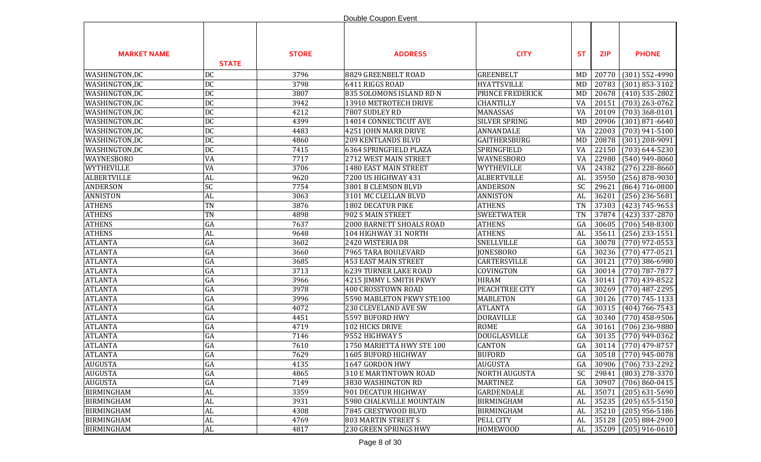|                    |              |              | Double Coupon Event          |                      |            |            |                        |
|--------------------|--------------|--------------|------------------------------|----------------------|------------|------------|------------------------|
| <b>MARKET NAME</b> | <b>STATE</b> | <b>STORE</b> | <b>ADDRESS</b>               | <b>CITY</b>          | <b>ST</b>  | <b>ZIP</b> | <b>PHONE</b>           |
| WASHINGTON,DC      | <b>DC</b>    | 3796         | 8829 GREENBELT ROAD          | <b>GREENBELT</b>     | MD         | 20770      | $(301)$ 552-4990       |
| WASHINGTON,DC      | <b>DC</b>    | 3798         | 6411 RIGGS ROAD              | <b>HYATTSVILLE</b>   | MD         | 20783      | $(301) 853 - 3102$     |
| WASHINGTON,DC      | DC           | 3807         | 835 SOLOMONS ISLAND RD N     | PRINCE FREDERICK     | <b>MD</b>  | 20678      | $(410)$ 535-2802       |
| WASHINGTON,DC      | <b>DC</b>    | 3942         | 13910 METROTECH DRIVE        | <b>CHANTILLY</b>     | VA         | 20151      | $(703)$ 263-0762       |
| WASHINGTON,DC      | DC           | 4212         | 7807 SUDLEY RD               | MANASSAS             | VA         | 20109      | $(703)$ 368-0101       |
| WASHINGTON,DC      | DC           | 4399         | 14014 CONNECTICUT AVE        | SILVER SPRING        | <b>MD</b>  | 20906      | $(301) 871 - 6640$     |
| WASHINGTON,DC      | DC           | 4483         | 4251 JOHN MARR DRIVE         | <b>ANNANDALE</b>     | VA         | 22003      | $(703)$ 941-5100       |
| WASHINGTON,DC      | <b>DC</b>    | 4860         | <b>209 KENTLANDS BLVD</b>    | <b>GAITHERSBURG</b>  | MD         | 20878      | $(301)$ 208-9091       |
| WASHINGTON, DC     | <b>DC</b>    | 7415         | 6364 SPRINGFIELD PLAZA       | SPRINGFIELD          | VA         | 22150      | $(703) 644 - 5230$     |
| <b>WAYNESBORO</b>  | VA           | 7717         | 2712 WEST MAIN STREET        | WAYNESBORO           | VA         | 22980      | $(540)$ 949-8060       |
| <b>WYTHEVILLE</b>  | VA           | 3706         | 1480 EAST MAIN STREET        | WYTHEVILLE           | VA         | 24382      | $(276)$ 228-8660       |
| <b>ALBERTVILLE</b> | AL           | 9620         | 7200 US HIGHWAY 431          | <b>ALBERTVILLE</b>   | AL         | 35950      | $(256)$ 878-9030       |
| <b>ANDERSON</b>    | SC           | 7754         | 3801 B CLEMSON BLVD          | <b>ANDERSON</b>      | SC         | 29621      | $(864)$ 716-0800       |
| <b>ANNISTON</b>    | AL           | 3063         | 3101 MC CLELLAN BLVD         | <b>ANNISTON</b>      | AL         | 36201      | $(256)$ 236-5681       |
| <b>ATHENS</b>      | TN           | 3876         | <b>1802 DECATUR PIKE</b>     | <b>ATHENS</b>        | <b>TN</b>  | 37303      | $(423)$ 745-9653       |
| <b>ATHENS</b>      | TN           | 4898         | 902 S MAIN STREET            | <b>SWEETWATER</b>    | <b>TN</b>  | 37874      | $(423)$ 337-2870       |
| <b>ATHENS</b>      | GA           | 7637         | 2000 BARNETT SHOALS ROAD     | <b>ATHENS</b>        | GA         | 30605      | $(706)$ 548-8300       |
| <b>ATHENS</b>      | AL           | 9648         | 104 HIGHWAY 31 NORTH         | <b>ATHENS</b>        | AL         | 35611      | $(256)$ 233-1551       |
| <b>ATLANTA</b>     | GA           | 3602         | 2420 WISTERIA DR             | SNELLVILLE           | GA         | 30078      | $(770)$ 972-0553       |
| <b>ATLANTA</b>     | GA           | 3660         | 7965 TARA BOULEVARD          | <b>JONESBORO</b>     | GA         | 30236      | $(770)$ 477-0521       |
| <b>ATLANTA</b>     | GA           | 3685         | 453 EAST MAIN STREET         | CARTERSVILLE         | GA         | 30121      | $(770)$ 386-6980       |
| <b>ATLANTA</b>     | GA           | 3713         | <b>6239 TURNER LAKE ROAD</b> | COVINGTON            | GA         | 30014      | $(770)$ 787-7877       |
| <b>ATLANTA</b>     | GA           | 3966         | 4215 JIMMY L SMITH PKWY      | <b>HIRAM</b>         | GA         | 30141      | $(770)$ 439-8522       |
| <b>ATLANTA</b>     | GA           | 3978         | 400 CROSSTOWN ROAD           | PEACHTREE CITY       | GA         | 30269      | $(770)$ 487-2295       |
| <b>ATLANTA</b>     | GA           | 3996         | 5590 MABLETON PKWY STE100    | <b>MABLETON</b>      | GA         | 30126      | $(770) 745 - 1133$     |
| <b>ATLANTA</b>     | GA           | 4072         | 230 CLEVELAND AVE SW         | <b>ATLANTA</b>       | GA         | 30315      | $(404) 766 - 7543$     |
| <b>ATLANTA</b>     | GA           | 4451         | 5597 BUFORD HWY              | <b>DORAVILLE</b>     | GA         | 30340      | $(770)$ 458-9506       |
| <b>ATLANTA</b>     | GA           | 4719         | 102 HICKS DRIVE              | <b>ROME</b>          | GA         | 30161      | $(706)$ 236-9880       |
| <b>ATLANTA</b>     | GA           | 7146         | 9552 HIGHWAY 5               | DOUGLASVILLE         | GA         | 30135      | $(770)$ 949-0362       |
| <b>ATLANTA</b>     | GA           | 7610         | 1750 MARIETTA HWY STE 100    | <b>CANTON</b>        | GA         |            | 30114 (770) 479-8757   |
| <b>ATLANTA</b>     | GA           | 7629         | 1605 BUFORD HIGHWAY          | <b>BUFORD</b>        | ${\rm GA}$ |            | $30518$ (770) 945-0078 |
| <b>AUGUSTA</b>     | GA           | 4135         | 1647 GORDON HWY              | <b>AUGUSTA</b>       | GA         | 30906      | $(706)$ 733-2292       |
| <b>AUGUSTA</b>     | GA           | 4865         | 310 E MARTINTOWN ROAD        | <b>NORTH AUGUSTA</b> | <b>SC</b>  | 29841      | $(803)$ 278-3370       |
| <b>AUGUSTA</b>     | GA           | 7149         | 3830 WASHINGTON RD           | <b>MARTINEZ</b>      | GA         | 30907      | $(706) 860 - 0415$     |
| <b>BIRMINGHAM</b>  | AL           | 3359         | 901 DECATUR HIGHWAY          | <b>GARDENDALE</b>    | AL         | 35071      | $(205)$ 631-5690       |
| <b>BIRMINGHAM</b>  | AL           | 3931         | 5980 CHALKVILLE MOUNTAIN     | <b>BIRMINGHAM</b>    | AL         | 35235      | $(205)$ 655-5150       |
| <b>BIRMINGHAM</b>  | ${\rm AL}$   | 4308         | 7845 CRESTWOOD BLVD          | <b>BIRMINGHAM</b>    | AL         | 35210      | $(205)$ 956-5186       |
| <b>BIRMINGHAM</b>  | ${\rm AL}$   | 4769         | <b>803 MARTIN STREET S</b>   | PELL CITY            | AL         | 35128      | $(205) 884 - 2900$     |
| <b>BIRMINGHAM</b>  | $\hbox{AL}$  | 4817         | 230 GREEN SPRINGS HWY        | <b>HOMEWOOD</b>      | AL         | 35209      | $(205)$ 916-0610       |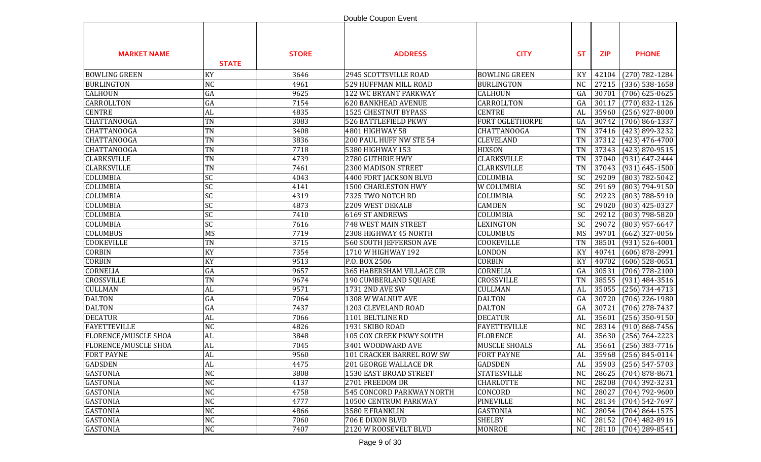|                             |                 |              | Double Coupon Event              |                      |                 |            |                      |
|-----------------------------|-----------------|--------------|----------------------------------|----------------------|-----------------|------------|----------------------|
| <b>MARKET NAME</b>          | <b>STATE</b>    | <b>STORE</b> | <b>ADDRESS</b>                   | <b>CITY</b>          | <b>ST</b>       | <b>ZIP</b> | <b>PHONE</b>         |
| <b>BOWLING GREEN</b>        | KY              | 3646         | 2945 SCOTTSVILLE ROAD            | <b>BOWLING GREEN</b> | KY              | 42104      | $(270) 782 - 1284$   |
| <b>BURLINGTON</b>           | NC              | 4961         | 529 HUFFMAN MILL ROAD            | <b>BURLINGTON</b>    | <b>NC</b>       | 27215      | $(336)$ 538-1658     |
| <b>CALHOUN</b>              | GA              | 9625         | 122 WC BRYANT PARKWAY            | <b>CALHOUN</b>       | GA              | 30701      | $(706)$ 625-0625     |
| CARROLLTON                  | GA              | 7154         | <b>620 BANKHEAD AVENUE</b>       | CARROLLTON           | GA              | 30117      | $(770)$ 832-1126     |
| <b>CENTRE</b>               | AL              | 4835         | 1525 CHESTNUT BYPASS             | <b>CENTRE</b>        | AL              | 35960      | $(256)$ 927-8000     |
| <b>CHATTANOOGA</b>          | TN              | 3083         | 526 BATTLEFIELD PKWY             | FORT OGLETHORPE      | GA              | 30742      | $(706) 866 - 1337$   |
| <b>CHATTANOOGA</b>          | TN              | 3408         | 4801 HIGHWAY 58                  | <b>CHATTANOOGA</b>   | <b>TN</b>       | 37416      | (423) 899-3232       |
| <b>CHATTANOOGA</b>          | TN              | 3836         | 200 PAUL HUFF NW STE 54          | <b>CLEVELAND</b>     | <b>TN</b>       | 37312      | $(423)$ 476-4700     |
| <b>CHATTANOOGA</b>          | TN              | 7718         | 5380 HIGHWAY 153                 | <b>HIXSON</b>        | <b>TN</b>       | 37343      | $(423) 870 - 9515$   |
| <b>CLARKSVILLE</b>          | TN              | 4739         | 2780 GUTHRIE HWY                 | <b>CLARKSVILLE</b>   | <b>TN</b>       | 37040      | $(931) 647 - 2444$   |
| <b>CLARKSVILLE</b>          | TN              | 7461         | 2300 MADISON STREET              | <b>CLARKSVILLE</b>   | <b>TN</b>       | 37043      | $(931) 645 - 1500$   |
| COLUMBIA                    | SC              | 4043         | 4400 FORT JACKSON BLVD           | COLUMBIA             | SC              | 29209      | (803) 782-5042       |
| COLUMBIA                    | SC              | 4141         | 1500 CHARLESTON HWY              | W COLUMBIA           | SC              | 29169      | (803) 794-9150       |
| COLUMBIA                    | SC              | 4319         | 7325 TWO NOTCH RD                | COLUMBIA             | $\overline{SC}$ | 29223      | $(803) 788 - 5910$   |
| COLUMBIA                    | SC              | 4873         | 2209 WEST DEKALB                 | <b>CAMDEN</b>        | SC              | 29020      | $(803)$ 425-0327     |
| COLUMBIA                    | $\overline{SC}$ | 7410         | 6169 ST ANDREWS                  | COLUMBIA             | <b>SC</b>       | 29212      | $(803) 798 - 5820$   |
| COLUMBIA                    | $\overline{SC}$ | 7616         | <b>748 WEST MAIN STREET</b>      | <b>LEXINGTON</b>     | SC              | 29072      | $(803)$ 957-6647     |
| <b>COLUMBUS</b>             | <b>MS</b>       | 7719         | 2308 HIGHWAY 45 NORTH            | COLUMBUS             | MS              | 39701      | $(662)$ 327-0056     |
| <b>COOKEVILLE</b>           | TN              | 3715         | <b>560 SOUTH JEFFERSON AVE</b>   | COOKEVILLE           | <b>TN</b>       | 38501      | $(931) 526 - 4001$   |
| <b>CORBIN</b>               | KY              | 7354         | 1710 W HIGHWAY 192               | LONDON               | KY              | 40741      | $(606)$ 878-2991     |
| CORBIN                      | KY              | 9513         | P.O. BOX 2506                    | <b>CORBIN</b>        | KY              | 40702      | $(606)$ 528-0651     |
| CORNELIA                    | GA              | 9657         | 365 HABERSHAM VILLAGE CIR        | CORNELIA             | GA              | 30531      | $(706)$ 778-2100     |
| <b>CROSSVILLE</b>           | TN              | 9674         | 190 CUMBERLAND SQUARE            | CROSSVILLE           | <b>TN</b>       | 38555      | $(931)$ 484-3516     |
| <b>CULLMAN</b>              | AL              | 9571         | 1731 2ND AVE SW                  | <b>CULLMAN</b>       | AL              | 35055      | $(256) 734 - 4713$   |
| <b>DALTON</b>               | GA              | 7064         | 1308 W WALNUT AVE                | <b>DALTON</b>        | GA              | 30720      | $(706)$ 226-1980     |
| <b>DALTON</b>               | GA              | 7437         | 1203 CLEVELAND ROAD              | <b>DALTON</b>        | GA              | 30721      | $(706)$ 278-7437     |
| <b>DECATUR</b>              | AL              | 7066         | 1101 BELTLINE RD                 | <b>DECATUR</b>       | AL              | 35601      | $(256)$ 350-9150     |
| <b>FAYETTEVILLE</b>         | NC              | 4826         | 1931 SKIBO ROAD                  | <b>FAYETTEVILLE</b>  | <b>NC</b>       | 28314      | $(910) 868 - 7456$   |
| <b>FLORENCE/MUSCLE SHOA</b> | ${\rm AL}$      | 3848         | 105 COX CREEK PKWY SOUTH         | <b>FLORENCE</b>      | AL              | 35630      | $(256) 764 - 2223$   |
| <b>FLORENCE/MUSCLE SHOA</b> | AL              | 7045         | 3401 WOODWARD AVE                | <b>MUSCLE SHOALS</b> | AL              | 35661      | $(256)$ 383-7716     |
| <b>FORT PAYNE</b>           | AL              | 9560         | 101 CRACKER BARREL ROW SW        | <b>FORT PAYNE</b>    | AL              |            | 35968 (256) 845-0114 |
| <b>GADSDEN</b>              | AL              | 4475         | 201 GEORGE WALLACE DR            | <b>GADSDEN</b>       | AL              | 35903      | $(256) 547 - 5703$   |
| <b>GASTONIA</b>             | NC              | 3808         | 1530 EAST BROAD STREET           | <b>STATESVILLE</b>   | N <sub>C</sub>  | 28625      | $(704)$ 878-8671     |
| <b>GASTONIA</b>             | NC              | 4137         | 2701 FREEDOM DR                  | <b>CHARLOTTE</b>     | NC              | 28208      | $(704)$ 392-3231     |
| <b>GASTONIA</b>             | NC              | 4758         | <b>545 CONCORD PARKWAY NORTH</b> | CONCORD              | N <sub>C</sub>  | 28027      | $(704) 792 - 9600$   |
| <b>GASTONIA</b>             | NC              | 4777         | 10500 CENTRUM PARKWAY            | <b>PINEVILLE</b>     | N <sub>C</sub>  | 28134      | $(704) 542 - 7697$   |
| <b>GASTONIA</b>             | NC              | 4866         | 3580 E FRANKLIN                  | <b>GASTONIA</b>      | N <sub>C</sub>  | 28054      | $(704) 864 - 1575$   |
| <b>GASTONIA</b>             | NC              | 7060         | 706 E DIXON BLVD                 | <b>SHELBY</b>        | NC              | 28152      | $(704)$ 482-8916     |
| <b>GASTONIA</b>             | NC              | 7407         | 2120 W ROOSEVELT BLVD            | <b>MONROE</b>        | NC              | 28110      | $(704)$ 289-8541     |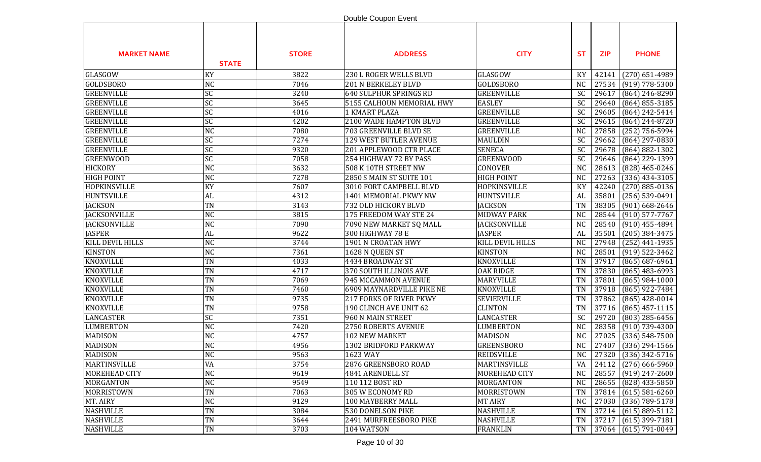|                      |                 |              | Double Coupon Event            |                     |                |            |                                      |
|----------------------|-----------------|--------------|--------------------------------|---------------------|----------------|------------|--------------------------------------|
| <b>MARKET NAME</b>   | <b>STATE</b>    | <b>STORE</b> | <b>ADDRESS</b>                 | <b>CITY</b>         | <b>ST</b>      | <b>ZIP</b> | <b>PHONE</b>                         |
| GLASGOW              | KY              | 3822         | 230 L ROGER WELLS BLVD         | GLASGOW             | KY             | 42141      | $(270)$ 651-4989                     |
| <b>GOLDSBORO</b>     | <b>NC</b>       | 7046         | <b>201 N BERKELEY BLVD</b>     | <b>GOLDSBORO</b>    | <b>NC</b>      | 27534      | $(919)$ 778-5300                     |
| <b>GREENVILLE</b>    | SC              | 3240         | 640 SULPHUR SPRINGS RD         | <b>GREENVILLE</b>   | SC             | 29617      | $(864)$ 246-8290                     |
| <b>GREENVILLE</b>    | SC              | 3645         | 5155 CALHOUN MEMORIAL HWY      | <b>EASLEY</b>       | SC             | 29640      | $(864) 855 - 3185$                   |
| <b>GREENVILLE</b>    | SC              | 4016         | <b>1 KMART PLAZA</b>           | <b>GREENVILLE</b>   | SC             | 29605      | (864) 242-5414                       |
| <b>GREENVILLE</b>    | SC              | 4202         | 2100 WADE HAMPTON BLVD         | <b>GREENVILLE</b>   | SC             | 29615      | $(864)$ 244-8720                     |
| <b>GREENVILLE</b>    | <b>NC</b>       | 7080         | <b>703 GREENVILLE BLVD SE</b>  | <b>GREENVILLE</b>   | <b>NC</b>      | 27858      | $(252)$ 756-5994                     |
| <b>GREENVILLE</b>    | $\overline{SC}$ | 7274         | 129 WEST BUTLER AVENUE         | <b>MAULDIN</b>      | <b>SC</b>      | 29662      | $(864)$ 297-0830                     |
| <b>GREENVILLE</b>    | SC              | 9320         | 201 APPLEWOOD CTR PLACE        | <b>SENECA</b>       | <b>SC</b>      | 29678      | $(864) 882 - 1302$                   |
| <b>GREENWOOD</b>     | SC              | 7058         | 254 HIGHWAY 72 BY PASS         | <b>GREENWOOD</b>    | SC             | 29646      | (864) 229-1399                       |
| <b>HICKORY</b>       | <b>NC</b>       | 3632         | 508 K 10TH STREET NW           | CONOVER             | <b>NC</b>      | 28613      | (828) 465-0246                       |
| <b>HIGH POINT</b>    | <b>NC</b>       | 7278         | 2850 S MAIN ST SUITE 101       | <b>HIGH POINT</b>   | <b>NC</b>      | 27263      | $(336)$ 434-3105                     |
| <b>HOPKINSVILLE</b>  | KY              | 7607         | 3010 FORT CAMPBELL BLVD        | HOPKINSVILLE        | KY             | 42240      | $(270) 885 - 0136$                   |
| <b>HUNTSVILLE</b>    | AL              | 4312         | 1401 MEMORIAL PKWY NW          | HUNTSVILLE          | AL             | 35801      | $(256) 539 - 0491$                   |
| <b>JACKSON</b>       | <b>TN</b>       | 3143         | 732 OLD HICKORY BLVD           | <b>JACKSON</b>      | <b>TN</b>      | 38305      | $(901)$ 668-2646                     |
| <b>JACKSONVILLE</b>  | <b>NC</b>       | 3815         | 175 FREEDOM WAY STE 24         | <b>MIDWAY PARK</b>  | N <sub>C</sub> | 28544      | $(910)$ 577-7767                     |
| <b>JACKSONVILLE</b>  | NC              | 7090         | 7090 NEW MARKET SQ MALL        | <b>JACKSONVILLE</b> | <b>NC</b>      | 28540      | $(910)$ 455-4894                     |
| <b>JASPER</b>        | AL              | 9622         | 300 HIGHWAY 78 E               | <b>JASPER</b>       | AL             | 35501      | $(205)$ 384-3475                     |
| KILL DEVIL HILLS     | <b>NC</b>       | 3744         | 1901 N CROATAN HWY             | KILL DEVIL HILLS    | N <sub>C</sub> | 27948      | $(252)$ 441-1935                     |
| <b>KINSTON</b>       | NC              | 7361         | 1628 N QUEEN ST                | <b>KINSTON</b>      | N <sub>C</sub> | 28501      | $(919)$ 522-3462                     |
| <b>KNOXVILLE</b>     | TN              | 4033         | 4434 BROADWAY ST               | KNOXVILLE           | <b>TN</b>      | 37917      | $(865) 687 - 6961$                   |
| <b>KNOXVILLE</b>     | TN              | 4717         | 370 SOUTH ILLINOIS AVE         | <b>OAK RIDGE</b>    | <b>TN</b>      | 37830      | $(865)$ 483-6993                     |
| <b>KNOXVILLE</b>     | TN              | 7069         | 945 MCCAMMON AVENUE            | <b>MARYVILLE</b>    | <b>TN</b>      | 37801      | $(865)$ 984-1000                     |
| <b>KNOXVILLE</b>     | TN              | 7460         | 6909 MAYNARDVILLE PIKE NE      | <b>KNOXVILLE</b>    | <b>TN</b>      | 37918      | (865) 922-7484                       |
| <b>KNOXVILLE</b>     | TN              | 9735         | <b>217 FORKS OF RIVER PKWY</b> | <b>SEVIERVILLE</b>  | <b>TN</b>      | 37862      | $(865)$ 428-0014                     |
| <b>KNOXVILLE</b>     | TN              | 9758         | 190 CLINCH AVE UNIT 62         | <b>CLINTON</b>      | <b>TN</b>      | 37716      | $(865)$ 457-1115                     |
| <b>LANCASTER</b>     | SC              | 7351         | 960 N MAIN STREET              | <b>LANCASTER</b>    | <b>SC</b>      | 29720      | $(803)$ 285-6456                     |
| <b>LUMBERTON</b>     | NC              | 7420         | 2750 ROBERTS AVENUE            | <b>LUMBERTON</b>    | <b>NC</b>      | 28358      | $(910)$ 739-4300                     |
| <b>MADISON</b>       | <b>NC</b>       | 4757         | <b>102 NEW MARKET</b>          | <b>MADISON</b>      | <b>NC</b>      | 27025      | $(336) 548 - 7500$                   |
| <b>MADISON</b>       | <b>NC</b>       | 4956         | 1302 BRIDFORD PARKWAY          | <b>GREENSBORO</b>   | <b>NC</b>      | 27407      | $(336)$ 294-1566                     |
| <b>MADISON</b>       | NC              | 9563         | 1623 WAY                       | <b>REIDSVILLE</b>   | NC             |            | $\vert$ 27320 $\vert$ (336) 342-5716 |
| <b>MARTINSVILLE</b>  | VA              | 3754         | 2876 GREENSBORO ROAD           | <b>MARTINSVILLE</b> | VA             | 24112      | $(276)$ 666-5960                     |
| <b>MOREHEAD CITY</b> | <b>NC</b>       | 9619         | 4841 ARENDELL ST               | MOREHEAD CITY       | NC             | 28557      | $(919)$ 247-2600                     |
| <b>MORGANTON</b>     | NC              | 9549         | 110 112 BOST RD                | MORGANTON           | NC             | 28655      | $(828)$ 433-5850                     |
| MORRISTOWN           | <b>TN</b>       | 7063         | 305 W ECONOMY RD               | MORRISTOWN          | <b>TN</b>      | 37814      | $(615) 581 - 6260$                   |
| MT. AIRY             | <b>NC</b>       | 9129         | 100 MAYBERRY MALL              | <b>MT AIRY</b>      | N <sub>C</sub> | 27030      | $(336)$ 789-5178                     |
| <b>NASHVILLE</b>     | TN              | 3084         | 530 DONELSON PIKE              | <b>NASHVILLE</b>    | <b>TN</b>      | 37214      | $(615) 889 - 5112$                   |
| <b>NASHVILLE</b>     | TN              | 3644         | 2491 MURFREESBORO PIKE         | <b>NASHVILLE</b>    | TN             | 37217      | $(615)$ 399-7181                     |
| <b>NASHVILLE</b>     | TN              | 3703         | 104 WATSON                     | <b>FRANKLIN</b>     | TN             |            | 37064 (615) 791-0049                 |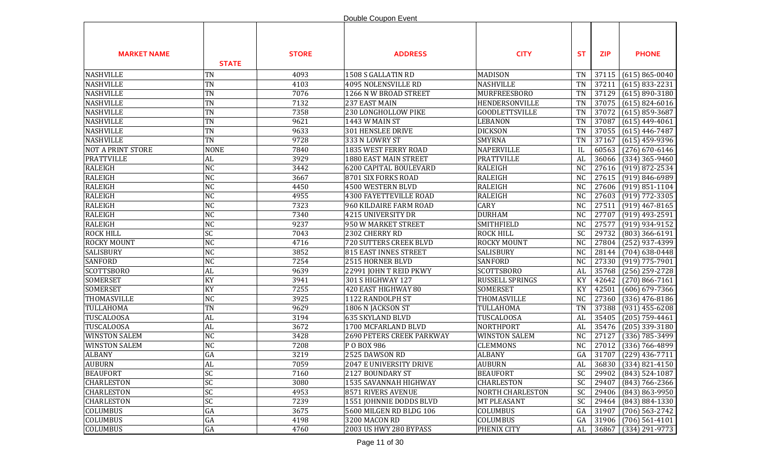|                          |                 |              | Double Coupon Event           |                         |                 |            |                          |
|--------------------------|-----------------|--------------|-------------------------------|-------------------------|-----------------|------------|--------------------------|
| <b>MARKET NAME</b>       | <b>STATE</b>    | <b>STORE</b> | <b>ADDRESS</b>                | <b>CITY</b>             | <b>ST</b>       | <b>ZIP</b> | <b>PHONE</b>             |
| <b>NASHVILLE</b>         | <b>TN</b>       | 4093         | 1508 S GALLATIN RD            | <b>MADISON</b>          | <b>TN</b>       | 37115      | $(615) 865 - 0040$       |
| <b>NASHVILLE</b>         | TN              | 4103         | 4095 NOLENSVILLE RD           | NASHVILLE               | <b>TN</b>       | 37211      | $(615) 833 - 2231$       |
| <b>NASHVILLE</b>         | <b>TN</b>       | 7076         | 1266 N W BROAD STREET         | MURFREESBORO            | <b>TN</b>       | 37129      | $(615) 890 - 3180$       |
| <b>NASHVILLE</b>         | <b>TN</b>       | 7132         | 237 EAST MAIN                 | HENDERSONVILLE          | <b>TN</b>       | 37075      | $(615) 824 - 6016$       |
| <b>NASHVILLE</b>         | <b>TN</b>       | 7358         | 230 LONGHOLLOW PIKE           | <b>GOODLETTSVILLE</b>   | <b>TN</b>       | 37072      | $(615)$ 859-3687         |
| <b>NASHVILLE</b>         | <b>TN</b>       | 9621         | 1443 W MAIN ST                | <b>LEBANON</b>          | <b>TN</b>       | 37087      | $(615)$ 449-4061         |
| <b>NASHVILLE</b>         | <b>TN</b>       | 9633         | 301 HENSLEE DRIVE             | <b>DICKSON</b>          | <b>TN</b>       | 37055      | $(615)$ 446-7487         |
| <b>NASHVILLE</b>         | <b>TN</b>       | 9728         | 333 N LOWRY ST                | <b>SMYRNA</b>           | <b>TN</b>       | 37167      | $(615)$ 459-9396         |
| <b>NOT A PRINT STORE</b> | <b>NONE</b>     | 7840         | 1835 WEST FERRY ROAD          | <b>NAPERVILLE</b>       | IL              | 60563      | $(276)$ 670-6146         |
| <b>PRATTVILLE</b>        | <b>AL</b>       | 3929         | 1880 EAST MAIN STREET         | <b>PRATTVILLE</b>       | AL              | 36066      | $(334)$ 365-9460         |
| <b>RALEIGH</b>           | <b>NC</b>       | 3442         | 6200 CAPITAL BOULEVARD        | <b>RALEIGH</b>          | <b>NC</b>       | 27616      | $(919) 872 - 2534$       |
| <b>RALEIGH</b>           | <b>NC</b>       | 3667         | 8701 SIX FORKS ROAD           | <b>RALEIGH</b>          | <b>NC</b>       | 27615      | $(919) 846 - 6989$       |
| <b>RALEIGH</b>           | <b>NC</b>       | 4450         | 4500 WESTERN BLVD             | <b>RALEIGH</b>          | N <sub>C</sub>  | 27606      | $(919) 851 - 1104$       |
| <b>RALEIGH</b>           | <b>NC</b>       | 4955         | <b>4300 FAYETTEVILLE ROAD</b> | <b>RALEIGH</b>          | <b>NC</b>       | 27603      | $(919) 772 - 3305$       |
| <b>RALEIGH</b>           | <b>NC</b>       | 7323         | 960 KILDAIRE FARM ROAD        | <b>CARY</b>             | <b>NC</b>       | 27511      | $(919)$ 467-8165         |
| <b>RALEIGH</b>           | NC              | 7340         | 4215 UNIVERSITY DR            | <b>DURHAM</b>           | N <sub>C</sub>  | 27707      | $(919)$ 493-2591         |
| <b>RALEIGH</b>           | <b>NC</b>       | 9237         | 950 W MARKET STREET           | <b>SMITHFIELD</b>       | N <sub>C</sub>  | 27577      | $(919)$ 934-9152         |
| <b>ROCK HILL</b>         | $\overline{SC}$ | 7043         | 2302 CHERRY RD                | <b>ROCK HILL</b>        | $\overline{SC}$ | 29732      | $(803)$ 366-6191         |
| <b>ROCKY MOUNT</b>       | <b>NC</b>       | 4716         | 720 SUTTERS CREEK BLVD        | <b>ROCKY MOUNT</b>      | <b>NC</b>       | 27804      | (252) 937-4399           |
| SALISBURY                | NC              | 3852         | <b>815 EAST INNES STREET</b>  | SALISBURY               | <b>NC</b>       | 28144      | $(704)$ 638-0448         |
| <b>SANFORD</b>           | <b>NC</b>       | 7254         | 2515 HORNER BLVD              | <b>SANFORD</b>          | <b>NC</b>       | 27330      | $(919)$ 775-7901         |
| <b>SCOTTSBORO</b>        | AL              | 9639         | 22991 JOHN T REID PKWY        | <b>SCOTTSBORO</b>       | AL              | 35768      | (256) 259-2728           |
| <b>SOMERSET</b>          | KY              | 3941         | 301 S HIGHWAY 127             | RUSSELL SPRINGS         | KY              | 42642      | $(270) 866 - 7161$       |
| <b>SOMERSET</b>          | KY              | 7255         | 420 EAST HIGHWAY 80           | <b>SOMERSET</b>         | KY              | 42501      | $(606) 679 - 7366$       |
| THOMASVILLE              | <b>NC</b>       | 3925         | 1122 RANDOLPH ST              | THOMASVILLE             | <b>NC</b>       | 27360      | $(336)$ 476-8186         |
| TULLAHOMA                | <b>TN</b>       | 9629         | 1806 N JACKSON ST             | TULLAHOMA               | <b>TN</b>       | 37388      | $(931)$ 455-6208         |
| TUSCALOOSA               | AL              | 3194         | <b>635 SKYLAND BLVD</b>       | TUSCALOOSA              | AL              | 35405      | $(205)$ 759-4461         |
| <b>TUSCALOOSA</b>        | AL              | 3672         | 1700 MCFARLAND BLVD           | NORTHPORT               | AL              | 35476      | $(205)$ 339-3180         |
| <b>WINSTON SALEM</b>     | <b>NC</b>       | 3428         | 2690 PETERS CREEK PARKWAY     | <b>WINSTON SALEM</b>    | <b>NC</b>       | 27127      | $(336)$ 785-3499         |
| <b>WINSTON SALEM</b>     | <b>NC</b>       | 7208         | P O BOX 986                   | <b>CLEMMONS</b>         | <b>NC</b>       | 27012      | $(336) 766 - 4899$       |
| <b>ALBANY</b>            | GA              | 3219         | 2525 DAWSON RD                | <b>ALBANY</b>           | GA              |            | $ 31707 $ (229) 436-7711 |
| <b>AUBURN</b>            | AL              | 7059         | 2047 E UNIVERSITY DRIVE       | <b>AUBURN</b>           | AL              | 36830      | $(334) 821 - 4150$       |
| <b>BEAUFORT</b>          | <b>SC</b>       | 7160         | 2127 BOUNDARY ST              | <b>BEAUFORT</b>         | <b>SC</b>       | 29902      | (843) 524-1087           |
| <b>CHARLESTON</b>        | SC              | 3080         | 1535 SAVANNAH HIGHWAY         | <b>CHARLESTON</b>       | <b>SC</b>       | 29407      | $(843) 766 - 2366$       |
| <b>CHARLESTON</b>        | SC              | 4953         | 8571 RIVERS AVENUE            | <b>NORTH CHARLESTON</b> | SC              | 29406      | (843) 863-9950           |
| <b>CHARLESTON</b>        | SC              | 7239         | 1551 JOHNNIE DODDS BLVD       | MT PLEASANT             | <b>SC</b>       | 29464      | $(843) 884 - 1330$       |
| COLUMBUS                 | GA              | 3675         | 5600 MILGEN RD BLDG 106       | <b>COLUMBUS</b>         | GA              | 31907      | $(706)$ 563-2742         |
| COLUMBUS                 | ${\rm GA}$      | 4198         | 3200 MACON RD                 | <b>COLUMBUS</b>         | GA              | 31906      | $(706)$ 561-4101         |
| COLUMBUS                 | ${\rm GA}$      | 4760         | 2003 US HWY 280 BYPASS        | PHENIX CITY             | AL              | 36867      | $(334)$ 291-9773         |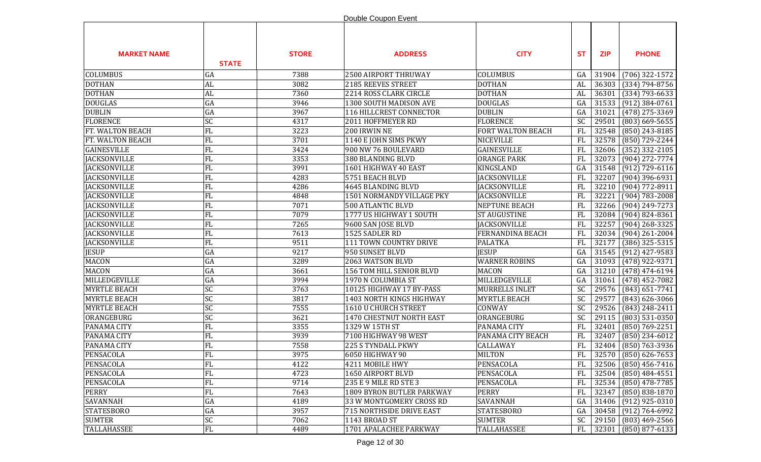|                     |                   |              | Double Coupon Event       |                      |            |            |                      |
|---------------------|-------------------|--------------|---------------------------|----------------------|------------|------------|----------------------|
| <b>MARKET NAME</b>  | <b>STATE</b>      | <b>STORE</b> | <b>ADDRESS</b>            | <b>CITY</b>          | <b>ST</b>  | <b>ZIP</b> | <b>PHONE</b>         |
| <b>COLUMBUS</b>     | GA                | 7388         | 2500 AIRPORT THRUWAY      | <b>COLUMBUS</b>      | GA         | 31904      | $(706)$ 322-1572     |
| <b>DOTHAN</b>       | AL                | 3082         | 2185 REEVES STREET        | <b>DOTHAN</b>        | AL         | 36303      | $(334) 794 - 8756$   |
| <b>DOTHAN</b>       | <b>AL</b>         | 7360         | 2214 ROSS CLARK CIRCLE    | <b>DOTHAN</b>        | AL         | 36301      | $(334) 793 - 6633$   |
| <b>DOUGLAS</b>      | GA                | 3946         | 1300 SOUTH MADISON AVE    | <b>DOUGLAS</b>       | GA         | 31533      | $(912)$ 384-0761     |
| <b>DUBLIN</b>       | GA                | 3967         | 116 HILLCREST CONNECTOR   | <b>DUBLIN</b>        | GA         | 31021      | $(478)$ 275-3369     |
| <b>FLORENCE</b>     | SC                | 4317         | 2011 HOFFMEYER RD         | <b>FLORENCE</b>      | <b>SC</b>  | 29501      | $(803)$ 669-5655     |
| FT. WALTON BEACH    | FL                | 3223         | 200 IRWIN NE              | FORT WALTON BEACH    | FL         | 32548      | $(850)$ 243-8185     |
| FT. WALTON BEACH    | FL                | 3701         | 1140 E JOHN SIMS PKWY     | <b>NICEVILLE</b>     | <b>FL</b>  | 32578      | (850) 729-2244       |
| <b>GAINESVILLE</b>  | FL                | 3424         | 900 NW 76 BOULEVARD       | <b>GAINESVILLE</b>   | FL         | 32606      | $(352)$ 332-2105     |
| <b>JACKSONVILLE</b> | FL                | 3353         | 380 BLANDING BLVD         | <b>ORANGE PARK</b>   | FL         | 32073      | $(904)$ 272-7774     |
| <b>JACKSONVILLE</b> | FL                | 3991         | 1601 HIGHWAY 40 EAST      | KINGSLAND            | GA         | 31548      | $(912) 729 - 6116$   |
| <b>JACKSONVILLE</b> | FL                | 4283         | 5751 BEACH BLVD           | <b>JACKSONVILLE</b>  | FL         | 32207      | $(904)$ 396-6931     |
| <b>JACKSONVILLE</b> | FL                | 4286         | 4645 BLANDING BLVD        | <b>JACKSONVILLE</b>  | FL         | 32210      | (904) 772-8911       |
| <b>JACKSONVILLE</b> | FL                | 4848         | 1501 NORMANDY VILLAGE PKY | <b>JACKSONVILLE</b>  | FL         | 32221      | $(904) 783 - 2008$   |
| <b>JACKSONVILLE</b> | FL                | 7071         | <b>500 ATLANTIC BLVD</b>  | NEPTUNE BEACH        | FL         | 32266      | $(904)$ 249-7273     |
| <b>JACKSONVILLE</b> | FL                | 7079         | 1777 US HIGHWAY 1 SOUTH   | <b>ST AUGUSTINE</b>  | FL         | 32084      | $(904) 824 - 8361$   |
| <b>JACKSONVILLE</b> | FL                | 7265         | 9600 SAN JOSE BLVD        | <b>JACKSONVILLE</b>  | <b>FL</b>  | 32257      | $(904)$ 268-3325     |
| <b>JACKSONVILLE</b> | FL                | 7613         | 1525 SADLER RD            | FERNANDINA BEACH     | FL         | 32034      | $(904)$ 261-2004     |
| <b>JACKSONVILLE</b> | FL                | 9511         | 111 TOWN COUNTRY DRIVE    | <b>PALATKA</b>       | <b>FL</b>  | 32177      | $(386)$ 325-5315     |
| <b>JESUP</b>        | GA                | 9217         | 950 SUNSET BLVD           | <b>JESUP</b>         | GA         | 31545      | $(912)$ 427-9583     |
| <b>MACON</b>        | GA                | 3289         | 2063 WATSON BLVD          | <b>WARNER ROBINS</b> | GA         | 31093      | (478) 922-9371       |
| <b>MACON</b>        | GA                | 3661         | 156 TOM HILL SENIOR BLVD  | <b>MACON</b>         | GA         | 31210      | $(478)$ 474-6194     |
| MILLEDGEVILLE       | GA                | 3994         | 1970 N COLUMBIA ST        | MILLEDGEVILLE        | GA         | 31061      | $(478)$ 452-7082     |
| <b>MYRTLE BEACH</b> | SC                | 3763         | 10125 HIGHWAY 17 BY-PASS  | MURRELLS INLET       | <b>SC</b>  | 29576      | $(843) 651 - 7741$   |
| <b>MYRTLE BEACH</b> | $ \overline{SC} $ | 3817         | 1403 NORTH KINGS HIGHWAY  | <b>MYRTLE BEACH</b>  | <b>SC</b>  | 29577      | $(843)$ 626-3066     |
| <b>MYRTLE BEACH</b> | <b>SC</b>         | 7555         | 1610 U CHURCH STREET      | CONWAY               | SC         | 29526      | (843) 248-2411       |
| ORANGEBURG          | <b>SC</b>         | 3621         | 1470 CHESTNUT NORTH EAST  | ORANGEBURG           | <b>SC</b>  | 29115      | $(803)$ 531-0350     |
| PANAMA CITY         | FL                | 3355         | 1329 W 15TH ST            | PANAMA CITY          | <b>FL</b>  | 32401      | $(850) 769 - 2251$   |
| PANAMA CITY         | FL                | 3939         | 7100 HIGHWAY 98 WEST      | PANAMA CITY BEACH    | <b>FL</b>  | 32407      | $(850)$ 234-6012     |
| PANAMA CITY         | FL                | 7558         | 225 S TYNDALL PKWY        | CALLAWAY             | FL         |            | 32404 (850) 763-3936 |
| PENSACOLA           | FL                | 3975         | 6050 HIGHWAY 90           | <b>MILTON</b>        | ${\rm FL}$ |            | 32570 (850) 626-7653 |
| PENSACOLA           | FL                | 4122         | 4211 MOBILE HWY           | PENSACOLA            | FL         |            | 32506 (850) 456-7416 |
| PENSACOLA           | FL                | 4723         | 1650 AIRPORT BLVD         | PENSACOLA            | FL         | 32504      | $(850)$ 484-4551     |
| PENSACOLA           | FL                | 9714         | 235 E 9 MILE RD STE 3     | PENSACOLA            | FL         | 32534      | $(850)$ 478-7785     |
| <b>PERRY</b>        | FL                | 7643         | 1809 BYRON BUTLER PARKWAY | <b>PERRY</b>         | FL         | 32347      | $(850) 838 - 1870$   |
| SAVANNAH            | GA                | 4189         | 33 W MONTGOMERY CROSS RD  | SAVANNAH             | GA         | 31406      | $(912)$ 925-0310     |
| <b>STATESBORO</b>   | GA                | 3957         | 715 NORTHSIDE DRIVE EAST  | <b>STATESBORO</b>    | GA         | 30458      | $(912) 764 - 6992$   |
| <b>SUMTER</b>       | SC                | 7062         | 1143 BROAD ST             | <b>SUMTER</b>        | SC         | 29150      | $(803)$ 469-2566     |
| <b>TALLAHASSEE</b>  | FL                | 4489         | 1701 APALACHEE PARKWAY    | TALLAHASSEE          | FL         | 32301      | $(850) 877 - 6133$   |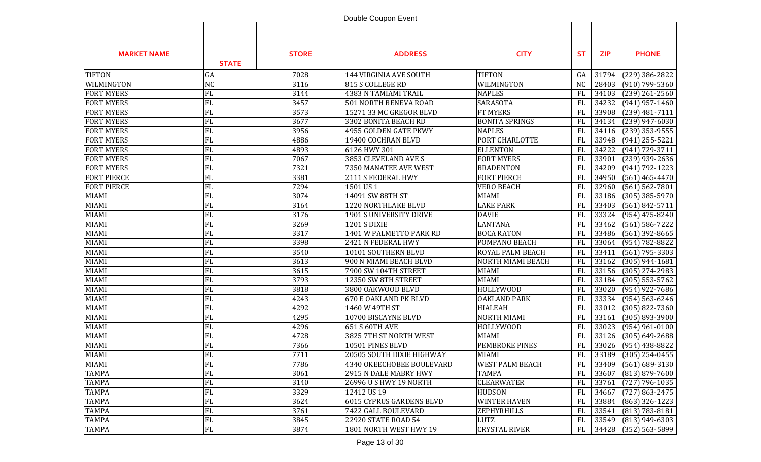|                    |              |              | Double Coupon Event        |                        |           |            |                    |
|--------------------|--------------|--------------|----------------------------|------------------------|-----------|------------|--------------------|
| <b>MARKET NAME</b> | <b>STATE</b> | <b>STORE</b> | <b>ADDRESS</b>             | <b>CITY</b>            | <b>ST</b> | <b>ZIP</b> | <b>PHONE</b>       |
| <b>TIFTON</b>      | GA           | 7028         | 144 VIRGINIA AVE SOUTH     | <b>TIFTON</b>          | GA        | 31794      | $(229)$ 386-2822   |
| WILMINGTON         | <b>NC</b>    | 3116         | 815 S COLLEGE RD           | WILMINGTON             | <b>NC</b> | 28403      | $(910)$ 799-5360   |
| <b>FORT MYERS</b>  | FL           | 3144         | 4383 N TAMIAMI TRAIL       | <b>NAPLES</b>          | <b>FL</b> | 34103      | $(239)$ 261-2560   |
| <b>FORT MYERS</b>  | FL           | 3457         | 501 NORTH BENEVA ROAD      | SARASOTA               | FL        | 34232      | $(941)$ 957-1460   |
| <b>FORT MYERS</b>  | FL           | 3573         | 15271 33 MC GREGOR BLVD    | <b>FT MYERS</b>        | <b>FL</b> | 33908      | $(239)$ 481-7111   |
| <b>FORT MYERS</b>  | FL           | 3677         | 3302 BONITA BEACH RD       | <b>BONITA SPRINGS</b>  | FL        | 34134      | $(239)$ 947-6030   |
| <b>FORT MYERS</b>  | FL           | 3956         | 4955 GOLDEN GATE PKWY      | <b>NAPLES</b>          | FL        | 34116      | $(239)$ 353-9555   |
| <b>FORT MYERS</b>  | FL           | 4886         | 19400 COCHRAN BLVD         | PORT CHARLOTTE         | FL        | 33948      | $(941)$ 255-5221   |
| <b>FORT MYERS</b>  | ${\rm FL}$   | 4893         | 6126 HWY 301               | <b>ELLENTON</b>        | FL        | 34222      | (941) 729-3711     |
| <b>FORT MYERS</b>  | FL           | 7067         | 3853 CLEVELAND AVE S       | <b>FORT MYERS</b>      | FL        | 33901      | $(239)$ 939-2636   |
| <b>FORT MYERS</b>  | FL           | 7321         | 7350 MANATEE AVE WEST      | <b>BRADENTON</b>       | FL        | 34209      | $(941) 792 - 1223$ |
| <b>FORT PIERCE</b> | FL           | 3381         | 2111 S FEDERAL HWY         | <b>FORT PIERCE</b>     | <b>FL</b> | 34950      | $(561)$ 465-4470   |
| <b>FORT PIERCE</b> | FL           | 7294         | 1501 US1                   | <b>VERO BEACH</b>      | <b>FL</b> | 32960      | $(561) 562 - 7801$ |
| <b>MIAMI</b>       | FL           | 3074         | 14091 SW 88TH ST           | <b>MIAMI</b>           | <b>FL</b> | 33186      | $(305)$ 385-5970   |
| <b>MIAMI</b>       | FL           | 3164         | <b>1220 NORTHLAKE BLVD</b> | <b>LAKE PARK</b>       | <b>FL</b> | 33403      | $(561) 842 - 5711$ |
| <b>MIAMI</b>       | FL           | 3176         | 1901 S UNIVERSITY DRIVE    | <b>DAVIE</b>           | <b>FL</b> | 33324      | $(954)$ 475-8240   |
| MIAMI              | FL           | 3269         | 1201 S DIXIE               | <b>LANTANA</b>         | FL        | 33462      | $(561) 586 - 7222$ |
| <b>MIAMI</b>       | FL           | 3317         | 1401 W PALMETTO PARK RD    | <b>BOCA RATON</b>      | FL        | 33486      | $(561)$ 392-8665   |
| <b>MIAMI</b>       | FL           | 3398         | 2421 N FEDERAL HWY         | POMPANO BEACH          | <b>FL</b> | 33064      | $(954) 782 - 8822$ |
| MIAMI              | FL           | 3540         | 10101 SOUTHERN BLVD        | ROYAL PALM BEACH       | <b>FL</b> | 33411      | $(561)$ 795-3303   |
| MIAMI              | FL           | 3613         | 900 N MIAMI BEACH BLVD     | NORTH MIAMI BEACH      | <b>FL</b> | 33162      | $(305)$ 944-1681   |
| MIAMI              | FL           | 3615         | 7900 SW 104TH STREET       | MIAMI                  | <b>FL</b> | 33156      | $(305)$ 274-2983   |
| <b>MIAMI</b>       | FL           | 3793         | 12350 SW 8TH STREET        | <b>MIAMI</b>           | <b>FL</b> | 33184      | $(305)$ 553-5762   |
| <b>MIAMI</b>       | FL           | 3818         | 3800 OAKWOOD BLVD          | HOLLYWOOD              | FL        | 33020      | (954) 922-7686     |
| <b>MIAMI</b>       | FL           | 4243         | 670 E OAKLAND PK BLVD      | <b>OAKLAND PARK</b>    | FL        | 33334      | $(954) 563 - 6246$ |
| <b>MIAMI</b>       | FL           | 4292         | 1460 W 49TH ST             | <b>HIALEAH</b>         | <b>FL</b> | 33012      | $(305) 822 - 7360$ |
| <b>MIAMI</b>       | FL           | 4295         | 10700 BISCAYNE BLVD        | <b>NORTH MIAMI</b>     | FL        | 33161      | $(305) 893 - 3900$ |
| <b>MIAMI</b>       | FL           | 4296         | 651 S 60TH AVE             | HOLLYWOOD              | <b>FL</b> | 33023      | $(954)$ 961-0100   |
| <b>MIAMI</b>       | FL           | 4728         | 3825 7TH ST NORTH WEST     | <b>MIAMI</b>           | <b>FL</b> | 33126      | $(305) 649 - 2688$ |
| <b>MIAMI</b>       | FL           | 7366         | 10501 PINES BLVD           | PEMBROKE PINES         | <b>FL</b> | 33026      | $(954)$ 438-8822   |
| <b>MIAMI</b>       | FL           | 7711         | 20505 SOUTH DIXIE HIGHWAY  | <b>MIAMI</b>           | FL        | 33189      | $(305)$ 254-0455   |
| <b>MIAMI</b>       | FL           | 7786         | 4340 OKEECHOBEE BOULEVARD  | <b>WEST PALM BEACH</b> | <b>FL</b> | 33409      | $(561)$ 689-3130   |
| <b>TAMPA</b>       | FL           | 3061         | 2915 N DALE MABRY HWY      | <b>TAMPA</b>           | <b>FL</b> | 33607      | $(813) 879 - 7600$ |
| <b>TAMPA</b>       | FL           | 3140         | 26996 U S HWY 19 NORTH     | <b>CLEARWATER</b>      | <b>FL</b> | 33761      | $(727)$ 796-1035   |
| <b>TAMPA</b>       | FL           | 3329         | 12412 US 19                | <b>HUDSON</b>          | FL        | 34667      | $(727) 863 - 2475$ |
| <b>TAMPA</b>       | FL           | 3624         | 6015 CYPRUS GARDENS BLVD   | <b>WINTER HAVEN</b>    | FL        | 33884      | $(863)$ 326-1223   |
| <b>TAMPA</b>       | FL           | 3761         | 7422 GALL BOULEVARD        | ZEPHYRHILLS            | <b>FL</b> | 33541      | $(813) 783 - 8181$ |
| <b>TAMPA</b>       | FL           | 3845         | 22920 STATE ROAD 54        | LUTZ                   | FL        | 33549      | $(813)$ 949-6303   |
| <b>TAMPA</b>       | FL           | 3874         | 1801 NORTH WEST HWY 19     | <b>CRYSTAL RIVER</b>   | FL        | 34428      | $(352)$ 563-5899   |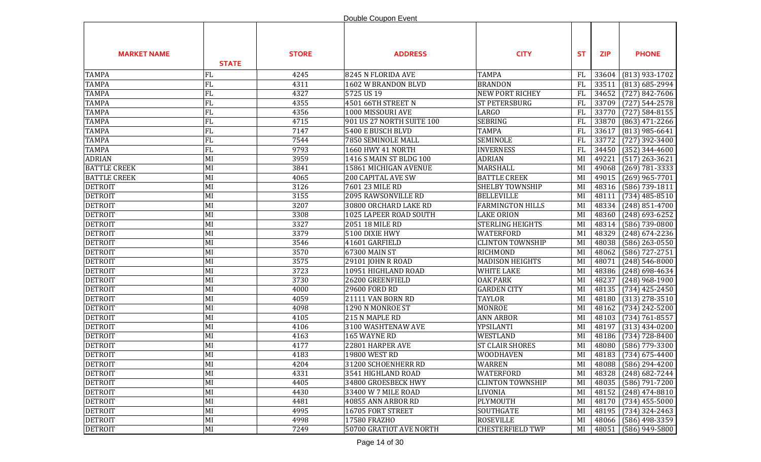|                     |              |              | Double Coupon Event       |                         |           |            |                    |
|---------------------|--------------|--------------|---------------------------|-------------------------|-----------|------------|--------------------|
| <b>MARKET NAME</b>  | <b>STATE</b> | <b>STORE</b> | <b>ADDRESS</b>            | <b>CITY</b>             | <b>ST</b> | <b>ZIP</b> | <b>PHONE</b>       |
| <b>TAMPA</b>        | FL           | 4245         | 8245 N FLORIDA AVE        | <b>TAMPA</b>            | FL        | 33604      | (813) 933-1702     |
| <b>TAMPA</b>        | FL           | 4311         | 1602 W BRANDON BLVD       | <b>BRANDON</b>          | <b>FL</b> | 33511      | $(813) 685 - 2994$ |
| <b>TAMPA</b>        | FL           | 4327         | 5725 US 19                | <b>NEW PORT RICHEY</b>  | <b>FL</b> | 34652      | $(727) 842 - 7606$ |
| <b>TAMPA</b>        | FL           | 4355         | 4501 66TH STREET N        | <b>ST PETERSBURG</b>    | <b>FL</b> | 33709      | $(727) 544 - 2578$ |
| <b>TAMPA</b>        | FL           | 4356         | 1000 MISSOURI AVE         | <b>LARGO</b>            | FL        | 33770      | $(727) 584 - 8155$ |
| <b>TAMPA</b>        | FL           | 4715         | 901 US 27 NORTH SUITE 100 | <b>SEBRING</b>          | FL        | 33870      | $(863)$ 471-2266   |
| <b>TAMPA</b>        | FL           | 7147         | 5400 E BUSCH BLVD         | <b>TAMPA</b>            | FL        | 33617      | $(813)$ 985-6641   |
| <b>TAMPA</b>        | FL           | 7544         | 7850 SEMINOLE MALL        | SEMINOLE                | FL        | 33772      | $(727)$ 392-3400   |
| <b>TAMPA</b>        | FL           | 9793         | 1660 HWY 41 NORTH         | <b>INVERNESS</b>        | FL        | 34450      | $(352)$ 344-4600   |
| <b>ADRIAN</b>       | MI           | 3959         | 1416 S MAIN ST BLDG 100   | <b>ADRIAN</b>           | MI        | 49221      | $(517)$ 263-3621   |
| <b>BATTLE CREEK</b> | MI           | 3841         | 15861 MICHIGAN AVENUE     | MARSHALL                | MI        | 49068      | $(269) 781 - 3333$ |
| <b>BATTLE CREEK</b> | MI           | 4065         | <b>200 CAPITAL AVE SW</b> | <b>BATTLE CREEK</b>     | MI        | 49015      | $(269)$ 965-7701   |
| <b>DETROIT</b>      | MI           | 3126         | 7601 23 MILE RD           | <b>SHELBY TOWNSHIP</b>  | MI        | 48316      | $(586)$ 739-1811   |
| <b>DETROIT</b>      | MI           | 3155         | 2095 RAWSONVILLE RD       | <b>BELLEVILLE</b>       | MI        | 48111      | $(734)$ 485-8510   |
| <b>DETROIT</b>      | MI           | 3207         | 30800 ORCHARD LAKE RD     | <b>FARMINGTON HILLS</b> | MI        | 48334      | $(248)$ 851-4700   |
| <b>DETROIT</b>      | MI           | 3308         | 1025 LAPEER ROAD SOUTH    | <b>LAKE ORION</b>       | MI        | 48360      | $(248)$ 693-6252   |
| <b>DETROIT</b>      | MI           | 3327         | 2051 18 MILE RD           | <b>STERLING HEIGHTS</b> | MI        | 48314      | $(586)$ 739-0800   |
| <b>DETROIT</b>      | MI           | 3379         | 5100 DIXIE HWY            | <b>WATERFORD</b>        | MI        | 48329      | $(248) 674 - 2236$ |
| <b>DETROIT</b>      | MI           | 3546         | 41601 GARFIELD            | <b>CLINTON TOWNSHIP</b> | MI        | 48038      | $(586)$ 263-0550   |
| <b>DETROIT</b>      | MI           | 3570         | 67300 MAIN ST             | <b>RICHMOND</b>         | MI        | 48062      | (586) 727-2751     |
| <b>DETROIT</b>      | MI           | 3575         | 29101 JOHN R ROAD         | <b>MADISON HEIGHTS</b>  | MI        | 48071      | $(248) 546 - 8000$ |
| <b>DETROIT</b>      | MI           | 3723         | 10951 HIGHLAND ROAD       | <b>WHITE LAKE</b>       | MI        | 48386      | $(248)$ 698-4634   |
| <b>DETROIT</b>      | MI           | 3730         | 26200 GREENFIELD          | <b>OAK PARK</b>         | MI        | 48237      | $(248)$ 968-1900   |
| <b>DETROIT</b>      | MI           | 4000         | 29600 FORD RD             | <b>GARDEN CITY</b>      | MI        | 48135      | $(734)$ 425-2450   |
| <b>DETROIT</b>      | MI           | 4059         | 21111 VAN BORN RD         | <b>TAYLOR</b>           | MI        | 48180      | $(313)$ 278-3510   |
| <b>DETROIT</b>      | MI           | 4098         | 1290 N MONROE ST          | <b>MONROE</b>           | MI        | 48162      | $(734)$ 242-5200   |
| <b>DETROIT</b>      | MI           | 4105         | 215 N MAPLE RD            | <b>ANN ARBOR</b>        | MI        | 48103      | $(734) 761 - 8557$ |
| <b>DETROIT</b>      | MI           | 4106         | 3100 WASHTENAW AVE        | YPSILANTI               | MI        | 48197      | $(313)$ 434-0200   |
| <b>DETROIT</b>      | MI           | 4163         | 165 WAYNE RD              | WESTLAND                | MI        | 48186      | $(734) 728 - 8400$ |
| <b>DETROIT</b>      | MI           | 4177         | 22801 HARPER AVE          | <b>ST CLAIR SHORES</b>  | MI        | 48080      | (586) 779-3300     |
| <b>DETROIT</b>      | MI           | 4183         | 19800 WEST RD             | <b>WOODHAVEN</b>        | MI        | 48183      | $(734)$ 675-4400   |
| <b>DETROIT</b>      | MI           | 4204         | 31200 SCHOENHERR RD       | WARREN                  | MI        | 48088      | $(586)$ 294-4200   |
| <b>DETROIT</b>      | MI           | 4331         | 3541 HIGHLAND ROAD        | <b>WATERFORD</b>        | MI        | 48328      | $(248) 682 - 7244$ |
| <b>DETROIT</b>      | MI           | 4405         | 34800 GROESBECK HWY       | <b>CLINTON TOWNSHIP</b> | MI        | 48035      | $(586) 791 - 7200$ |
| <b>DETROIT</b>      | MI           | 4430         | 33400 W 7 MILE ROAD       | <b>LIVONIA</b>          | MI        | 48152      | $(248)$ 474-8810   |
| <b>DETROIT</b>      | MI           | 4481         | 40855 ANN ARBOR RD        | PLYMOUTH                | MI        | 48170      | $(734)$ 455-5000   |
| <b>DETROIT</b>      | MI           | 4995         | 16705 FORT STREET         | SOUTHGATE               | MI        | 48195      | $(734)$ 324-2463   |
| <b>DETROIT</b>      | MI           | 4998         | 17580 FRAZHO              | ROSEVILLE               | MI        | 48066      | $(586)$ 498-3359   |
| <b>DETROIT</b>      | MI           | 7249         | 50700 GRATIOT AVE NORTH   | <b>CHESTERFIELD TWP</b> | MI        | 48051      | $(586)$ 949-5800   |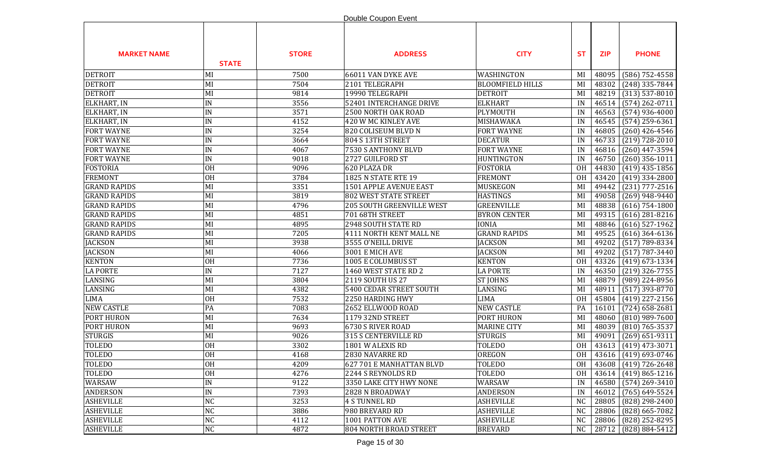|                     |                 |              | Double Coupon Event              |                         |                |            |                         |
|---------------------|-----------------|--------------|----------------------------------|-------------------------|----------------|------------|-------------------------|
| <b>MARKET NAME</b>  | <b>STATE</b>    | <b>STORE</b> | <b>ADDRESS</b>                   | <b>CITY</b>             | <b>ST</b>      | <b>ZIP</b> | <b>PHONE</b>            |
| <b>DETROIT</b>      | MI              | 7500         | 66011 VAN DYKE AVE               | WASHINGTON              | MI             | 48095      | $(586)$ 752-4558        |
| <b>DETROIT</b>      | MI              | 7504         | 2101 TELEGRAPH                   | <b>BLOOMFIELD HILLS</b> | MI             | 48302      | $(248)$ 335-7844        |
| <b>DETROIT</b>      | MI              | 9814         | 19990 TELEGRAPH                  | <b>DETROIT</b>          | MI             | 48219      | $(313)$ 537-8010        |
| ELKHART, IN         | $\texttt{IN}$   | 3556         | 52401 INTERCHANGE DRIVE          | <b>ELKHART</b>          | IN             | 46514      | $(574)$ 262-0711        |
| ELKHART, IN         | IN              | 3571         | 2500 NORTH OAK ROAD              | PLYMOUTH                | IN             | 46563      | $(574)$ 936-4000        |
| ELKHART, IN         | IN              | 4152         | 420 W MC KINLEY AVE              | MISHAWAKA               | IN             | 46545      | $(574)$ 259-6361        |
| <b>FORT WAYNE</b>   | IN              | 3254         | 820 COLISEUM BLVD N              | <b>FORT WAYNE</b>       | IN             | 46805      | $(260)$ 426-4546        |
| <b>FORT WAYNE</b>   | IN              | 3664         | 804 S 13TH STREET                | <b>DECATUR</b>          | IN             | 46733      | $(219) 728 - 2010$      |
| <b>FORT WAYNE</b>   | IN              | 4067         | 7530 S ANTHONY BLVD              | <b>FORT WAYNE</b>       | IN             | 46816      | $(260)$ 447-3594        |
| <b>FORT WAYNE</b>   | IN              | 9018         | 2727 GUILFORD ST                 | <b>HUNTINGTON</b>       | IN             | 46750      | $(260)$ 356-1011        |
| <b>FOSTORIA</b>     | OH              | 9096         | 620 PLAZA DR                     | <b>FOSTORIA</b>         | <b>OH</b>      | 44830      | $(419)$ 435-1856        |
| <b>FREMONT</b>      | OH              | 3784         | <b>1825 N STATE RTE 19</b>       | <b>FREMONT</b>          | <b>OH</b>      | 43420      | $(419)$ 334-2800        |
| <b>GRAND RAPIDS</b> | MI              | 3351         | 1501 APPLE AVENUE EAST           | MUSKEGON                | MI             | 49442      | $(231)$ 777-2516        |
| <b>GRAND RAPIDS</b> | MI              | 3819         | <b>802 WEST STATE STREET</b>     | <b>HASTINGS</b>         | MI             | 49058      | $(269)$ 948-9440        |
| <b>GRAND RAPIDS</b> | MI              | 4796         | <b>205 SOUTH GREENVILLE WEST</b> | <b>GREENVILLE</b>       | MI             | 48838      | $(616)$ 754-1800        |
| <b>GRAND RAPIDS</b> | MI              | 4851         | 701 68TH STREET                  | <b>BYRON CENTER</b>     | MI             | 49315      | $(616)$ 281-8216        |
| <b>GRAND RAPIDS</b> | MI              | 4895         | 2948 SOUTH STATE RD              | <b>IONIA</b>            | MI             | 48846      | $(616)$ 527-1962        |
| <b>GRAND RAPIDS</b> | MI              | 7205         | 4111 NORTH KENT MALL NE          | <b>GRAND RAPIDS</b>     | MI             | 49525      | $(616)$ 364-6136        |
| <b>JACKSON</b>      | MI              | 3938         | 3555 O'NEILL DRIVE               | <b>JACKSON</b>          | MI             | 49202      | $(517) 789 - 8334$      |
| <b>JACKSON</b>      | MI              | 4066         | 3001 E MICH AVE                  | <b>JACKSON</b>          | MI             | 49202      | $(517) 787 - 3440$      |
| <b>KENTON</b>       | <b>OH</b>       | 7736         | 1005 E COLUMBUS ST               | <b>KENTON</b>           | <b>OH</b>      | 43326      | $(419)$ 673-1334        |
| <b>LA PORTE</b>     | IN              | 7127         | 1460 WEST STATE RD 2             | <b>LA PORTE</b>         | IN             | 46350      | $(219)$ 326-7755        |
| LANSING             | MI              | 3804         | 2119 SOUTH US 27                 | <b>ST JOHNS</b>         | MI             | 48879      | (989) 224-8956          |
| LANSING             | MI              | 4382         | 5400 CEDAR STREET SOUTH          | LANSING                 | MI             | 48911      | $(517)$ 393-8770        |
| <b>LIMA</b>         | <b>OH</b>       | 7532         | 2250 HARDING HWY                 | <b>LIMA</b>             | <b>OH</b>      | 45804      | $(419)$ 227-2156        |
| <b>NEW CASTLE</b>   | PA              | 7083         | 2652 ELLWOOD ROAD                | <b>NEW CASTLE</b>       | PA             | 16101      | $(724)$ 658-2681        |
| <b>PORT HURON</b>   | MI              | 7634         | <b>1179 32ND STREET</b>          | PORT HURON              | MI             | 48060      | $(810)$ 989-7600        |
| PORT HURON          | MI              | 9693         | 6730 S RIVER ROAD                | <b>MARINE CITY</b>      | MI             | 48039      | $(810)$ 765-3537        |
| <b>STURGIS</b>      | MI              | 9026         | 315 S CENTERVILLE RD             | <b>STURGIS</b>          | MI             | 49091      | $(269)$ 651-9311        |
| <b>TOLEDO</b>       | <b>OH</b>       | 3302         | 1801 W ALEXIS RD                 | <b>TOLEDO</b>           | <b>OH</b>      |            | 43613 (419) 473-3071    |
| <b>TOLEDO</b>       | $\overline{OH}$ | 4168         | 2830 NAVARRE RD                  | OREGON                  |                |            | OH 43616 (419) 693-0746 |
| TOLEDO              | <b>OH</b>       | 4209         | 627 701 E MANHATTAN BLVD         | <b>TOLEDO</b>           | 0H             |            | 43608 (419) 726-2648    |
| <b>TOLEDO</b>       | <b>OH</b>       | 4276         | 2244 S REYNOLDS RD               | <b>TOLEDO</b>           | 0H             | 43614      | $(419) 865 - 1216$      |
| WARSAW              | IN              | 9122         | 3350 LAKE CITY HWY NONE          | WARSAW                  | IN             | 46580      | $(574)$ 269-3410        |
| <b>ANDERSON</b>     | IN              | 7393         | 2828 N BROADWAY                  | <b>ANDERSON</b>         | IN             | 46012      | $(765)$ 649-5524        |
| <b>ASHEVILLE</b>    | <b>NC</b>       | 3253         | <b>4 S TUNNEL RD</b>             | <b>ASHEVILLE</b>        | N <sub>C</sub> | 28805      | (828) 298-2400          |
| <b>ASHEVILLE</b>    | <b>NC</b>       | 3886         | 980 BREVARD RD                   | <b>ASHEVILLE</b>        | N <sub>C</sub> | 28806      | $(828)$ 665-7082        |
| <b>ASHEVILLE</b>    | <b>NC</b>       | 4112         | 1001 PATTON AVE                  | <b>ASHEVILLE</b>        | N <sub>C</sub> | 28806      | (828) 252-8295          |
| <b>ASHEVILLE</b>    | NC              | 4872         | <b>804 NORTH BROAD STREET</b>    | <b>BREVARD</b>          | NC             | 28712      | (828) 884-5412          |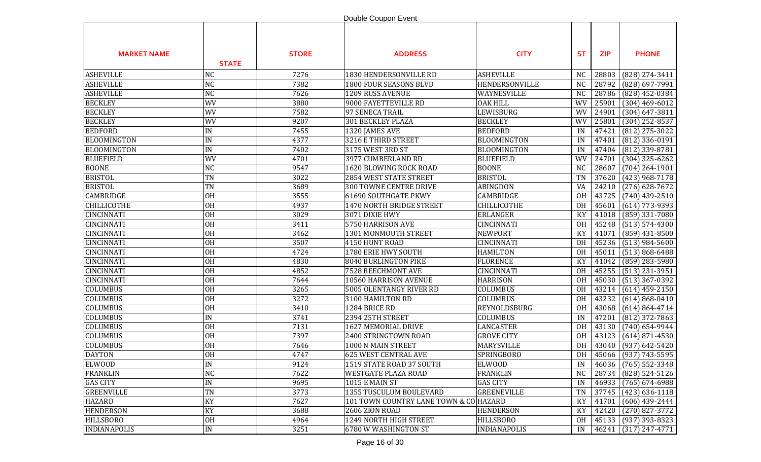|                     |                 |              | Double Coupon Event                    |                     |           |            |                      |
|---------------------|-----------------|--------------|----------------------------------------|---------------------|-----------|------------|----------------------|
| <b>MARKET NAME</b>  | <b>STATE</b>    | <b>STORE</b> | <b>ADDRESS</b>                         | <b>CITY</b>         | <b>ST</b> | <b>ZIP</b> | <b>PHONE</b>         |
| <b>ASHEVILLE</b>    | <b>NC</b>       | 7276         | 1830 HENDERSONVILLE RD                 | <b>ASHEVILLE</b>    | <b>NC</b> | 28803      | (828) 274-3411       |
| <b>ASHEVILLE</b>    | <b>NC</b>       | 7382         | 1800 FOUR SEASONS BLVD                 | HENDERSONVILLE      | <b>NC</b> | 28792      | (828) 697-7991       |
| <b>ASHEVILLE</b>    | <b>NC</b>       | 7626         | 1209 RUSS AVENUE                       | WAYNESVILLE         | <b>NC</b> | 28786      | (828) 452-0384       |
| <b>BECKLEY</b>      | WV              | 3880         | 9000 FAYETTEVILLE RD                   | <b>OAK HILL</b>     | WV        | 25901      | $(304)$ 469-6012     |
| <b>BECKLEY</b>      | WV              | 7582         | 97 SENECA TRAIL                        | LEWISBURG           | WV        | 24901      | $(304) 647 - 3811$   |
| <b>BECKLEY</b>      | WV              | 9207         | 301 BECKLEY PLAZA                      | <b>BECKLEY</b>      | WV        | 25801      | $(304)$ 252-8537     |
| <b>BEDFORD</b>      | IN              | 7455         | 1320 JAMES AVE                         | <b>BEDFORD</b>      | IN        | 47421      | $(812)$ 275-3022     |
| <b>BLOOMINGTON</b>  | $\texttt{IN}$   | 4377         | 3216 E THIRD STREET                    | <b>BLOOMINGTON</b>  | IN        | 47401      | $(812)$ 336-0191     |
| <b>BLOOMINGTON</b>  | $\texttt{IN}$   | 7402         | 3175 WEST 3RD ST                       | <b>BLOOMINGTON</b>  | IN        | 47404      | (812) 339-8781       |
| <b>BLUEFIELD</b>    | WV              | 4701         | 3977 CUMBERLAND RD                     | <b>BLUEFIELD</b>    | WV        | 24701      | $(304)$ 325-6262     |
| <b>BOONE</b>        | <b>NC</b>       | 9547         | 1620 BLOWING ROCK ROAD                 | <b>BOONE</b>        | <b>NC</b> | 28607      | $(704)$ 264-1901     |
| <b>BRISTOL</b>      | <b>TN</b>       | 3022         | 2854 WEST STATE STREET                 | <b>BRISTOL</b>      | <b>TN</b> | 37620      | $(423)$ 968-7178     |
| <b>BRISTOL</b>      | <b>TN</b>       | 3689         | 300 TOWNE CENTRE DRIVE                 | ABINGDON            | VA        | 24210      | $(276)$ 628-7672     |
| CAMBRIDGE           | <b>OH</b>       | 3555         | <b>61690 SOUTHGATE PKWY</b>            | CAMBRIDGE           | <b>OH</b> | 43725      | $(740)$ 439-2510     |
| <b>CHILLICOTHE</b>  | <b>OH</b>       | 4937         | 1470 NORTH BRIDGE STREET               | <b>CHILLICOTHE</b>  | <b>OH</b> | 45601      | $(614)$ 773-9393     |
| CINCINNATI          | <b>OH</b>       | 3029         | 3071 DIXIE HWY                         | <b>ERLANGER</b>     | KY        | 41018      | $(859)$ 331-7080     |
| <b>CINCINNATI</b>   | <b>OH</b>       | 3411         | 5750 HARRISON AVE                      | <b>CINCINNATI</b>   | <b>OH</b> | 45248      | $(513) 574 - 4300$   |
| <b>CINCINNATI</b>   | <b>OH</b>       | 3462         | 1301 MONMOUTH STREET                   | <b>NEWPORT</b>      | KY        | 41071      | $(859)$ 431-8500     |
| CINCINNATI          | <b>OH</b>       | 3507         | 4150 HUNT ROAD                         | <b>CINCINNATI</b>   | <b>OH</b> | 45236      | $(513)$ 984-5600     |
| CINCINNATI          | <b>OH</b>       | 4724         | 1780 ERIE HWY SOUTH                    | <b>HAMILTON</b>     | <b>OH</b> | 45011      | $(513) 868 - 6488$   |
| <b>CINCINNATI</b>   | <b>OH</b>       | 4830         | 8040 BURLINGTON PIKE                   | <b>FLORENCE</b>     | KY        | 41042      | $(859)$ 283-5980     |
| <b>CINCINNATI</b>   | <b>OH</b>       | 4852         | 7528 BEECHMONT AVE                     | <b>CINCINNATI</b>   | <b>OH</b> | 45255      | $(513)$ 231-3951     |
| <b>CINCINNATI</b>   | <b>OH</b>       | 7644         | 10560 HARRISON AVENUE                  | <b>HARRISON</b>     | <b>OH</b> | 45030      | $(513)$ 367-0392     |
| <b>COLUMBUS</b>     | <b>OH</b>       | 3265         | 5005 OLENTANGY RIVER RD                | COLUMBUS            | <b>OH</b> | 43214      | $(614)$ 459-2150     |
| <b>COLUMBUS</b>     | <b>OH</b>       | 3272         | 3100 HAMILTON RD                       | COLUMBUS            | <b>OH</b> | 43232      | $(614) 868 - 0410$   |
| <b>COLUMBUS</b>     | OH              | 3410         | 1284 BRICE RD                          | REYNOLDSBURG        | <b>OH</b> | 43068      | $(614) 864 - 4714$   |
| <b>COLUMBUS</b>     | $\texttt{IN}$   | 3741         | 2394 25TH STREET                       | COLUMBUS            | IN        | 47201      | $(812)$ 372-7863     |
| COLUMBUS            | <b>OH</b>       | 7131         | 1627 MEMORIAL DRIVE                    | <b>LANCASTER</b>    | <b>OH</b> | 43130      | $(740)$ 654-9944     |
| COLUMBUS            | <b>OH</b>       | 7397         | 2400 STRINGTOWN ROAD                   | <b>GROVE CITY</b>   | <b>OH</b> | 43123      | $(614)$ 871-4530     |
| <b>COLUMBUS</b>     | <b>OH</b>       | 7646         | 1000 N MAIN STREET                     | MARYSVILLE          | <b>OH</b> |            | 43040 (937) 642-5420 |
| <b>DAYTON</b>       | $\overline{OH}$ | 4747         | 625 WEST CENTRAL AVE                   | SPRINGBORO          | OH        |            | 45066 (937) 743-5595 |
| <b>ELWOOD</b>       | IN              | 9124         | 1519 STATE ROAD 37 SOUTH               | <b>ELWOOD</b>       | IN        | 46036      | $(765)$ 552-3348     |
| <b>FRANKLIN</b>     | <b>NC</b>       | 7622         | WESTGATE PLAZA ROAD                    | <b>FRANKLIN</b>     | NC        | 28734      | (828) 524-5126       |
| <b>GAS CITY</b>     | IN              | 9695         | <b>1015 E MAIN ST</b>                  | <b>GAS CITY</b>     | IN        | 46933      | $(765) 674 - 6988$   |
| <b>GREENVILLE</b>   | <b>TN</b>       | 3773         | 1355 TUSCULUM BOULEVARD                | <b>GREENEVILLE</b>  | <b>TN</b> | 37745      | $(423)$ 636-1118     |
| <b>HAZARD</b>       | KY              | 7627         | 101 TOWN COUNTRY LANE TOWN & CO HAZARD |                     | KY        | 41701      | $(606)$ 439-2444     |
| <b>HENDERSON</b>    | KY              | 3688         | 2606 ZION ROAD                         | <b>HENDERSON</b>    | KY        | 42420      | $(270)$ 827-3772     |
| <b>HILLSBORO</b>    | <b>OH</b>       | 4964         | 1249 NORTH HIGH STREET                 | <b>HILLSBORO</b>    | 0H        | 45133      | $(937)$ 393-8323     |
| <b>INDIANAPOLIS</b> | IN              | 3251         | 6780 W WASHINGTON ST                   | <b>INDIANAPOLIS</b> | IN        |            | 46241 (317) 247-4771 |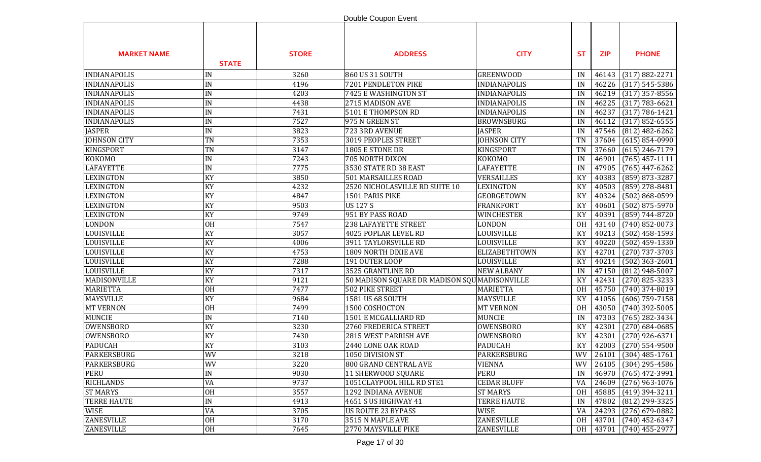|                     |               |              | Double Coupon Event                           |                     |           |            |                                      |
|---------------------|---------------|--------------|-----------------------------------------------|---------------------|-----------|------------|--------------------------------------|
| <b>MARKET NAME</b>  | <b>STATE</b>  | <b>STORE</b> | <b>ADDRESS</b>                                | <b>CITY</b>         | <b>ST</b> | <b>ZIP</b> | <b>PHONE</b>                         |
| <b>INDIANAPOLIS</b> | IN            | 3260         | 860 US 31 SOUTH                               | <b>GREENWOOD</b>    | IN        | 46143      | $(317) 882 - 2271$                   |
| <b>INDIANAPOLIS</b> | IN            | 4196         | 7201 PENDLETON PIKE                           | <b>INDIANAPOLIS</b> | IN        | 46226      | $(317) 545 - 5386$                   |
| <b>INDIANAPOLIS</b> | IN            | 4203         | 7425 E WASHINGTON ST                          | <b>INDIANAPOLIS</b> | IN        | 46219      | $(317)$ 357-8556                     |
| <b>INDIANAPOLIS</b> | IN            | 4438         | 2715 MADISON AVE                              | <b>INDIANAPOLIS</b> | IN        | 46225      | $(317) 783 - 6621$                   |
| <b>INDIANAPOLIS</b> | IN            | 7431         | 5101 E THOMPSON RD                            | <b>INDIANAPOLIS</b> | IN        | 46237      | $(317) 786 - 1421$                   |
| <b>INDIANAPOLIS</b> | IN            | 7527         | 975 N GREEN ST                                | <b>BROWNSBURG</b>   | IN        | 46112      | $(317) 852 - 6555$                   |
| <b>JASPER</b>       | IN            | 3823         | 723 3RD AVENUE                                | <b>JASPER</b>       | IN        | 47546      | $(812)$ 482-6262                     |
| <b>JOHNSON CITY</b> | TN            | 7353         | 3019 PEOPLES STREET                           | <b>JOHNSON CITY</b> | <b>TN</b> | 37604      | $(615) 854 - 0990$                   |
| <b>KINGSPORT</b>    | TN            | 3147         | 1805 E STONE DR                               | KINGSPORT           | <b>TN</b> | 37660      | $(615)$ 246-7179                     |
| <b>KOKOMO</b>       | IN            | 7243         | <b>705 NORTH DIXON</b>                        | <b>KOKOMO</b>       | IN        | 46901      | $(765)$ 457-1111                     |
| <b>LAFAYETTE</b>    | IN            | 7775         | 3530 STATE RD 38 EAST                         | <b>LAFAYETTE</b>    | IN        | 47905      | $(765)$ 447-6262                     |
| <b>LEXINGTON</b>    | KY            | 3850         | <b>501 MARSAILLES ROAD</b>                    | VERSAILLES          | KY        | 40383      | (859) 873-3287                       |
| <b>LEXINGTON</b>    | KY            | 4232         | 2520 NICHOLASVILLE RD SUITE 10                | <b>LEXINGTON</b>    | KY        | 40503      | $(859)$ 278-8481                     |
| <b>LEXINGTON</b>    | KY            | 4847         | 1501 PARIS PIKE                               | <b>GEORGETOWN</b>   | KY        | 40324      | $(502) 868 - 0599$                   |
| <b>LEXINGTON</b>    | KY            | 9503         | <b>US127S</b>                                 | <b>FRANKFORT</b>    | KY        | 40601      | $(502)$ 875-5970                     |
| <b>LEXINGTON</b>    | KY            | 9749         | 951 BY PASS ROAD                              | WINCHESTER          | KY        | 40391      | $(859) 744 - 8720$                   |
| <b>LONDON</b>       | <b>OH</b>     | 7547         | 238 LAFAYETTE STREET                          | <b>LONDON</b>       | 0H        | 43140      | $(740)$ 852-0073                     |
| LOUISVILLE          | KY            | 3057         | 4025 POPLAR LEVEL RD                          | <b>LOUISVILLE</b>   | KY        | 40213      | $(502)$ 458-1593                     |
| LOUISVILLE          | KY            | 4006         | 3911 TAYLORSVILLE RD                          | <b>LOUISVILLE</b>   | KY        | 40220      | $(502)$ 459-1330                     |
| LOUISVILLE          | KY            | 4753         | 1809 NORTH DIXIE AVE                          | ELIZABETHTOWN       | KY        | 42701      | $(270)$ 737-3703                     |
| <b>LOUISVILLE</b>   | KY            | 7288         | 191 OUTER LOOP                                | LOUISVILLE          | KY        | 40214      | $(502)$ 363-2601                     |
| <b>LOUISVILLE</b>   | KY            | 7317         | 3525 GRANTLINE RD                             | <b>NEW ALBANY</b>   | IN        | 47150      | $(812)$ 948-5007                     |
| MADISONVILLE        | KY            | 9121         | 50 MADISON SQUARE DR MADISON SQU MADISONVILLE |                     | KY        | 42431      | $(270)$ 825-3233                     |
| <b>MARIETTA</b>     | <b>OH</b>     | 7477         | <b>502 PIKE STREET</b>                        | MARIETTA            | <b>OH</b> | 45750      | $(740)$ 374-8019                     |
| <b>MAYSVILLE</b>    | KY            | 9684         | 1581 US 68 SOUTH                              | <b>MAYSVILLE</b>    | KY        | 41056      | $(606)$ 759-7158                     |
| <b>MT VERNON</b>    | <b>OH</b>     | 7499         | 1500 COSHOCTON                                | <b>MT VERNON</b>    | <b>OH</b> | 43050      | $(740)$ 392-5005                     |
| <b>MUNCIE</b>       | IN            | 7140         | 1501 E MCGALLIARD RD                          | <b>MUNCIE</b>       | IN        | 47303      | $(765)$ 282-3434                     |
| <b>OWENSBORO</b>    | KY            | 3230         | 2760 FREDERICA STREET                         | <b>OWENSBORO</b>    | KY        | 42301      | $(270)$ 684-0685                     |
| <b>OWENSBORO</b>    | KY            | 7430         | 2815 WEST PARRISH AVE                         | <b>OWENSBORO</b>    | KY        | 42301      | $(270)$ 926-6371                     |
| <b>PADUCAH</b>      | KY            | 3103         | 2440 LONE OAK ROAD                            | <b>PADUCAH</b>      | KY        | 42003      | $(270)$ 554-9500                     |
| <b>PARKERSBURG</b>  | <b>WV</b>     | 3218         | 1050 DIVISION ST                              | PARKERSBURG         | <b>WV</b> |            | $\overline{26101   (304) 485}$ -1761 |
| PARKERSBURG         | WV            | 3220         | 800 GRAND CENTRAL AVE                         | <b>VIENNA</b>       | WV        | 26105      | $(304)$ 295-4586                     |
| PERU                | IN            | 9030         | 11 SHERWOOD SQUARE                            | <b>PERU</b>         | IN        | 46970      | $(765)$ 472-3991                     |
| <b>RICHLANDS</b>    | VA            | 9737         | 1051CLAYPOOL HILL RD STE1                     | <b>CEDAR BLUFF</b>  | VA        | 24609      | $(276)$ 963-1076                     |
| <b>ST MARYS</b>     | <b>OH</b>     | 3557         | 1292 INDIANA AVENUE                           | <b>ST MARYS</b>     | 0H        | 45885      | $(419)$ 394-3211                     |
| <b>TERRE HAUTE</b>  | $\text{IN}{}$ | 4913         | 4651 S US HIGHWAY 41                          | <b>TERRE HAUTE</b>  | IN        | 47802      | (812) 299-3325                       |
| WISE                | VA            | 3705         | US ROUTE 23 BYPASS                            | WISE                | VA        | 24293      | $(276)$ 679-0882                     |
| ZANESVILLE          | <b>OH</b>     | 3170         | 3515 N MAPLE AVE                              | ZANESVILLE          | 0H        | 43701      | $(740)$ 452-6347                     |
| ZANESVILLE          | <b>OH</b>     | 7645         | 2770 MAYSVILLE PIKE                           | <b>ZANESVILLE</b>   | 0H        | 43701      | $(740)$ 455-2977                     |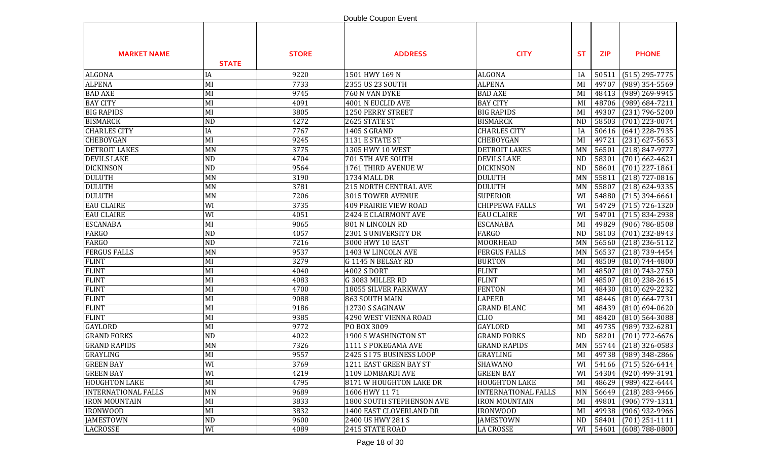|                            |                 |              | Double Coupon Event          |                            |           |            |                      |
|----------------------------|-----------------|--------------|------------------------------|----------------------------|-----------|------------|----------------------|
| <b>MARKET NAME</b>         | <b>STATE</b>    | <b>STORE</b> | <b>ADDRESS</b>               | <b>CITY</b>                | <b>ST</b> | <b>ZIP</b> | <b>PHONE</b>         |
| <b>ALGONA</b>              | IA              | 9220         | 1501 HWY 169 N               | <b>ALGONA</b>              | IA        | 50511      | $(515)$ 295-7775     |
| <b>ALPENA</b>              | MI              | 7733         | 2355 US 23 SOUTH             | <b>ALPENA</b>              | MI        | 49707      | $(989)$ 354-5569     |
| <b>BAD AXE</b>             | MI              | 9745         | 760 N VAN DYKE               | <b>BAD AXE</b>             | MI        | 48413      | (989) 269-9945       |
| <b>BAY CITY</b>            | MI              | 4091         | 4001 N EUCLID AVE            | <b>BAY CITY</b>            | MI        | 48706      | $(989) 684 - 7211$   |
| <b>BIG RAPIDS</b>          | MI              | 3805         | 1250 PERRY STREET            | <b>BIG RAPIDS</b>          | MI        | 49307      | $(231) 796 - 5200$   |
| <b>BISMARCK</b>            | ND              | 4272         | 2625 STATE ST                | <b>BISMARCK</b>            | <b>ND</b> | 58503      | $(701)$ 223-0074     |
| <b>CHARLES CITY</b>        | IA              | 7767         | <b>1405 S GRAND</b>          | <b>CHARLES CITY</b>        | IA        | 50616      | $(641)$ 228-7935     |
| <b>CHEBOYGAN</b>           | MI              | 9245         | 1131 E STATE ST              | CHEBOYGAN                  | MI        | 49721      | $(231)$ 627-5653     |
| <b>DETROIT LAKES</b>       | MN              | 3775         | 1305 HWY 10 WEST             | DETROIT LAKES              | MN        | 56501      | $(218) 847 - 9777$   |
| <b>DEVILS LAKE</b>         | <b>ND</b>       | 4704         | 701 5TH AVE SOUTH            | <b>DEVILS LAKE</b>         | <b>ND</b> | 58301      | $(701)$ 662-4621     |
| <b>DICKINSON</b>           | <b>ND</b>       | 9564         | 1761 THIRD AVENUE W          | <b>DICKINSON</b>           | <b>ND</b> | 58601      | $(701)$ 227-1861     |
| <b>DULUTH</b>              | MN              | 3190         | 1734 MALL DR                 | <b>DULUTH</b>              | <b>MN</b> | 55811      | $(218)$ 727-0816     |
| <b>DULUTH</b>              | MN              | 3781         | <b>215 NORTH CENTRAL AVE</b> | <b>DULUTH</b>              | MN        | 55807      | $(218) 624 - 9335$   |
| <b>DULUTH</b>              | MN              | 7206         | 3015 TOWER AVENUE            | <b>SUPERIOR</b>            | WI        | 54880      | $(715)$ 394-6661     |
| <b>EAU CLAIRE</b>          | WI              | 3735         | <b>409 PRAIRIE VIEW ROAD</b> | <b>CHIPPEWA FALLS</b>      | WI        | 54729      | $(715) 726 - 1320$   |
| <b>EAU CLAIRE</b>          | WI              | 4051         | 2424 E CLAIRMONT AVE         | <b>EAU CLAIRE</b>          | WI        | 54701      | $(715) 834 - 2938$   |
| <b>ESCANABA</b>            | MI              | 9065         | 801 N LINCOLN RD             | <b>ESCANABA</b>            | MI        | 49829      | $(906) 786 - 8508$   |
| <b>FARGO</b>               | <b>ND</b>       | 4057         | 2301 S UNIVERSITY DR         | <b>FARGO</b>               | <b>ND</b> | 58103      | $(701)$ 232-8943     |
| <b>FARGO</b>               | <b>ND</b>       | 7216         | 3000 HWY 10 EAST             | <b>MOORHEAD</b>            | <b>MN</b> | 56560      | $(218)$ 236-5112     |
| <b>FERGUS FALLS</b>        | MN              | 9537         | 1403 W LINCOLN AVE           | <b>FERGUS FALLS</b>        | MN        | 56537      | $(218) 739 - 4454$   |
| <b>FLINT</b>               | MI              | 3279         | G 1145 N BELSAY RD           | <b>BURTON</b>              | MI        | 48509      | $(810) 744 - 4800$   |
| <b>FLINT</b>               | MI              | 4040         | <b>4002 S DORT</b>           | <b>FLINT</b>               | MI        | 48507      | $(810) 743 - 2750$   |
| <b>FLINT</b>               | MI              | 4083         | G 3083 MILLER RD             | <b>FLINT</b>               | MI        | 48507      | $(810)$ 238-2615     |
| <b>FLINT</b>               | MI              | 4700         | 18055 SILVER PARKWAY         | <b>FENTON</b>              | MI        | 48430      | $(810)$ 629-2232     |
| <b>FLINT</b>               | MI              | 9088         | 863 SOUTH MAIN               | <b>LAPEER</b>              | MI        | 48446      | $(810)$ 664-7731     |
| <b>FLINT</b>               | MI              | 9186         | 12730 S SAGINAW              | <b>GRAND BLANC</b>         | MI        | 48439      | $(810) 694 - 0620$   |
| <b>FLINT</b>               | MI              | 9385         | 4290 WEST VIENNA ROAD        | <b>CLIO</b>                | MI        | 48420      | $(810)$ 564-3088     |
| <b>GAYLORD</b>             | MI              | 9772         | PO BOX 3009                  | <b>GAYLORD</b>             | MI        | 49735      | (989) 732-6281       |
| <b>GRAND FORKS</b>         | <b>ND</b>       | 4022         | 1900 S WASHINGTON ST         | <b>GRAND FORKS</b>         | <b>ND</b> | 58201      | $(701)$ 772-6676     |
| <b>GRAND RAPIDS</b>        | <b>MN</b>       | 7326         | 1111 S POKEGAMA AVE          | <b>GRAND RAPIDS</b>        | MN        | 55744      | $(218)$ 326-0583     |
| <b>GRAYLING</b>            | $\overline{MI}$ | 9557         | 2425 S I 75 BUSINESS LOOP    | GRAYLING                   | MI        |            | 49738 (989) 348-2866 |
| <b>GREEN BAY</b>           | WI              | 3769         | 1211 EAST GREEN BAY ST       | <b>SHAWANO</b>             | WI        | 54166      | $(715) 526 - 6414$   |
| <b>GREEN BAY</b>           | WI              | 4219         | 1109 LOMBARDI AVE            | <b>GREEN BAY</b>           | WI        | 54304      | $(920)$ 499-3191     |
| <b>HOUGHTON LAKE</b>       | MI              | 4795         | 8171 W HOUGHTON LAKE DR      | <b>HOUGHTON LAKE</b>       | MI        | 48629      | $(989)$ 422-6444     |
| <b>INTERNATIONAL FALLS</b> | MN              | 9689         | 1606 HWY 1171                | <b>INTERNATIONAL FALLS</b> | MN        | 56649      | $(218)$ 283-9466     |
| <b>IRON MOUNTAIN</b>       | MI              | 3833         | 1800 SOUTH STEPHENSON AVE    | <b>IRON MOUNTAIN</b>       | MI        | 49801      | $(906)$ 779-1311     |
| <b>IRONWOOD</b>            | MI              | 3832         | 1400 EAST CLOVERLAND DR      | <b>IRONWOOD</b>            | MI        | 49938      | $(906)$ 932-9966     |
| <b>JAMESTOWN</b>           | <b>ND</b>       | 9600         | 2400 US HWY 281 S            | <b>JAMESTOWN</b>           | <b>ND</b> | 58401      | $(701)$ 251-1111     |
| <b>LACROSSE</b>            | WI              | 4089         | 2415 STATE ROAD              | <b>LA CROSSE</b>           | WI        | 54601      | $(608) 788 - 0800$   |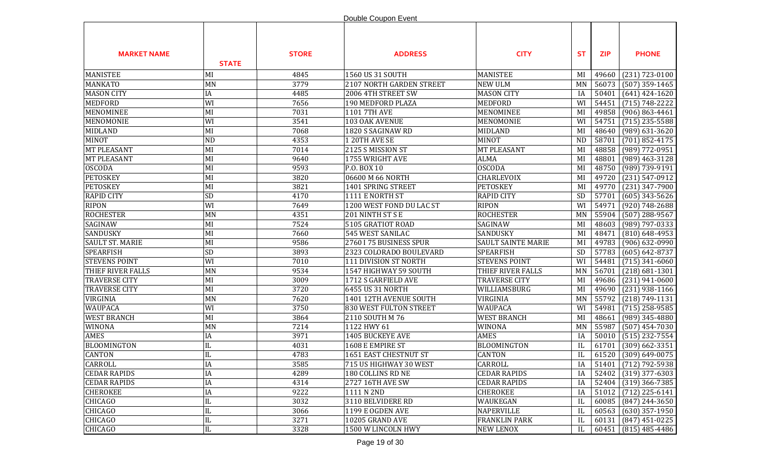|                        |                        |              | Double Coupon Event      |                           |           |            |                        |
|------------------------|------------------------|--------------|--------------------------|---------------------------|-----------|------------|------------------------|
| <b>MARKET NAME</b>     | <b>STATE</b>           | <b>STORE</b> | <b>ADDRESS</b>           | <b>CITY</b>               | <b>ST</b> | <b>ZIP</b> | <b>PHONE</b>           |
| <b>MANISTEE</b>        | MI                     | 4845         | 1560 US 31 SOUTH         | <b>MANISTEE</b>           | MI        | 49660      | $(231) 723 - 0100$     |
| <b>MANKATO</b>         | MN                     | 3779         | 2107 NORTH GARDEN STREET | <b>NEW ULM</b>            | MN        | 56073      | $(507)$ 359-1465       |
| <b>MASON CITY</b>      | IA                     | 4485         | 2006 4TH STREET SW       | <b>MASON CITY</b>         | IA        | 50401      | $(641)$ 424-1620       |
| <b>MEDFORD</b>         | WI                     | 7656         | 190 MEDFORD PLAZA        | <b>MEDFORD</b>            | WI        | 54451      | $(715) 748 - 2222$     |
| <b>MENOMINEE</b>       | MI                     | 7031         | 1101 7TH AVE             | MENOMINEE                 | MI        | 49858      | $(906) 863 - 4461$     |
| <b>MENOMONIE</b>       | WI                     | 3541         | 103 OAK AVENUE           | MENOMONIE                 | WI        | 54751      | $(715)$ 235-5588       |
| <b>MIDLAND</b>         | MI                     | 7068         | 1820 S SAGINAW RD        | <b>MIDLAND</b>            | MI        | 48640      | $(989)$ 631-3620       |
| <b>MINOT</b>           | <b>ND</b>              | 4353         | 1 20TH AVE SE            | <b>MINOT</b>              | <b>ND</b> | 58701      | $(701)$ 852-4175       |
| <b>MT PLEASANT</b>     | MI                     | 7014         | 2125 S MISSION ST        | <b>MT PLEASANT</b>        | MI        | 48858      | $(989)$ 772-0951       |
| <b>MT PLEASANT</b>     | MI                     | 9640         | 1755 WRIGHT AVE          | <b>ALMA</b>               | MI        | 48801      | $(989)$ 463-3128       |
| <b>OSCODA</b>          | MI                     | 9593         | P.O. BOX 10              | <b>OSCODA</b>             | MI        | 48750      | (989) 739-9191         |
| <b>PETOSKEY</b>        | MI                     | 3820         | 06600 M 66 NORTH         | CHARLEVOIX                | MI        | 49720      | $(231) 547 - 0912$     |
| <b>PETOSKEY</b>        | MI                     | 3821         | 1401 SPRING STREET       | <b>PETOSKEY</b>           | MI        | 49770      | $(231)$ 347-7900       |
| <b>RAPID CITY</b>      | <b>SD</b>              | 4170         | 1111 E NORTH ST          | <b>RAPID CITY</b>         | SD        | 57701      | $(605)$ 343-5626       |
| <b>RIPON</b>           | WI                     | 7649         | 1200 WEST FOND DU LAC ST | <b>RIPON</b>              | WI        | 54971      | $(920) 748 - 2688$     |
| <b>ROCHESTER</b>       | <b>MN</b>              | 4351         | 201 NINTH ST S E         | <b>ROCHESTER</b>          | MN        | 55904      | $(507)$ 288-9567       |
| SAGINAW                | MI                     | 7524         | 5105 GRATIOT ROAD        | SAGINAW                   | MI        | 48603      | $(989)$ 797-0333       |
| SANDUSKY               | MI                     | 7660         | 545 WEST SANILAC         | SANDUSKY                  | MI        | 48471      | $(810)$ 648-4953       |
| <b>SAULT ST. MARIE</b> | MI                     | 9586         | 2760 I 75 BUSINESS SPUR  | <b>SAULT SAINTE MARIE</b> | MI        | 49783      | $(906) 632 - 0990$     |
| <b>SPEARFISH</b>       | SD                     | 3893         | 2323 COLORADO BOULEVARD  | <b>SPEARFISH</b>          | SD        | 57783      | $(605) 642 - 8737$     |
| <b>STEVENS POINT</b>   | WI                     | 7010         | 111 DIVISION ST NORTH    | <b>STEVENS POINT</b>      | WI        | 54481      | $(715)$ 341-6060       |
| THIEF RIVER FALLS      | MN                     | 9534         | 1547 HIGHWAY 59 SOUTH    | THIEF RIVER FALLS         | <b>MN</b> | 56701      | $(218) 681 - 1301$     |
| <b>TRAVERSE CITY</b>   | MI                     | 3009         | 1712 S GARFIELD AVE      | <b>TRAVERSE CITY</b>      | MI        | 49686      | $(231)$ 941-0600       |
| <b>TRAVERSE CITY</b>   | MI                     | 3720         | 6455 US 31 NORTH         | WILLIAMSBURG              | MI        | 49690      | $(231)$ 938-1166       |
| VIRGINIA               | MN                     | 7620         | 1401 12TH AVENUE SOUTH   | VIRGINIA                  | MN        | 55792      | $(218) 749 - 1131$     |
| <b>WAUPACA</b>         | WI                     | 3750         | 830 WEST FULTON STREET   | <b>WAUPACA</b>            | WI        | 54981      | $(715)$ 258-9585       |
| <b>WEST BRANCH</b>     | MI                     | 3864         | 2110 SOUTH M 76          | <b>WEST BRANCH</b>        | MI        | 48661      | (989) 345-4880         |
| WINONA                 | MN                     | 7214         | 1122 HWY 61              | WINONA                    | MN        | 55987      | $(507)$ 454-7030       |
| <b>AMES</b>            | IA                     | 3971         | 1405 BUCKEYE AVE         | AMES                      | IA        | 50010      | $(515)$ 232-7554       |
| <b>BLOOMINGTON</b>     | $\rm IL$               | 4031         | 1608 E EMPIRE ST         | <b>BLOOMINGTON</b>        | IL        | 61701      | $(309)$ 662-3351       |
| <b>CANTON</b>          | $\mathbf{H}$<br>IЦ     | 4783         | 1651 EAST CHESTNUT ST    | <b>CANTON</b>             | $\rm IL$  |            | $61520$ (309) 649-0075 |
| CARROLL                | IA                     | 3585         | 715 US HIGHWAY 30 WEST   | CARROLL                   | IA        |            | 51401 (712) 792-5938   |
| <b>CEDAR RAPIDS</b>    | IA                     | 4289         | 180 COLLINS RD NE        | <b>CEDAR RAPIDS</b>       | IA        | 52402      | $(319)$ 377-6303       |
| <b>CEDAR RAPIDS</b>    | IA                     | 4314         | 2727 16TH AVE SW         | <b>CEDAR RAPIDS</b>       | IA        | 52404      | $(319)$ 366-7385       |
| <b>CHEROKEE</b>        | IA                     | 9222         | 1111 N 2ND               | <b>CHEROKEE</b>           | IA        | 51012      | $(712)$ 225-6141       |
| CHICAGO                | IL                     | 3032         | 3110 BELVIDERE RD        | WAUKEGAN                  | IL        | 60085      | $(847)$ 244-3650       |
| CHICAGO                | IL                     | 3066         | 1199 E OGDEN AVE         | NAPERVILLE                | IL        | 60563      | $(630)$ 357-1950       |
| <b>CHICAGO</b>         | IL                     | 3271         | 10205 GRAND AVE          | <b>FRANKLIN PARK</b>      | IL        | 60131      | $(847)$ 451-0225       |
| CHICAGO                | $\overline{\text{IL}}$ | 3328         | 1500 W LINCOLN HWY       | NEW LENOX                 | IL        | 60451      | $(815)$ 485-4486       |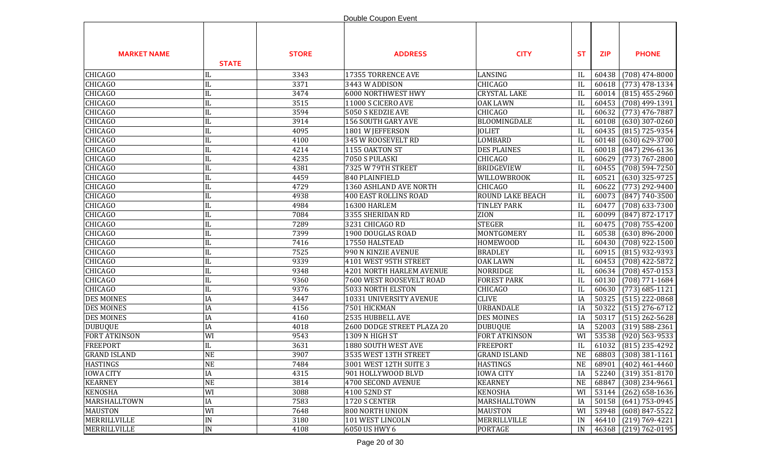|                      |                        |              | Double Coupon Event             |                      |           |            |                    |
|----------------------|------------------------|--------------|---------------------------------|----------------------|-----------|------------|--------------------|
| <b>MARKET NAME</b>   | <b>STATE</b>           | <b>STORE</b> | <b>ADDRESS</b>                  | <b>CITY</b>          | <b>ST</b> | <b>ZIP</b> | <b>PHONE</b>       |
| <b>CHICAGO</b>       | IL                     | 3343         | 17355 TORRENCE AVE              | LANSING              | IL        | 60438      | $(708)$ 474-8000   |
| <b>CHICAGO</b>       | IL                     | 3371         | 3443 W ADDISON                  | <b>CHICAGO</b>       | IL        | 60618      | $(773)$ 478-1334   |
| <b>CHICAGO</b>       | IL                     | 3474         | <b>6000 NORTHWEST HWY</b>       | <b>CRYSTAL LAKE</b>  | IL        | 60014      | $(815)$ 455-2960   |
| <b>CHICAGO</b>       | IL                     | 3515         | 11000 S CICERO AVE              | <b>OAK LAWN</b>      | IL        | 60453      | (708) 499-1391     |
| <b>CHICAGO</b>       | IL                     | 3594         | 5050 S KEDZIE AVE               | <b>CHICAGO</b>       | IL        | 60632      | $(773)$ 476-7887   |
| <b>CHICAGO</b>       | IL                     | 3914         | 156 SOUTH GARY AVE              | BLOOMINGDALE         | IL        | 60108      | $(630)$ 307-0260   |
| <b>CHICAGO</b>       | IL                     | 4095         | 1801 W JEFFERSON                | <b>JOLIET</b>        | IL        | 60435      | $(815)$ 725-9354   |
| <b>CHICAGO</b>       | IL                     | 4100         | 345 W ROOSEVELT RD              | LOMBARD              | IL        | 60148      | $(630) 629 - 3700$ |
| <b>CHICAGO</b>       | IL                     | 4214         | 1155 OAKTON ST                  | <b>DES PLAINES</b>   | IL        | 60018      | $(847)$ 296-6136   |
| <b>CHICAGO</b>       | IL                     | 4235         | 7050 S PULASKI                  | <b>CHICAGO</b>       | IL        | 60629      | $(773) 767 - 2800$ |
| <b>CHICAGO</b>       | IL                     | 4381         | 7325 W 79TH STREET              | <b>BRIDGEVIEW</b>    | IL        | 60455      | $(708) 594 - 7250$ |
| <b>CHICAGO</b>       | IL                     | 4459         | 840 PLAINFIELD                  | WILLOWBROOK          | IL        | 60521      | $(630)$ 325-9725   |
| <b>CHICAGO</b>       | $\rm IL$               | 4729         | 1360 ASHLAND AVE NORTH          | <b>CHICAGO</b>       | IL        | 60622      | $(773)$ 292-9400   |
| <b>CHICAGO</b>       | IL                     | 4938         | <b>400 EAST ROLLINS ROAD</b>    | ROUND LAKE BEACH     | IL        | 60073      | $(847) 740 - 3500$ |
| <b>CHICAGO</b>       | $\rm IL$               | 4984         | 16300 HARLEM                    | <b>TINLEY PARK</b>   | IL        | 60477      | $(708)$ 633-7300   |
| <b>CHICAGO</b>       | IL                     | 7084         | 3355 SHERIDAN RD                | ZION                 | IL        | 60099      | $(847) 872 - 1717$ |
| <b>CHICAGO</b>       | $\rm IL$               | 7289         | 3231 CHICAGO RD                 | <b>STEGER</b>        | IL        | 60475      | $(708) 755 - 4200$ |
| <b>CHICAGO</b>       | IL                     | 7399         | 1900 DOUGLAS ROAD               | MONTGOMERY           | IL        | 60538      | $(630) 896 - 2000$ |
| <b>CHICAGO</b>       | IL                     | 7416         | 17550 HALSTEAD                  | <b>HOMEWOOD</b>      | IL        | 60430      | $(708)$ 922-1500   |
| <b>CHICAGO</b>       | $\overline{\text{IL}}$ | 7525         | 990 N KINZIE AVENUE             | <b>BRADLEY</b>       | IL        | 60915      | $(815)$ 932-9393   |
| <b>CHICAGO</b>       | IL                     | 9339         | 4101 WEST 95TH STREET           | <b>OAK LAWN</b>      | IL        | 60453      | $(708)$ 422-5872   |
| <b>CHICAGO</b>       | $\rm IL$               | 9348         | <b>4201 NORTH HARLEM AVENUE</b> | NORRIDGE             | IL        | 60634      | $(708)$ 457-0153   |
| <b>CHICAGO</b>       | IL                     | 9360         | 7600 WEST ROOSEVELT ROAD        | <b>FOREST PARK</b>   | IL        | 60130      | $(708) 771 - 1684$ |
| <b>CHICAGO</b>       | IL                     | 9376         | 5033 NORTH ELSTON               | <b>CHICAGO</b>       | IL        | 60630      | $(773)$ 685-1121   |
| <b>DES MOINES</b>    | IA                     | 3447         | 10331 UNIVERSITY AVENUE         | <b>CLIVE</b>         | IA        | 50325      | $(515)$ 222-0868   |
| <b>DES MOINES</b>    | IA                     | 4156         | 7501 HICKMAN                    | URBANDALE            | IA        | 50322      | $(515)$ 276-6712   |
| <b>DES MOINES</b>    | IA                     | 4160         | 2535 HUBBELL AVE                | <b>DES MOINES</b>    | IA        | 50317      | $(515)$ 262-5628   |
| <b>DUBUQUE</b>       | IA                     | 4018         | 2600 DODGE STREET PLAZA 20      | <b>DUBUQUE</b>       | IA        | 52003      | $(319) 588 - 2361$ |
| <b>FORT ATKINSON</b> | WI                     | 9543         | 1309 N HIGH ST                  | <b>FORT ATKINSON</b> | WI        | 53538      | $(920)$ 563-9533   |
| <b>FREEPORT</b>      | IL                     | 3631         | 1880 SOUTH WEST AVE             | <b>FREEPORT</b>      | IL        | 61032      | $(815)$ 235-4292   |
| <b>GRAND ISLAND</b>  | <b>NE</b>              | 3907         | 3535 WEST 13TH STREET           | <b>GRAND ISLAND</b>  | NE        | 68803      | $(308)$ 381-1161   |
| <b>HASTINGS</b>      | NE                     | 7484         | 3001 WEST 12TH SUITE 3          | <b>HASTINGS</b>      | <b>NE</b> | 68901      | $(402)$ 461-4460   |
| <b>IOWA CITY</b>     | IA                     | 4315         | 901 HOLLYWOOD BLVD              | <b>IOWA CITY</b>     | IA        | 52240      | $(319)$ 351-8170   |
| <b>KEARNEY</b>       | <b>NE</b>              | 3814         | 4700 SECOND AVENUE              | <b>KEARNEY</b>       | <b>NE</b> | 68847      | $(308)$ 234-9661   |
| <b>KENOSHA</b>       | WI                     | 3088         | 4100 52ND ST                    | <b>KENOSHA</b>       | WI        | 53144      | $(262)$ 658-1636   |
| MARSHALLTOWN         | IA                     | 7583         | 1720 S CENTER                   | MARSHALLTOWN         | IA        | 50158      | $(641)$ 753-0945   |
| <b>MAUSTON</b>       | WI                     | 7648         | 800 NORTH UNION                 | <b>MAUSTON</b>       | WI        | 53948      | $(608)$ 847-5522   |
| MERRILLVILLE         | $\text{IN}{}$          | 3180         | 101 WEST LINCOLN                | MERRILLVILLE         | IN        | 46410      | $(219) 769 - 4221$ |
| MERRILLVILLE         | IN                     | 4108         | 6050 US HWY 6                   | PORTAGE              | IN        | 46368      | $(219) 762 - 0195$ |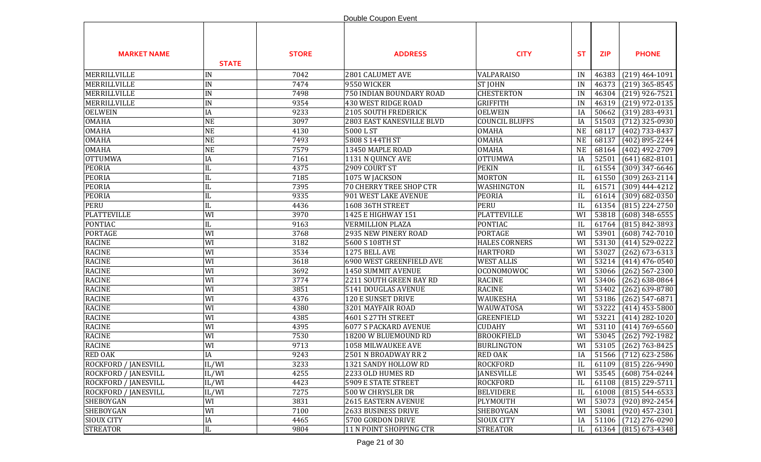|                             |                        |              | Double Coupon Event            |                       |           |            |                      |
|-----------------------------|------------------------|--------------|--------------------------------|-----------------------|-----------|------------|----------------------|
| <b>MARKET NAME</b>          | <b>STATE</b>           | <b>STORE</b> | <b>ADDRESS</b>                 | <b>CITY</b>           | <b>ST</b> | <b>ZIP</b> | <b>PHONE</b>         |
| MERRILLVILLE                | IN                     | 7042         | 2801 CALUMET AVE               | <b>VALPARAISO</b>     | IN        | 46383      | $(219)$ 464-1091     |
| MERRILLVILLE                | IN                     | 7474         | 9550 WICKER                    | <b>ST JOHN</b>        | IN        | 46373      | $(219)$ 365-8545     |
| MERRILLVILLE                | IN                     | 7498         | 750 INDIAN BOUNDARY ROAD       | <b>CHESTERTON</b>     | IN        | 46304      | $(219)$ 926-7521     |
| MERRILLVILLE                | IN                     | 9354         | 430 WEST RIDGE ROAD            | <b>GRIFFITH</b>       | IN        | 46319      | $(219)$ 972-0135     |
| <b>OELWEIN</b>              | IA                     | 9233         | 2105 SOUTH FREDERICK           | <b>OELWEIN</b>        | IA        | 50662      | $(319)$ 283-4931     |
| <b>OMAHA</b>                | <b>NE</b>              | 3097         | 2803 EAST KANESVILLE BLVD      | <b>COUNCIL BLUFFS</b> | IA        | 51503      | $(712)$ 325-0930     |
| <b>OMAHA</b>                | <b>NE</b>              | 4130         | 5000LST                        | <b>OMAHA</b>          | <b>NE</b> | 68117      | (402) 733-8437       |
| <b>OMAHA</b>                | <b>NE</b>              | 7493         | 5808 S 144TH ST                | <b>OMAHA</b>          | <b>NE</b> | 68137      | $(402)$ 895-2244     |
| <b>OMAHA</b>                | <b>NE</b>              | 7579         | 13450 MAPLE ROAD               | <b>OMAHA</b>          | <b>NE</b> | 68164      | $(402)$ 492-2709     |
| <b>OTTUMWA</b>              | IA                     | 7161         | 1131 N QUINCY AVE              | <b>OTTUMWA</b>        | IA        | 52501      | $(641) 682 - 8101$   |
| <b>PEORIA</b>               | IL                     | 4375         | 2909 COURT ST                  | <b>PEKIN</b>          | IL        | 61554      | $(309)$ 347-6646     |
| <b>PEORIA</b>               | IL                     | 7185         | 1075 W JACKSON                 | <b>MORTON</b>         | IL        | 61550      | $(309)$ 263-2114     |
| <b>PEORIA</b>               | IL                     | 7395         | <b>70 CHERRY TREE SHOP CTR</b> | WASHINGTON            | IL        | 61571      | $(309)$ 444-4212     |
| <b>PEORIA</b>               | IL                     | 9335         | 901 WEST LAKE AVENUE           | <b>PEORIA</b>         | IL        | 61614      | $(309) 682 - 0350$   |
| <b>PERU</b>                 | IL                     | 4436         | 1608 36TH STREET               | <b>PERU</b>           | IL        | 61354      | $(815)$ 224-2750     |
| <b>PLATTEVILLE</b>          | WI                     | 3970         | 1425 E HIGHWAY 151             | <b>PLATTEVILLE</b>    | WI        | 53818      | $(608)$ 348-6555     |
| <b>PONTIAC</b>              | IL                     | 9163         | <b>VERMILLION PLAZA</b>        | <b>PONTIAC</b>        | IL        | 61764      | $(815) 842 - 3893$   |
| <b>PORTAGE</b>              | WI                     | 3768         | 2935 NEW PINERY ROAD           | <b>PORTAGE</b>        | WI        | 53901      | $(608) 742 - 7010$   |
| <b>RACINE</b>               | WI                     | 3182         | 5600 S 108TH ST                | <b>HALES CORNERS</b>  | WI        | 53130      | $(414)$ 529-0222     |
| <b>RACINE</b>               | WI                     | 3534         | 1275 BELL AVE                  | <b>HARTFORD</b>       | WI        | 53027      | $(262)$ 673-6313     |
| <b>RACINE</b>               | WI                     | 3618         | 6900 WEST GREENFIELD AVE       | <b>WEST ALLIS</b>     | WI        | 53214      | $(414)$ 476-0540     |
| <b>RACINE</b>               | WI                     | 3692         | 1450 SUMMIT AVENUE             | <b>OCONOMOWOC</b>     | WI        | 53066      | $(262)$ 567-2300     |
| <b>RACINE</b>               | WI                     | 3774         | 2211 SOUTH GREEN BAY RD        | <b>RACINE</b>         | WI        | 53406      | $(262) 638 - 0864$   |
| <b>RACINE</b>               | WI                     | 3851         | 5141 DOUGLAS AVENUE            | <b>RACINE</b>         | WI        | 53402      | $(262)$ 639-8780     |
| <b>RACINE</b>               | WI                     | 4376         | 120 E SUNSET DRIVE             | WAUKESHA              | WI        | 53186      | $(262)$ 547-6871     |
| <b>RACINE</b>               | WI                     | 4380         | 3201 MAYFAIR ROAD              | WAUWATOSA             | WI        | 53222      | $(414)$ 453-5800     |
| <b>RACINE</b>               | WI                     | 4385         | 4601 S 27TH STREET             | <b>GREENFIELD</b>     | WI        | 53221      | $(414)$ 282-1020     |
| <b>RACINE</b>               | WI                     | 4395         | <b>6077 S PACKARD AVENUE</b>   | <b>CUDAHY</b>         | WI        | 53110      | $(414) 769 - 6560$   |
| <b>RACINE</b>               | WI                     | 7530         | 18200 W BLUEMOUND RD           | <b>BROOKFIELD</b>     | WI        | 53045      | $(262)$ 792-1982     |
| <b>RACINE</b>               | WI                     | 9713         | 1058 MILWAUKEE AVE             | <b>BURLINGTON</b>     | WI        | 53105      | $(262) 763 - 8425$   |
| <b>RED OAK</b>              | $\rm IA$               | 9243         | 2501 N BROADWAY RR 2           | <b>RED OAK</b>        | IA        |            | 51566 (712) 623-2586 |
| ROCKFORD / JANESVILL        | IL/WI                  | 3233         | 1321 SANDY HOLLOW RD           | ROCKFORD              | IL        | 61109      | $(815)$ 226-9490     |
| <b>ROCKFORD / JANESVILL</b> | IL/WI                  | 4255         | 2233 OLD HUMES RD              | <b>JANESVILLE</b>     | WI        | 53545      | $(608) 754 - 0244$   |
| ROCKFORD / JANESVILL        | IL/WI                  | 4423         | 5909 E STATE STREET            | <b>ROCKFORD</b>       | IL        | 61108      | $(815)$ 229-5711     |
| <b>ROCKFORD / JANESVILL</b> | IL/WI                  | 7275         | 500 W CHRYSLER DR              | <b>BELVIDERE</b>      | IL        | 61008      | $(815) 544 - 6533$   |
| <b>SHEBOYGAN</b>            | WI                     | 3831         | <b>2615 EASTERN AVENUE</b>     | PLYMOUTH              | WI        | 53073      | $(920) 892 - 2454$   |
| SHEBOYGAN                   | WI                     | 7100         | 2633 BUSINESS DRIVE            | SHEBOYGAN             | WI        | 53081      | $(920)$ 457-2301     |
| <b>SIOUX CITY</b>           | IA                     | 4465         | 5700 GORDON DRIVE              | <b>SIOUX CITY</b>     | IA        | 51106      | $(712)$ 276-0290     |
| <b>STREATOR</b>             | $\overline{\text{IL}}$ | 9804         | 11 N POINT SHOPPING CTR        | <b>STREATOR</b>       | IL        |            | 61364 (815) 673-4348 |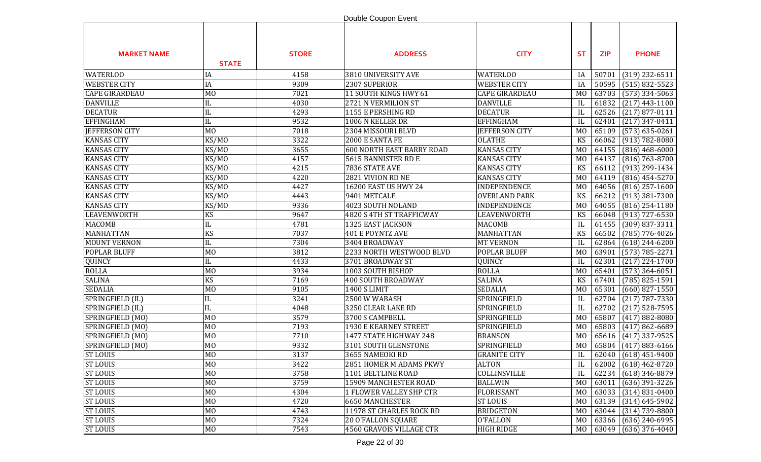|                       |                |              | Double Coupon Event              |                       |                |            |                    |
|-----------------------|----------------|--------------|----------------------------------|-----------------------|----------------|------------|--------------------|
| <b>MARKET NAME</b>    | <b>STATE</b>   | <b>STORE</b> | <b>ADDRESS</b>                   | <b>CITY</b>           | <b>ST</b>      | <b>ZIP</b> | <b>PHONE</b>       |
| <b>WATERLOO</b>       | IA             | 4158         | 3810 UNIVERSITY AVE              | <b>WATERLOO</b>       | IA             | 50701      | $(319)$ 232-6511   |
| <b>WEBSTER CITY</b>   | IA             | 9309         | 2307 SUPERIOR                    | <b>WEBSTER CITY</b>   | IA             | 50595      | $(515) 832 - 5523$ |
| <b>CAPE GIRARDEAU</b> | M <sub>0</sub> | 7021         | 11 SOUTH KINGS HWY 61            | <b>CAPE GIRARDEAU</b> | M <sub>0</sub> | 63703      | $(573)$ 334-5063   |
| <b>DANVILLE</b>       | IL             | 4030         | 2721 N VERMILION ST              | <b>DANVILLE</b>       | IL             | 61832      | $(217)$ 443-1100   |
| <b>DECATUR</b>        | IL             | 4293         | 1155 E PERSHING RD               | <b>DECATUR</b>        | IL             | 62526      | $(217)$ 877-0111   |
| <b>EFFINGHAM</b>      | IL             | 9532         | 1006 N KELLER DR                 | <b>EFFINGHAM</b>      | IL             | 62401      | $(217)$ 347-0411   |
| <b>JEFFERSON CITY</b> | M <sub>0</sub> | 7018         | 2304 MISSOURI BLVD               | <b>JEFFERSON CITY</b> | M <sub>0</sub> | 65109      | $(573) 635 - 0261$ |
| <b>KANSAS CITY</b>    | KS/MO          | 3322         | 2000 E SANTA FE                  | <b>OLATHE</b>         | KS             | 66062      | $(913) 782 - 8080$ |
| <b>KANSAS CITY</b>    | KS/MO          | 3655         | <b>600 NORTH EAST BARRY ROAD</b> | <b>KANSAS CITY</b>    | M <sub>0</sub> | 64155      | $(816)$ 468-6000   |
| <b>KANSAS CITY</b>    | KS/MO          | 4157         | 5615 BANNISTER RD E              | <b>KANSAS CITY</b>    | M <sub>0</sub> | 64137      | $(816) 763 - 8700$ |
| <b>KANSAS CITY</b>    | KS/MO          | 4215         | 7836 STATE AVE                   | <b>KANSAS CITY</b>    | KS             | 66112      | $(913)$ 299-1434   |
| <b>KANSAS CITY</b>    | KS/MO          | 4220         | 2821 VIVION RD NE                | <b>KANSAS CITY</b>    | M <sub>0</sub> | 64119      | $(816)$ 454-5270   |
| <b>KANSAS CITY</b>    | KS/MO          | 4427         | 16200 EAST US HWY 24             | INDEPENDENCE          | M <sub>0</sub> | 64056      | $(816)$ 257-1600   |
| <b>KANSAS CITY</b>    | KS/MO          | 4443         | 9401 METCALF                     | <b>OVERLAND PARK</b>  | KS             | 66212      | $(913)$ 381-7300   |
| <b>KANSAS CITY</b>    | KS/MO          | 9336         | 4023 SOUTH NOLAND                | <b>INDEPENDENCE</b>   | M <sub>0</sub> | 64055      | $(816)$ 254-1180   |
| <b>LEAVENWORTH</b>    | KS             | 9647         | 4820 S 4TH ST TRAFFICWAY         | LEAVENWORTH           | KS             | 66048      | $(913)$ 727-6530   |
| <b>MACOMB</b>         | $\rm IL$       | 4781         | 1325 EAST JACKSON                | <b>MACOMB</b>         | IL             | 61455      | (309) 837-3311     |
| <b>MANHATTAN</b>      | <b>KS</b>      | 7037         | 401 E POYNTZ AVE                 | <b>MANHATTAN</b>      | KS             | 66502      | $(785)$ 776-4026   |
| <b>MOUNT VERNON</b>   | IL             | 7304         | 3404 BROADWAY                    | <b>MT VERNON</b>      | IL             | 62864      | $(618)$ 244-6200   |
| <b>POPLAR BLUFF</b>   | M <sub>0</sub> | 3812         | 2233 NORTH WESTWOOD BLVD         | POPLAR BLUFF          | M <sub>0</sub> | 63901      | $(573) 785 - 2271$ |
| QUINCY                | IL             | 4433         | 3701 BROADWAY ST                 | QUINCY                | IL             | 62301      | $(217)$ 224-1700   |
| <b>ROLLA</b>          | M <sub>O</sub> | 3934         | 1003 SOUTH BISHOP                | <b>ROLLA</b>          | M <sub>0</sub> | 65401      | $(573)$ 364-6051   |
| <b>SALINA</b>         | KS             | 7169         | <b>400 SOUTH BROADWAY</b>        | <b>SALINA</b>         | KS             | 67401      | $(785) 825 - 1591$ |
| <b>SEDALIA</b>        | M <sub>0</sub> | 9105         | <b>1400 S LIMIT</b>              | <b>SEDALIA</b>        | M <sub>0</sub> | 65301      | $(660)$ 827-1550   |
| SPRINGFIELD (IL)      | IL             | 3241         | 2500 W WABASH                    | SPRINGFIELD           | IL             | 62704      | $(217) 787 - 7330$ |
| SPRINGFIELD (IL)      | IL             | 4048         | 3250 CLEAR LAKE RD               | SPRINGFIELD           | IL             | 62702      | $(217)$ 528-7595   |
| SPRINGFIELD (MO)      | M <sub>0</sub> | 3579         | 3700 S CAMPBELL                  | SPRINGFIELD           | M <sub>0</sub> | 65807      | $(417) 882 - 8080$ |
| SPRINGFIELD (MO)      | M <sub>0</sub> | 7193         | 1930 E KEARNEY STREET            | SPRINGFIELD           | M <sub>0</sub> | 65803      | $(417)862-6689$    |
| SPRINGFIELD (MO)      | M <sub>0</sub> | 7710         | 1477 STATE HIGHWAY 248           | <b>BRANSON</b>        | M <sub>0</sub> | 65616      | $(417)$ 337-9525   |
| SPRINGFIELD (MO)      | M <sub>0</sub> | 9332         | 3101 SOUTH GLENSTONE             | SPRINGFIELD           | MO             | 65804      | $(417)$ 883-6166   |
| <b>ST LOUIS</b>       | M <sub>0</sub> | 3137         | 3655 NAMEOKI RD                  | <b>GRANITE CITY</b>   | IL             | 62040      | $(618)$ 451-9400   |
| <b>ST LOUIS</b>       | M <sub>O</sub> | 3422         | 2851 HOMER M ADAMS PKWY          | <b>ALTON</b>          | IL             | 62002      | $(618)$ 462-8720   |
| <b>ST LOUIS</b>       | MO             | 3758         | 1101 BELTLINE ROAD               | COLLINSVILLE          | IL             | 62234      | $(618)$ 346-8879   |
| <b>ST LOUIS</b>       | M <sub>O</sub> | 3759         | 15909 MANCHESTER ROAD            | <b>BALLWIN</b>        | M <sub>0</sub> | 63011      | $(636)$ 391-3226   |
| <b>ST LOUIS</b>       | M <sub>O</sub> | 4304         | <b>1 FLOWER VALLEY SHP CTR</b>   | <b>FLORISSANT</b>     | M <sub>0</sub> | 63033      | $(314) 831 - 0400$ |
| <b>ST LOUIS</b>       | M <sub>O</sub> | 4720         | <b>6650 MANCHESTER</b>           | <b>ST LOUIS</b>       | M <sub>0</sub> | 63139      | $(314) 645 - 5902$ |
| <b>ST LOUIS</b>       | M <sub>O</sub> | 4743         | 11978 ST CHARLES ROCK RD         | <b>BRIDGETON</b>      | M <sub>0</sub> | 63044      | $(314) 739 - 8800$ |
| <b>ST LOUIS</b>       | M <sub>O</sub> | 7324         | <b>20 O'FALLON SQUARE</b>        | <b>O'FALLON</b>       | M <sub>0</sub> | 63366      | $(636)$ 240-6995   |
| <b>ST LOUIS</b>       | MO             | 7543         | 4560 GRAVOIS VILLAGE CTR         | <b>HIGH RIDGE</b>     | M <sub>0</sub> | 63049      | $(636)$ 376-4040   |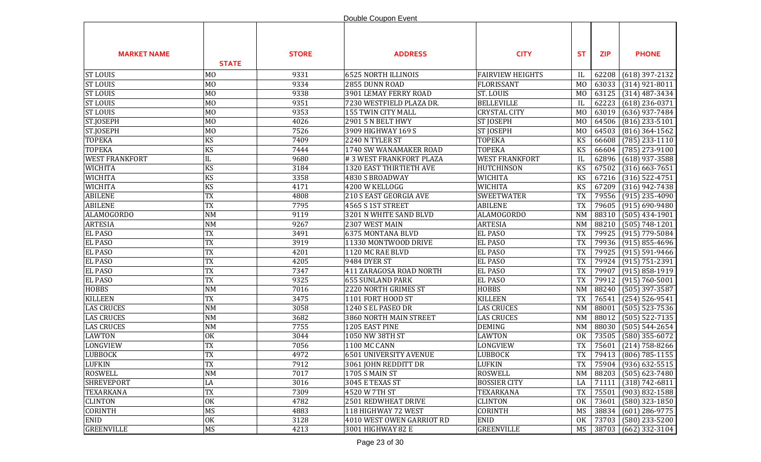|                       |                |              | Double Coupon Event        |                         |                        |            |                      |
|-----------------------|----------------|--------------|----------------------------|-------------------------|------------------------|------------|----------------------|
| <b>MARKET NAME</b>    | <b>STATE</b>   | <b>STORE</b> | <b>ADDRESS</b>             | <b>CITY</b>             | <b>ST</b>              | <b>ZIP</b> | <b>PHONE</b>         |
| <b>ST LOUIS</b>       | M <sub>0</sub> | 9331         | <b>6525 NORTH ILLINOIS</b> | <b>FAIRVIEW HEIGHTS</b> | IL                     | 62208      | $(618)$ 397-2132     |
| <b>ST LOUIS</b>       | M <sub>0</sub> | 9334         | 2855 DUNN ROAD             | <b>FLORISSANT</b>       | M <sub>0</sub>         | 63033      | $(314)$ 921-8011     |
| <b>ST LOUIS</b>       | M <sub>0</sub> | 9338         | 3901 LEMAY FERRY ROAD      | ST. LOUIS               | M <sub>0</sub>         | 63125      | $(314)$ 487-3434     |
| <b>ST LOUIS</b>       | M <sub>O</sub> | 9351         | 7230 WESTFIELD PLAZA DR.   | <b>BELLEVILLE</b>       | IL                     | 62223      | $(618)$ 236-0371     |
| <b>ST LOUIS</b>       | M <sub>O</sub> | 9353         | 155 TWIN CITY MALL         | <b>CRYSTAL CITY</b>     | M <sub>0</sub>         | 63019      | $(636)$ 937-7484     |
| ST.JOSEPH             | M <sub>O</sub> | 4026         | 2901 5 N BELT HWY          | <b>ST JOSEPH</b>        | M <sub>0</sub>         | 64506      | $(816)$ 233-5101     |
| ST.JOSEPH             | M <sub>O</sub> | 7526         | 3909 HIGHWAY 169 S         | <b>ST JOSEPH</b>        | M <sub>0</sub>         | 64503      | $(816)$ 364-1562     |
| <b>TOPEKA</b>         | <b>KS</b>      | 7409         | 2240 N TYLER ST            | <b>TOPEKA</b>           | KS                     | 66608      | $(785)$ 233-1110     |
| <b>TOPEKA</b>         | KS             | 7444         | 1740 SW WANAMAKER ROAD     | <b>TOPEKA</b>           | KS                     | 66604      | $(785)$ 273-9100     |
| <b>WEST FRANKFORT</b> | IL             | 9680         | #3 WEST FRANKFORT PLAZA    | <b>WEST FRANKFORT</b>   | IL                     | 62896      | $(618)$ 937-3588     |
| <b>WICHITA</b>        | KS             | 3184         | 1320 EAST THIRTIETH AVE    | <b>HUTCHINSON</b>       | KS                     | 67502      | $(316)$ 663-7651     |
| <b>WICHITA</b>        | <b>KS</b>      | 3358         | 4830 S BROADWAY            | <b>WICHITA</b>          | KS                     | 67216      | $(316)$ 522-4751     |
| <b>WICHITA</b>        | KS             | 4171         | 4200 W KELLOGG             | WICHITA                 | KS                     | 67209      | $(316)$ 942-7438     |
| <b>ABILENE</b>        | <b>TX</b>      | 4808         | 210 S EAST GEORGIA AVE     | <b>SWEETWATER</b>       | <b>TX</b>              | 79556      | $(915)$ 235-4090     |
| <b>ABILENE</b>        | <b>TX</b>      | 7795         | 4565 S 1ST STREET          | <b>ABILENE</b>          | <b>TX</b>              | 79605      | $(915) 690 - 9480$   |
| <b>ALAMOGORDO</b>     | <b>NM</b>      | 9119         | 3201 N WHITE SAND BLVD     | <b>ALAMOGORDO</b>       | NM                     | 88310      | $(505)$ 434-1901     |
| <b>ARTESIA</b>        | <b>NM</b>      | 9267         | 2307 WEST MAIN             | <b>ARTESIA</b>          | <b>NM</b>              | 88210      | $(505) 748 - 1201$   |
| <b>EL PASO</b>        | <b>TX</b>      | 3491         | <b>6375 MONTANA BLVD</b>   | <b>EL PASO</b>          | <b>TX</b>              | 79925      | $(915)$ 779-5084     |
| <b>EL PASO</b>        | <b>TX</b>      | 3919         | 11330 MONTWOOD DRIVE       | <b>EL PASO</b>          | <b>TX</b>              | 79936      | $(915) 855 - 4696$   |
| <b>EL PASO</b>        | <b>TX</b>      | 4201         | 1120 MC RAE BLVD           | <b>EL PASO</b>          | <b>TX</b>              | 79925      | $(915) 591 - 9466$   |
| <b>EL PASO</b>        | <b>TX</b>      | 4205         | 9484 DYER ST               | <b>EL PASO</b>          | <b>TX</b>              | 79924      | $(915) 751 - 2391$   |
| <b>EL PASO</b>        | TX             | 7347         | 411 ZARAGOSA ROAD NORTH    | <b>EL PASO</b>          | <b>TX</b>              | 79907      | $(915) 858 - 1919$   |
| <b>EL PASO</b>        | <b>TX</b>      | 9325         | <b>655 SUNLAND PARK</b>    | <b>EL PASO</b>          | <b>TX</b>              | 79912      | $(915) 760 - 5001$   |
| <b>HOBBS</b>          | <b>NM</b>      | 7016         | 2220 NORTH GRIMES ST       | <b>HOBBS</b>            | NM                     | 88240      | $(505)$ 397-3587     |
| <b>KILLEEN</b>        | <b>TX</b>      | 3475         | 1101 FORT HOOD ST          | <b>KILLEEN</b>          | <b>TX</b>              | 76541      | $(254) 526 - 9541$   |
| <b>LAS CRUCES</b>     | <b>NM</b>      | 3058         | 1240 S EL PASEO DR         | <b>LAS CRUCES</b>       | $\mathbf{N}\mathbf{M}$ | 88001      | $(505)$ 523-7536     |
| <b>LAS CRUCES</b>     | <b>NM</b>      | 3682         | 3860 NORTH MAIN STREET     | <b>LAS CRUCES</b>       | NM                     | 88012      | $(505)$ 522-7135     |
| <b>LAS CRUCES</b>     | <b>NM</b>      | 7755         | 1205 EAST PINE             | <b>DEMING</b>           | $\mathbf{N}\mathbf{M}$ | 88030      | $(505) 544 - 2654$   |
| <b>LAWTON</b>         | <b>OK</b>      | 3044         | 1050 NW 38TH ST            | <b>LAWTON</b>           | <b>OK</b>              | 73505      | $(580)$ 355-6072     |
| LONGVIEW              | <b>TX</b>      | 7056         | 1100 MC CANN               | LONGVIEW                | <b>TX</b>              | 75601      | $(214) 758 - 8266$   |
| <b>LUBBOCK</b>        | TX             | 4972         | 6501 UNIVERSITY AVENUE     | LUBBOCK                 | TX                     |            | 79413 (806) 785-1155 |
| <b>LUFKIN</b>         | TX             | 7912         | 3061 JOHN REDDITT DR       | LUFKIN                  | TX                     |            | 75904 (936) 632-5515 |
| <b>ROSWELL</b>        | <b>NM</b>      | 7017         | 1705 S MAIN ST             | <b>ROSWELL</b>          | NM                     | 88203      | $(505) 623 - 7480$   |
| <b>SHREVEPORT</b>     | LA             | 3016         | 3045 E TEXAS ST            | <b>BOSSIER CITY</b>     | LA                     | 71111      | $(318) 742 - 6811$   |
| TEXARKANA             | <b>TX</b>      | 7309         | 4520 W 7TH ST              | TEXARKANA               | <b>TX</b>              | 75501      | $(903) 832 - 1588$   |
| <b>CLINTON</b>        | <b>OK</b>      | 4782         | 2501 REDWHEAT DRIVE        | <b>CLINTON</b>          | 0K                     | 73601      | $(580)$ 323-1850     |
| <b>CORINTH</b>        | MS             | 4883         | 118 HIGHWAY 72 WEST        | <b>CORINTH</b>          | MS                     | 38834      | $(601)$ 286-9775     |
| <b>ENID</b>           | <b>OK</b>      | 3128         | 4010 WEST OWEN GARRIOT RD  | ENID                    | 0K                     | 73703      | $(580)$ 233-5200     |
| <b>GREENVILLE</b>     | MS             | 4213         | 3001 HIGHWAY 82 E          | <b>GREENVILLE</b>       | MS                     | 38703      | $(662)$ 332-3104     |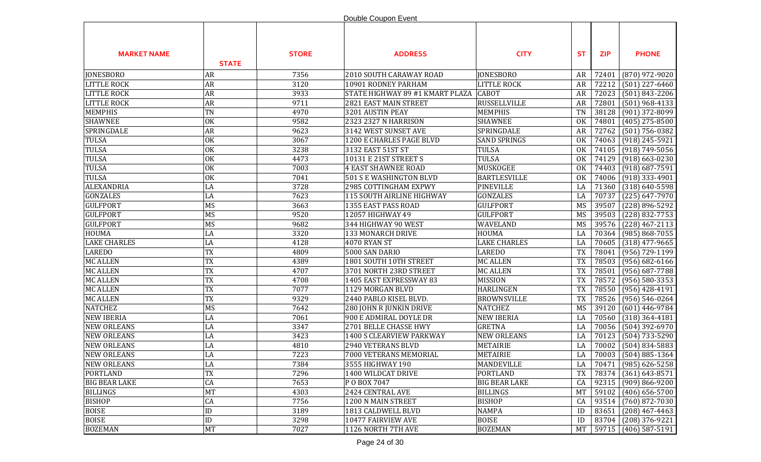|                      |              |              | Double Coupon Event             |                      |           |            |                         |
|----------------------|--------------|--------------|---------------------------------|----------------------|-----------|------------|-------------------------|
| <b>MARKET NAME</b>   | <b>STATE</b> | <b>STORE</b> | <b>ADDRESS</b>                  | <b>CITY</b>          | <b>ST</b> | <b>ZIP</b> | <b>PHONE</b>            |
| <b>JONESBORO</b>     | <b>AR</b>    | 7356         | 2010 SOUTH CARAWAY ROAD         | <b>JONESBORO</b>     | AR        | 72401      | $(870)$ 972-9020        |
| <b>LITTLE ROCK</b>   | <b>AR</b>    | 3120         | 10901 RODNEY PARHAM             | LITTLE ROCK          | AR        | 72212      | $(501)$ 227-6460        |
| <b>LITTLE ROCK</b>   | <b>AR</b>    | 3933         | STATE HIGHWAY 89 #1 KMART PLAZA | <b>CABOT</b>         | <b>AR</b> | 72023      | $(501) 843 - 2206$      |
| <b>LITTLE ROCK</b>   | <b>AR</b>    | 9711         | 2821 EAST MAIN STREET           | <b>RUSSELLVILLE</b>  | <b>AR</b> | 72801      | $(501)$ 968-4133        |
| <b>MEMPHIS</b>       | TN           | 4970         | 3201 AUSTIN PEAY                | <b>MEMPHIS</b>       | <b>TN</b> | 38128      | (901) 372-8099          |
| <b>SHAWNEE</b>       | OK           | 9582         | 2323 2327 N HARRISON            | <b>SHAWNEE</b>       | <b>OK</b> | 74801      | $(405)$ 275-8500        |
| SPRINGDALE           | <b>AR</b>    | 9623         | 3142 WEST SUNSET AVE            | SPRINGDALE           | AR        | 72762      | $(501) 756 - 0382$      |
| <b>TULSA</b>         | OK           | 3067         | 1200 E CHARLES PAGE BLVD        | <b>SAND SPRINGS</b>  | <b>OK</b> | 74063      | $(918)$ 245-5921        |
| <b>TULSA</b>         | OK           | 3238         | 3132 EAST 51ST ST               | <b>TULSA</b>         | <b>OK</b> | 74105      | $(918) 749 - 5056$      |
| <b>TULSA</b>         | OK           | 4473         | 10131 E 21ST STREET S           | <b>TULSA</b>         | <b>OK</b> | 74129      | $(918) 663 - 0230$      |
| <b>TULSA</b>         | OK           | 7003         | <b>4 EAST SHAWNEE ROAD</b>      | MUSKOGEE             | <b>OK</b> | 74403      | $(918) 687 - 7591$      |
| <b>TULSA</b>         | OK           | 7041         | 501 S E WASHINGTON BLVD         | <b>BARTLESVILLE</b>  | <b>OK</b> | 74006      | $(918)$ 333-4901        |
| ALEXANDRIA           | LA           | 3728         | 2985 COTTINGHAM EXPWY           | <b>PINEVILLE</b>     | LA        | 71360      | $(318) 640 - 5598$      |
| <b>GONZALES</b>      | LA           | 7623         | 115 SOUTH AIRLINE HIGHWAY       | <b>GONZALES</b>      | LA        | 70737      | $(225) 647 - 7970$      |
| <b>GULFPORT</b>      | MS           | 3663         | 1355 EAST PASS ROAD             | <b>GULFPORT</b>      | MS        | 39507      | (228) 896-5292          |
| <b>GULFPORT</b>      | MS           | 9520         | 12057 HIGHWAY 49                | <b>GULFPORT</b>      | MS        | 39503      | $(228) 832 - 7753$      |
| <b>GULFPORT</b>      | MS           | 9682         | 344 HIGHWAY 90 WEST             | WAVELAND             | MS        | 39576      | $(228)$ 467-2113        |
| <b>HOUMA</b>         | LA           | 3320         | 133 MONARCH DRIVE               | <b>HOUMA</b>         | LA        | 70364      | $(985) 868 - 7055$      |
| <b>LAKE CHARLES</b>  | LA           | 4128         | 4070 RYAN ST                    | <b>LAKE CHARLES</b>  | LA        | 70605      | $(318)$ 477-9665        |
| <b>LAREDO</b>        | TX           | 4809         | 5000 SAN DARIO                  | <b>LAREDO</b>        | <b>TX</b> | 78041      | (956) 729-1199          |
| <b>MC ALLEN</b>      | <b>TX</b>    | 4389         | 1801 SOUTH 10TH STREET          | <b>MC ALLEN</b>      | <b>TX</b> | 78503      | $(956) 682 - 6166$      |
| <b>MC ALLEN</b>      | <b>TX</b>    | 4707         | 3701 NORTH 23RD STREET          | <b>MC ALLEN</b>      | <b>TX</b> | 78501      | $(956)$ 687-7788        |
| <b>MC ALLEN</b>      | <b>TX</b>    | 4708         | 1405 EAST EXPRESSWAY 83         | <b>MISSION</b>       | <b>TX</b> | 78572      | $(956) 580 - 3353$      |
| <b>MC ALLEN</b>      | TX           | 7077         | 1129 MORGAN BLVD                | <b>HARLINGEN</b>     | <b>TX</b> | 78550      | $(956)$ 428-4191        |
| <b>MC ALLEN</b>      | <b>TX</b>    | 9329         | 2440 PABLO KISEL BLVD.          | <b>BROWNSVILLE</b>   | <b>TX</b> | 78526      | $(956) 546 - 0264$      |
| <b>NATCHEZ</b>       | MS           | 7642         | 280 JOHN R JUNKIN DRIVE         | <b>NATCHEZ</b>       | <b>MS</b> | 39120      | $(601)$ 446-9784        |
| <b>NEW IBERIA</b>    | LA           | 7061         | 900 E ADMIRAL DOYLE DR          | <b>NEW IBERIA</b>    | LA        | 70560      | $(318)$ 364-4181        |
| <b>NEW ORLEANS</b>   | LA           | 3347         | 2701 BELLE CHASSE HWY           | <b>GRETNA</b>        | LA        | 70056      | $(504)$ 392-6970        |
| <b>NEW ORLEANS</b>   | LA           | 3423         | 1400 S CLEARVIEW PARKWAY        | <b>NEW ORLEANS</b>   | LA        | 70123      | $(504) 733 - 5290$      |
| <b>NEW ORLEANS</b>   | LA           | 4810         | 2940 VETERANS BLVD              | <b>METAIRIE</b>      | LA        | 70002      | $(504) 834 - 5883$      |
| <b>NEW ORLEANS</b>   | LA           | 7223         | 7000 VETERANS MEMORIAL          | <b>METAIRIE</b>      | LA        | 70003      | $(504) 885 - 1364$      |
| <b>NEW ORLEANS</b>   | LA           | 7384         | 3555 HIGHWAY 190                | MANDEVILLE           | LA        | 70471      | $(985) 626 - 5258$      |
| <b>PORTLAND</b>      | <b>TX</b>    | 7296         | 1400 WILDCAT DRIVE              | <b>PORTLAND</b>      | <b>TX</b> | 78374      | $(361) 643 - 8571$      |
| <b>BIG BEAR LAKE</b> | CA           | 7653         | P O BOX 7047                    | <b>BIG BEAR LAKE</b> | CA        | 92315      | $(909) 866 - 9200$      |
| <b>BILLINGS</b>      | MT           | 4303         | 2424 CENTRAL AVE                | <b>BILLINGS</b>      | <b>MT</b> | 59102      | $(406) 656 - 5700$      |
| <b>BISHOP</b>        | CA           | 7756         | 1200 N MAIN STREET              | <b>BISHOP</b>        | CA        | 93514      | $(760)$ 872-7030        |
| <b>BOISE</b>         | ID           | 3189         | 1813 CALDWELL BLVD              | <b>NAMPA</b>         | ID        | 83651      | $(208)$ 467-4463        |
| <b>BOISE</b>         | ID           | 3298         | 10477 FAIRVIEW AVE              | <b>BOISE</b>         | ID        |            | 83704 (208) 376-9221    |
| <b>BOZEMAN</b>       | MT           | 7027         | 1126 NORTH 7TH AVE              | <b>BOZEMAN</b>       |           |            | MT 59715 (406) 587-5191 |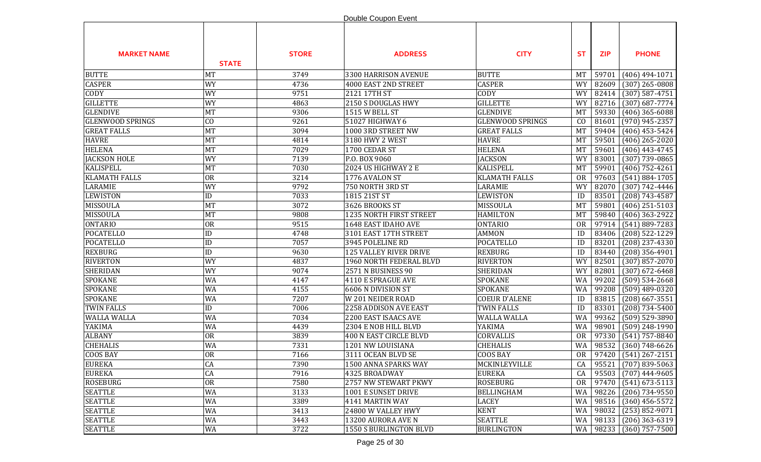|                         |              |              | Double Coupon Event           |                         |           |            |                             |
|-------------------------|--------------|--------------|-------------------------------|-------------------------|-----------|------------|-----------------------------|
| <b>MARKET NAME</b>      | <b>STATE</b> | <b>STORE</b> | <b>ADDRESS</b>                | <b>CITY</b>             | <b>ST</b> | <b>ZIP</b> | <b>PHONE</b>                |
| <b>BUTTE</b>            | MT           | 3749         | 3300 HARRISON AVENUE          | <b>BUTTE</b>            | MT        | 59701      | $(406)$ 494-1071            |
| <b>CASPER</b>           | <b>WY</b>    | 4736         | 4000 EAST 2ND STREET          | <b>CASPER</b>           | <b>WY</b> | 82609      | $(307)$ 265-0808            |
| <b>CODY</b>             | WY           | 9751         | 2121 17TH ST                  | CODY                    | <b>WY</b> | 82414      | $(307) 587 - 4751$          |
| <b>GILLETTE</b>         | WY           | 4863         | 2150 S DOUGLAS HWY            | <b>GILLETTE</b>         | WY        | 82716      | $(307)$ 687-7774            |
| <b>GLENDIVE</b>         | MT           | 9306         | 1515 W BELL ST                | <b>GLENDIVE</b>         | <b>MT</b> | 59330      | $(406)$ 365-6088            |
| <b>GLENWOOD SPRINGS</b> | CO           | 9261         | 51027 HIGHWAY 6               | <b>GLENWOOD SPRINGS</b> | CO        | 81601      | $(970)$ 945-2357            |
| <b>GREAT FALLS</b>      | MT           | 3094         | 1000 3RD STREET NW            | <b>GREAT FALLS</b>      | <b>MT</b> | 59404      | $(406)$ 453-5424            |
| <b>HAVRE</b>            | MT           | 4814         | 3180 HWY 2 WEST               | <b>HAVRE</b>            | <b>MT</b> | 59501      | $(406)$ 265-2020            |
| <b>HELENA</b>           | MT           | 7029         | 1700 CEDAR ST                 | <b>HELENA</b>           | <b>MT</b> | 59601      | $(406)$ 443-4745            |
| <b>JACKSON HOLE</b>     | <b>WY</b>    | 7139         | P.O. BOX 9060                 | <b>JACKSON</b>          | <b>WY</b> | 83001      | $(307)$ 739-0865            |
| <b>KALISPELL</b>        | MT           | 7030         | 2024 US HIGHWAY 2 E           | KALISPELL               | <b>MT</b> | 59901      | $(406) 752 - 4261$          |
| <b>KLAMATH FALLS</b>    | <b>OR</b>    | 3214         | 1776 AVALON ST                | <b>KLAMATH FALLS</b>    | <b>OR</b> | 97603      | $(541) 884 - 1705$          |
| LARAMIE                 | <b>WY</b>    | 9792         | 750 NORTH 3RD ST              | LARAMIE                 | WY        | 82070      | $(307) 742 - 4446$          |
| <b>LEWISTON</b>         | ID           | 7033         | 1815 21ST ST                  | <b>LEWISTON</b>         | ID        | 83501      | $(208) 743 - 4587$          |
| <b>MISSOULA</b>         | MT           | 3072         | 3626 BROOKS ST                | MISSOULA                | <b>MT</b> | 59801      | $(406)$ 251-5103            |
| <b>MISSOULA</b>         | MT           | 9808         | 1235 NORTH FIRST STREET       | <b>HAMILTON</b>         | <b>MT</b> | 59840      | $(406)$ 363-2922            |
| <b>ONTARIO</b>          | <b>OR</b>    | 9515         | 1648 EAST IDAHO AVE           | <b>ONTARIO</b>          | <b>OR</b> | 97914      | $(541) 889 - 7283$          |
| <b>POCATELLO</b>        | ID           | 4748         | 3101 EAST 17TH STREET         | <b>AMMON</b>            | ID        | 83406      | $(208)$ 522-1229            |
| <b>POCATELLO</b>        | ID           | 7057         | 3945 POLELINE RD              | <b>POCATELLO</b>        | ID        | 83201      | $(208)$ 237-4330            |
| <b>REXBURG</b>          | ID           | 9630         | <b>125 VALLEY RIVER DRIVE</b> | <b>REXBURG</b>          | ID        | 83440      | $(208)$ 356-4901            |
| <b>RIVERTON</b>         | <b>WY</b>    | 4837         | 1960 NORTH FEDERAL BLVD       | <b>RIVERTON</b>         | <b>WY</b> | 82501      | $(307)$ 857-2070            |
| <b>SHERIDAN</b>         | WY           | 9074         | 2571 N BUSINESS 90            | SHERIDAN                | <b>WY</b> | 82801      | $(307)$ 672-6468            |
| SPOKANE                 | WA           | 4147         | 4110 E SPRAGUE AVE            | <b>SPOKANE</b>          | WA        | 99202      | $(509) 534 - 2668$          |
| <b>SPOKANE</b>          | WA           | 4155         | 6606 N DIVISION ST            | <b>SPOKANE</b>          | WA        | 99208      | $(509)$ 489-0320            |
| <b>SPOKANE</b>          | WA           | 7207         | W 201 NEIDER ROAD             | <b>COEUR D'ALENE</b>    | ID        | 83815      | $(208)$ 667-3551            |
| <b>TWIN FALLS</b>       | ID           | 7006         | 2258 ADDISON AVE EAST         | <b>TWIN FALLS</b>       | ID        | 83301      | $(208) 734 - 5400$          |
| <b>WALLA WALLA</b>      | WA           | 7034         | 2200 EAST ISAACS AVE          | <b>WALLA WALLA</b>      | WA        | 99362      | $(509)$ 529-3890            |
| YAKIMA                  | WA           | 4439         | 2304 E NOB HILL BLVD          | YAKIMA                  | WA        | 98901      | $(509)$ 248-1990            |
| <b>ALBANY</b>           | <b>OR</b>    | 3839         | 400 N EAST CIRCLE BLVD        | CORVALLIS               | <b>OR</b> | 97330      | $(541)$ 757-8840            |
| <b>CHEHALIS</b>         | WA           | 7331         | 1201 NW LOUISIANA             | <b>CHEHALIS</b>         | WA        | 98532      | $(360) 748 - 6626$          |
| <b>COOS BAY</b>         | OR           | 7166         | 3111 OCEAN BLVD SE            | <b>COOS BAY</b>         |           |            | OR   97420   (541) 267-2151 |
| <b>EUREKA</b>           | CA           | 7390         | 1500 ANNA SPARKS WAY          | MCKINLEYVILLE           | CA        |            | 95521 (707) 839-5063        |
| <b>EUREKA</b>           | CA           | 7916         | 4325 BROADWAY                 | <b>EUREKA</b>           | CA        | 95503      | $(707)$ 444-9605            |
| <b>ROSEBURG</b>         | OR           | 7580         | 2757 NW STEWART PKWY          | <b>ROSEBURG</b>         | <b>OR</b> | 97470      | $(541)$ 673-5113            |
| <b>SEATTLE</b>          | WA           | 3133         | 1001 E SUNSET DRIVE           | <b>BELLINGHAM</b>       | WA        | 98226      | $(206)$ 734-9550            |
| <b>SEATTLE</b>          | WA           | 3389         | 4141 MARTIN WAY               | <b>LACEY</b>            | WA        | 98516      | $(360)$ 456-5572            |
| <b>SEATTLE</b>          | WA           | 3413         | 24800 W VALLEY HWY            | <b>KENT</b>             | WA        | 98032      | $(253) 852 - 9071$          |
| <b>SEATTLE</b>          | WA           | 3443         | 13200 AURORA AVE N            | <b>SEATTLE</b>          | WA        | 98133      | $(206)$ 363-6319            |
| <b>SEATTLE</b>          | WA           | 3722         | 1550 S BURLINGTON BLVD        | <b>BURLINGTON</b>       |           | WA 98233   | $(360)$ 757-7500            |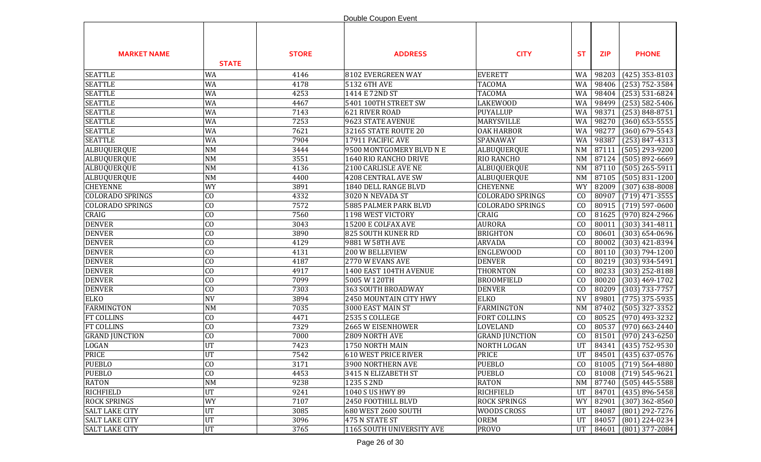|                         |                |              | Double Coupon Event         |                         |                        |            |                             |
|-------------------------|----------------|--------------|-----------------------------|-------------------------|------------------------|------------|-----------------------------|
| <b>MARKET NAME</b>      | <b>STATE</b>   | <b>STORE</b> | <b>ADDRESS</b>              | <b>CITY</b>             | <b>ST</b>              | <b>ZIP</b> | <b>PHONE</b>                |
| <b>SEATTLE</b>          | WA             | 4146         | 8102 EVERGREEN WAY          | <b>EVERETT</b>          | WA                     | 98203      | $(425)$ 353-8103            |
| <b>SEATTLE</b>          | WA             | 4178         | 5132 6TH AVE                | <b>TACOMA</b>           | WA                     | 98406      | $(253) 752 - 3584$          |
| <b>SEATTLE</b>          | WA             | 4253         | 1414 E 72ND ST              | <b>TACOMA</b>           | WA                     | 98404      | $(253) 531 - 6824$          |
| <b>SEATTLE</b>          | WA             | 4467         | 5401 100TH STREET SW        | <b>LAKEWOOD</b>         | WA                     | 98499      | $(253) 582 - 5406$          |
| <b>SEATTLE</b>          | WA             | 7143         | 621 RIVER ROAD              | <b>PUYALLUP</b>         | WA                     | 98371      | $(253) 848 - 8751$          |
| <b>SEATTLE</b>          | WA             | 7253         | 9623 STATE AVENUE           | MARYSVILLE              | WA                     | 98270      | $(360)$ 653-5555            |
| <b>SEATTLE</b>          | WA             | 7621         | 32165 STATE ROUTE 20        | <b>OAK HARBOR</b>       | WA                     | 98277      | $(360)$ 679-5543            |
| <b>SEATTLE</b>          | WA             | 7904         | 17911 PACIFIC AVE           | SPANAWAY                | WA                     | 98387      | $(253) 847 - 4313$          |
| ALBUQUERQUE             | <b>NM</b>      | 3444         | 9500 MONTGOMERY BLVD N E    | ALBUQUERQUE             | $\mathbf{N}\mathbf{M}$ | 87111      | $(505)$ 293-9200            |
| ALBUQUERQUE             | <b>NM</b>      | 3551         | 1640 RIO RANCHO DRIVE       | RIO RANCHO              | $\mathbf{N}\mathbf{M}$ | 87124      | $(505) 892 - 6669$          |
| ALBUQUERQUE             | <b>NM</b>      | 4136         | 2100 CARLISLE AVE NE        | ALBUQUERQUE             | $\textsf{NM}$          | 87110      | $(505)$ 265-5911            |
| ALBUQUERQUE             | <b>NM</b>      | 4400         | 4208 CENTRAL AVE SW         | ALBUQUERQUE             | NM                     | 87105      | $(505) 831 - 1200$          |
| <b>CHEYENNE</b>         | <b>WY</b>      | 3891         | 1840 DELL RANGE BLVD        | <b>CHEYENNE</b>         | WY                     | 82009      | $(307)$ 638-8008            |
| <b>COLORADO SPRINGS</b> | $\overline{C}$ | 4332         | 3020 N NEVADA ST            | <b>COLORADO SPRINGS</b> | CO                     | 80907      | $(719)$ 471-3555            |
| <b>COLORADO SPRINGS</b> | CO             | 7572         | 5885 PALMER PARK BLVD       | COLORADO SPRINGS        | CO                     | 80915      | $(719) 597 - 0600$          |
| CRAIG                   | $\overline{C}$ | 7560         | 1198 WEST VICTORY           | CRAIG                   | CO                     | 81625      | $\overline{(970)}$ 824-2966 |
| <b>DENVER</b>           | CO             | 3043         | 15200 E COLFAX AVE          | <b>AURORA</b>           | CO                     | 80011      | $(303)$ 341-4811            |
| <b>DENVER</b>           | $\overline{C}$ | 3890         | 825 SOUTH KUNER RD          | <b>BRIGHTON</b>         | C <sub>0</sub>         | 80601      | $(303) 654 - 0696$          |
| <b>DENVER</b>           | C <sub>0</sub> | 4129         | 9881 W 58TH AVE             | <b>ARVADA</b>           | C <sub>0</sub>         | 80002      | $(303)$ 421-8394            |
| <b>DENVER</b>           | CO             | 4131         | 200 W BELLEVIEW             | <b>ENGLEWOOD</b>        | C <sub>0</sub>         | 80110      | $(303) 794 - 1200$          |
| <b>DENVER</b>           | CO             | 4187         | 2770 W EVANS AVE            | <b>DENVER</b>           | C <sub>0</sub>         | 80219      | $(303)$ 934-5491            |
| <b>DENVER</b>           | C <sub>0</sub> | 4917         | 1400 EAST 104TH AVENUE      | THORNTON                | C <sub>0</sub>         | 80233      | $(303)$ 252-8188            |
| <b>DENVER</b>           | C <sub>0</sub> | 7099         | 5005 W 120TH                | <b>BROOMFIELD</b>       | C <sub>0</sub>         | 80020      | $(303)$ 469-1702            |
| <b>DENVER</b>           | C <sub>0</sub> | 7303         | 363 SOUTH BROADWAY          | <b>DENVER</b>           | CO                     | 80209      | $(303) 733 - 7757$          |
| <b>ELKO</b>             | <b>NV</b>      | 3894         | 2450 MOUNTAIN CITY HWY      | <b>ELKO</b>             | <b>NV</b>              | 89801      | $(775)$ 375-5935            |
| <b>FARMINGTON</b>       | <b>NM</b>      | 7035         | 3000 EAST MAIN ST           | <b>FARMINGTON</b>       | $\textsf{NM}$          | 87402      | $(505)$ 327-3352            |
| <b>FT COLLINS</b>       | C <sub>0</sub> | 4471         | 2535 S COLLEGE              | <b>FORT COLLINS</b>     | C <sub>0</sub>         | 80525      | $(970)$ 493-3232            |
| FT COLLINS              | <b>CO</b>      | 7329         | 2665 W EISENHOWER           | LOVELAND                | C <sub>0</sub>         | 80537      | $(970)$ 663-2440            |
| <b>GRAND JUNCTION</b>   | <b>CO</b>      | 7000         | 2809 NORTH AVE              | <b>GRAND JUNCTION</b>   | C <sub>0</sub>         | 81501      | $(970)$ 243-6250            |
| <b>LOGAN</b>            | <b>UT</b>      | 7423         | 1750 NORTH MAIN             | NORTH LOGAN             | UT                     |            | 84341 (435) 752-9530        |
| <b>PRICE</b>            | UT             | 7542         | <b>610 WEST PRICE RIVER</b> | PRICE                   | UT                     |            | 84501 (435) 637-0576        |
| <b>PUEBLO</b>           | <b>CO</b>      | 3171         | 3900 NORTHERN AVE           | <b>PUEBLO</b>           | CO                     | 81005      | $(719) 564 - 4880$          |
| <b>PUEBLO</b>           | CO             | 4453         | 3415 N ELIZABETH ST         | <b>PUEBLO</b>           | CO                     | 81008      | $(719) 545 - 9621$          |
| <b>RATON</b>            | <b>NM</b>      | 9238         | 1235 S 2ND                  | <b>RATON</b>            | NM                     | 87740      | $(505)$ 445-5588            |
| <b>RICHFIELD</b>        | UT             | 9241         | 1040 S US HWY 89            | <b>RICHFIELD</b>        | UT                     | 84701      | $(435) 896 - 5458$          |
| <b>ROCK SPRINGS</b>     | WY             | 7107         | 2450 FOOTHILL BLVD          | <b>ROCK SPRINGS</b>     | WY                     | 82901      | $(307)$ 362-8560            |
| <b>SALT LAKE CITY</b>   | UT             | 3085         | 680 WEST 2600 SOUTH         | <b>WOODS CROSS</b>      | UT                     | 84087      | (801) 292-7276              |
| <b>SALT LAKE CITY</b>   | UT             | 3096         | 475 N STATE ST              | OREM                    | UT                     | 84057      | $(801)$ 224-0234            |
| <b>SALT LAKE CITY</b>   | UT             | 3765         | 1165 SOUTH UNIVERSITY AVE   | <b>PROVO</b>            | <b>UT</b>              | 84601      | $(801)$ 377-2084            |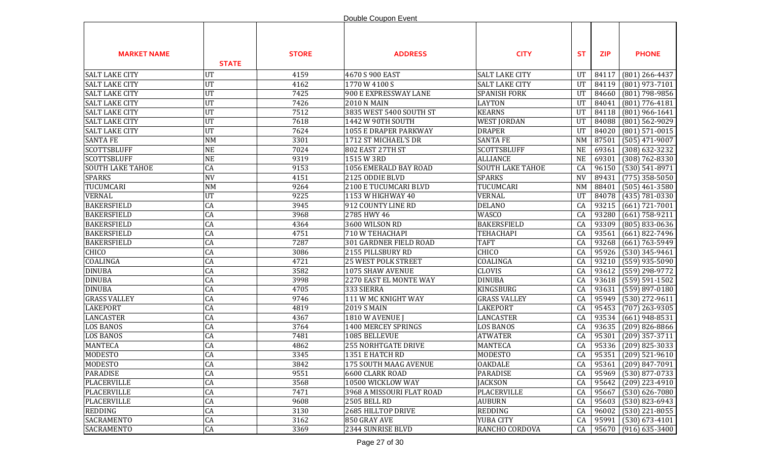|                         |               |              | Double Coupon Event          |                         |            |            |                      |
|-------------------------|---------------|--------------|------------------------------|-------------------------|------------|------------|----------------------|
| <b>MARKET NAME</b>      | <b>STATE</b>  | <b>STORE</b> | <b>ADDRESS</b>               | <b>CITY</b>             | <b>ST</b>  | <b>ZIP</b> | <b>PHONE</b>         |
| <b>SALT LAKE CITY</b>   | <b>UT</b>     | 4159         | 4670 S 900 EAST              | <b>SALT LAKE CITY</b>   | UT         | 84117      | $(801)$ 266-4437     |
| <b>SALT LAKE CITY</b>   | <b>UT</b>     | 4162         | 1770 W 4100 S                | <b>SALT LAKE CITY</b>   | UT         | 84119      | $(801)$ 973-7101     |
| <b>SALT LAKE CITY</b>   | <b>UT</b>     | 7425         | 900 E EXPRESSWAY LANE        | <b>SPANISH FORK</b>     | UT         | 84660      | (801) 798-9856       |
| <b>SALT LAKE CITY</b>   | UT            | 7426         | <b>2010 N MAIN</b>           | <b>LAYTON</b>           | UT         | 84041      | $(801)$ 776-4181     |
| <b>SALT LAKE CITY</b>   | UT            | 7512         | 3835 WEST 5400 SOUTH ST      | <b>KEARNS</b>           | UT         | 84118      | $(801)$ 966-1641     |
| <b>SALT LAKE CITY</b>   | <b>UT</b>     | 7618         | 1442 W 90TH SOUTH            | <b>WEST JORDAN</b>      | UT         | 84088      | $(801)$ 562-9029     |
| <b>SALT LAKE CITY</b>   | <b>UT</b>     | 7624         | <b>1055 E DRAPER PARKWAY</b> | <b>DRAPER</b>           | UT         | 84020      | $(801)$ 571-0015     |
| <b>SANTA FE</b>         | $\textsf{NM}$ | 3301         | 1712 ST MICHAEL'S DR         | <b>SANTA FE</b>         | <b>NM</b>  | 87501      | $(505)$ 471-9007     |
| <b>SCOTTSBLUFF</b>      | <b>NE</b>     | 7024         | <b>802 EAST 27TH ST</b>      | <b>SCOTTSBLUFF</b>      | <b>NE</b>  | 69361      | $(308)$ 632-3232     |
| <b>SCOTTSBLUFF</b>      | <b>NE</b>     | 9319         | 1515 W 3RD                   | <b>ALLIANCE</b>         | <b>NE</b>  | 69301      | $(308) 762 - 8330$   |
| <b>SOUTH LAKE TAHOE</b> | CA            | 9153         | 1056 EMERALD BAY ROAD        | <b>SOUTH LAKE TAHOE</b> | CA         | 96150      | $(530) 541 - 8971$   |
| <b>SPARKS</b>           | <b>NV</b>     | 4151         | 2125 ODDIE BLVD              | <b>SPARKS</b>           | <b>NV</b>  | 89431      | $(775)$ 358-5050     |
| TUCUMCARI               | NM            | 9264         | 2100 E TUCUMCARI BLVD        | TUCUMCARI               | <b>NM</b>  | 88401      | $(505)$ 461-3580     |
| <b>VERNAL</b>           | <b>UT</b>     | 9225         | 1153 W HIGHWAY 40            | <b>VERNAL</b>           | UT         | 84078      | $(435) 781 - 0330$   |
| <b>BAKERSFIELD</b>      | CA            | 3945         | 912 COUNTY LINE RD           | <b>DELANO</b>           | CA         | 93215      | $(661)$ 721-7001     |
| <b>BAKERSFIELD</b>      | CA            | 3968         | 2785 HWY 46                  | <b>WASCO</b>            | CA         | 93280      | $(661) 758 - 9211$   |
| <b>BAKERSFIELD</b>      | CA            | 4364         | 3600 WILSON RD               | <b>BAKERSFIELD</b>      | CA         | 93309      | $(805) 833 - 0636$   |
| <b>BAKERSFIELD</b>      | CA            | 4751         | 710 W TEHACHAPI              | <b>TEHACHAPI</b>        | CA         | 93561      | $(661)$ 822-7496     |
| <b>BAKERSFIELD</b>      | CA            | 7287         | 301 GARDNER FIELD ROAD       | <b>TAFT</b>             | CA         | 93268      | $(661) 763 - 5949$   |
| CHICO                   | CA            | 3086         | 2155 PILLSBURY RD            | CHICO                   | CA         | 95926      | $(530)$ 345-9461     |
| COALINGA                | CA            | 4721         | <b>25 WEST POLK STREET</b>   | COALINGA                | CA         | 93210      | $(559)$ 935-5090     |
| <b>DINUBA</b>           | CA            | 3582         | 1075 SHAW AVENUE             | <b>CLOVIS</b>           | CA         | 93612      | (559) 298-9772       |
| <b>DINUBA</b>           | CA            | 3998         | 2270 EAST EL MONTE WAY       | <b>DINUBA</b>           | CA         | 93618      | $(559) 591 - 1502$   |
| <b>DINUBA</b>           | CA            | 4705         | 333 SIERRA                   | KINGSBURG               | CA         | 93631      | $(559)$ 897-0180     |
| <b>GRASS VALLEY</b>     | CA            | 9746         | 111 W MC KNIGHT WAY          | <b>GRASS VALLEY</b>     | CA         | 95949      | $(530)$ 272-9611     |
| <b>LAKEPORT</b>         | CA            | 4819         | <b>2019 S MAIN</b>           | <b>LAKEPORT</b>         | CA         | 95453      | $(707)$ 263-9305     |
| <b>LANCASTER</b>        | CA            | 4367         | 1810 W AVENUE J              | <b>LANCASTER</b>        | CA         | 93534      | $(661)$ 948-8531     |
| <b>LOS BANOS</b>        | CA            | 3764         | 1400 MERCEY SPRINGS          | LOS BANOS               | CA         | 93635      | $(209)$ 826-8866     |
| <b>LOS BANOS</b>        | CA            | 7481         | 1085 BELLEVUE                | <b>ATWATER</b>          | CA         | 95301      | $(209)$ 357-3711     |
| <b>MANTECA</b>          | CA            | 4862         | <b>255 NORHTGATE DRIVE</b>   | <b>MANTECA</b>          | CA         | 95336      | $(209)$ 825-3033     |
| MODESTO                 | CA            | 3345         | 1351 E HATCH RD              | MODESTO                 | ${\rm CA}$ |            | 95351 (209) 521-9610 |
| <b>MODESTO</b>          | CA            | 3842         | 175 SOUTH MAAG AVENUE        | <b>OAKDALE</b>          | CA         | 95361      | $(209)$ 847-7091     |
| <b>PARADISE</b>         | CA            | 9551         | 6600 CLARK ROAD              | <b>PARADISE</b>         | CA         | 95969      | $(530)$ 877-0733     |
| <b>PLACERVILLE</b>      | CA            | 3568         | 10500 WICKLOW WAY            | <b>JACKSON</b>          | CA         | 95642      | $(209)$ 223-4910     |
| <b>PLACERVILLE</b>      | CA            | 7471         | 3968 A MISSOURI FLAT ROAD    | <b>PLACERVILLE</b>      | CA         | 95667      | $(530) 626 - 7080$   |
| <b>PLACERVILLE</b>      | CA            | 9608         | <b>2505 BELL RD</b>          | <b>AUBURN</b>           | CA         | 95603      | $(530)$ 823-6943     |
| <b>REDDING</b>          | CA            | 3130         | 2685 HILLTOP DRIVE           | <b>REDDING</b>          | CA         | 96002      | $(530)$ 221-8055     |
| <b>SACRAMENTO</b>       | CA            | 3162         | 850 GRAY AVE                 | YUBA CITY               | CA         | 95991      | $(530) 673 - 4101$   |
| <b>SACRAMENTO</b>       | CA            | 3369         | 2344 SUNRISE BLVD            | RANCHO CORDOVA          | CA         | 95670      | $(916)$ 635-3400     |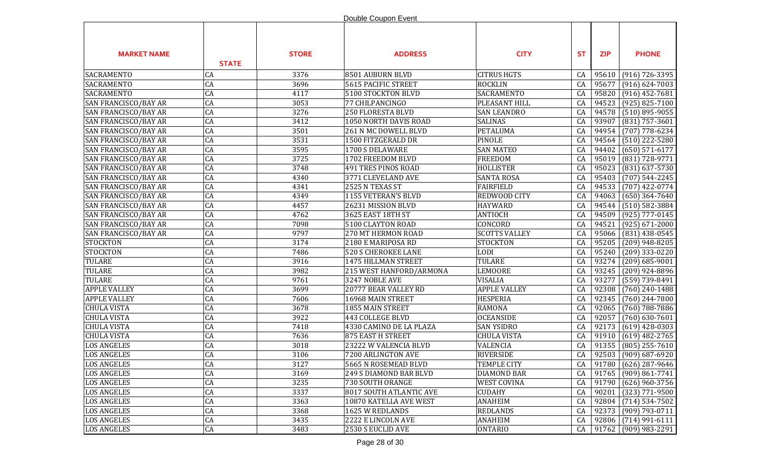|                             |              |              | Double Coupon Event        |                      |            |            |                      |
|-----------------------------|--------------|--------------|----------------------------|----------------------|------------|------------|----------------------|
| <b>MARKET NAME</b>          | <b>STATE</b> | <b>STORE</b> | <b>ADDRESS</b>             | <b>CITY</b>          | <b>ST</b>  | <b>ZIP</b> | <b>PHONE</b>         |
| <b>SACRAMENTO</b>           | CA           | 3376         | 8501 AUBURN BLVD           | <b>CITRUS HGTS</b>   | CA         | 95610      | $(916) 726 - 3395$   |
| <b>SACRAMENTO</b>           | CA           | 3696         | 5615 PACIFIC STREET        | <b>ROCKLIN</b>       | CA         | 95677      | $(916) 624 - 7003$   |
| <b>SACRAMENTO</b>           | CA           | 4117         | 5100 STOCKTON BLVD         | SACRAMENTO           | CA         | 95820      | $(916)$ 452-7681     |
| SAN FRANCISCO/BAY AR        | CA           | 3053         | 77 CHILPANCINGO            | PLEASANT HILL        | CA         | 94523      | $(925) 825 - 7100$   |
| SAN FRANCISCO/BAY AR        | CA           | 3276         | 250 FLORESTA BLVD          | <b>SAN LEANDRO</b>   | CA         | 94578      | $(510)$ 895-9055     |
| SAN FRANCISCO/BAY AR        | CA           | 3412         | 1050 NORTH DAVIS ROAD      | <b>SALINAS</b>       | CA         | 93907      | $(831)$ 757-3601     |
| SAN FRANCISCO/BAY AR        | CA           | 3501         | 261 N MC DOWELL BLVD       | <b>PETALUMA</b>      | CA         | 94954      | $(707)$ 778-6234     |
| SAN FRANCISCO/BAY AR        | CA           | 3531         | 1500 FITZGERALD DR         | PINOLE               | CA         | 94564      | $(510)$ 222-5280     |
| SAN FRANCISCO/BAY AR        | CA           | 3595         | 1700 S DELAWARE            | <b>SAN MATEO</b>     | CA         | 94402      | $(650) 571-6177$     |
| SAN FRANCISCO/BAY AR        | CA           | 3725         | 1702 FREEDOM BLVD          | <b>FREEDOM</b>       | CA         | 95019      | (831) 728-9771       |
| <b>SAN FRANCISCO/BAY AR</b> | CA           | 3748         | 491 TRES PINOS ROAD        | <b>HOLLISTER</b>     | CA         | 95023      | (831) 637-5730       |
| SAN FRANCISCO/BAY AR        | CA           | 4340         | 3771 CLEVELAND AVE         | <b>SANTA ROSA</b>    | CA         | 95403      | $(707) 544 - 2245$   |
| <b>SAN FRANCISCO/BAY AR</b> | CA           | 4341         | 2525 N TEXAS ST            | <b>FAIRFIELD</b>     | CA         | 94533      | $(707)$ 422-0774     |
| <b>SAN FRANCISCO/BAY AR</b> | CA           | 4349         | 1155 VETERAN'S BLVD        | REDWOOD CITY         | CA         | 94063      | $(650)$ 364-7640     |
| <b>SAN FRANCISCO/BAY AR</b> | CA           | 4457         | 26231 MISSION BLVD         | <b>HAYWARD</b>       | CA         | 94544      | $(510) 582 - 3884$   |
| <b>SAN FRANCISCO/BAY AR</b> | CA           | 4762         | 3625 EAST 18TH ST          | <b>ANTIOCH</b>       | CA         | 94509      | (925) 777-0145       |
| <b>SAN FRANCISCO/BAY AR</b> | CA           | 7098         | 5100 CLAYTON ROAD          | CONCORD              | CA         | 94521      | $(925) 671 - 2000$   |
| SAN FRANCISCO/BAY AR        | CA           | 9797         | <b>270 MT HERMON ROAD</b>  | <b>SCOTTS VALLEY</b> | CA         | 95066      | $(831)$ 438-0545     |
| <b>STOCKTON</b>             | CA           | 3174         | 2180 E MARIPOSA RD         | <b>STOCKTON</b>      | CA         | 95205      | $(209)$ 948-8205     |
| <b>STOCKTON</b>             | CA           | 7486         | <b>520 S CHEROKEE LANE</b> | <b>LODI</b>          | CA         | 95240      | $(209)$ 333-0220     |
| <b>TULARE</b>               | CA           | 3916         | 1475 HILLMAN STREET        | <b>TULARE</b>        | CA         | 93274      | $(209) 685 - 9001$   |
| <b>TULARE</b>               | CA           | 3982         | 215 WEST HANFORD/ARMONA    | LEMOORE              | CA         | 93245      | $(209)$ 924-8896     |
| <b>TULARE</b>               | CA           | 9761         | 3247 NOBLE AVE             | <b>VISALIA</b>       | CA         | 93277      | $(559)$ 739-8491     |
| <b>APPLE VALLEY</b>         | CA           | 3699         | 20777 BEAR VALLEY RD       | <b>APPLE VALLEY</b>  | CA         | 92308      | $(760)$ 240-1488     |
| <b>APPLE VALLEY</b>         | CA           | 7606         | 16968 MAIN STREET          | <b>HESPERIA</b>      | CA         | 92345      | $(760)$ 244-7800     |
| <b>CHULA VISTA</b>          | CA           | 3678         | 1855 MAIN STREET           | <b>RAMONA</b>        | CA         | 92065      | $(760)$ 788-7886     |
| <b>CHULA VISTA</b>          | CA           | 3922         | 443 COLLEGE BLVD           | <b>OCEANSIDE</b>     | CA         | 92057      | $(760)$ 630-7601     |
| <b>CHULA VISTA</b>          | CA           | 7418         | 4330 CAMINO DE LA PLAZA    | <b>SAN YSIDRO</b>    | CA         | 92173      | $(619)$ 428-0303     |
| <b>CHULA VISTA</b>          | CA           | 7636         | 875 EAST H STREET          | <b>CHULA VISTA</b>   | CA         | 91910      | $(619)$ 482-2765     |
| <b>LOS ANGELES</b>          | CA           | 3018         | 23222 W VALENCIA BLVD      | VALENCIA             | CA         | 91355      | $(805)$ 255-7610     |
| <b>LOS ANGELES</b>          | CA           | 3106         | 7200 ARLINGTON AVE         | <b>RIVERSIDE</b>     | ${\rm CA}$ |            | 92503 (909) 687-6920 |
| <b>LOS ANGELES</b>          | CA           | 3127         | 5665 N ROSEMEAD BLVD       | <b>TEMPLE CITY</b>   | CA         |            | 91780 (626) 287-9646 |
| <b>LOS ANGELES</b>          | CA           | 3169         | 249 S DIAMOND BAR BLVD     | <b>DIAMOND BAR</b>   | CA         | 91765      | $(909) 861 - 7741$   |
| <b>LOS ANGELES</b>          | CA           | 3235         | 730 SOUTH ORANGE           | <b>WEST COVINA</b>   | CA         | 91790      | $(626)$ 960-3756     |
| <b>LOS ANGELES</b>          | CA           | 3337         | 8017 SOUTH ATLANTIC AVE    | <b>CUDAHY</b>        | CA         | 90201      | $(323)$ 771-9500     |
| <b>LOS ANGELES</b>          | CA           | 3363         | 10870 KATELLA AVE WEST     | <b>ANAHEIM</b>       | CA         | 92804      | $(714)$ 534-7502     |
| <b>LOS ANGELES</b>          | CA           | 3368         | 1625 W REDLANDS            | <b>REDLANDS</b>      | CA         | 92373      | $(909) 793 - 0711$   |
| <b>LOS ANGELES</b>          | ${\rm CA}$   | 3435         | 2222 E LINCOLN AVE         | <b>ANAHEIM</b>       | CA         | 92806      | $(714)$ 991-6111     |
| <b>LOS ANGELES</b>          | CA           | 3483         | 2530 S EUCLID AVE          | <b>ONTARIO</b>       | CA         |            | 91762 (909) 983-2291 |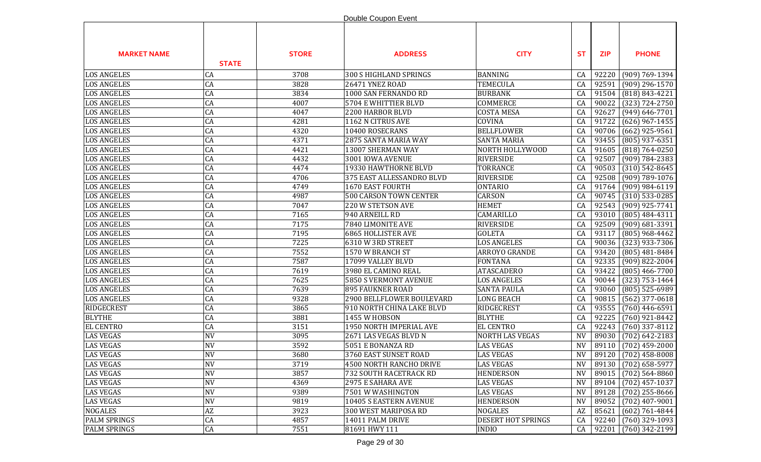|                     |                        |              | Double Coupon Event           |                        |           |            |                      |
|---------------------|------------------------|--------------|-------------------------------|------------------------|-----------|------------|----------------------|
| <b>MARKET NAME</b>  | <b>STATE</b>           | <b>STORE</b> | <b>ADDRESS</b>                | <b>CITY</b>            | <b>ST</b> | <b>ZIP</b> | <b>PHONE</b>         |
| <b>LOS ANGELES</b>  | <b>CA</b>              | 3708         | 300 S HIGHLAND SPRINGS        | <b>BANNING</b>         | CA        | 92220      | $(909) 769 - 1394$   |
| <b>LOS ANGELES</b>  | CA                     | 3828         | 26471 YNEZ ROAD               | <b>TEMECULA</b>        | CA        | 92591      | $(909)$ 296-1570     |
| <b>LOS ANGELES</b>  | CA                     | 3834         | 1000 SAN FERNANDO RD          | <b>BURBANK</b>         | CA        | 91504      | $(818) 843 - 4221$   |
| <b>LOS ANGELES</b>  | CA                     | 4007         | 5704 E WHITTIER BLVD          | COMMERCE               | CA        | 90022      | $(323) 724 - 2750$   |
| <b>LOS ANGELES</b>  | CA                     | 4047         | 2200 HARBOR BLVD              | <b>COSTA MESA</b>      | CA        | 92627      | $(949) 646 - 7701$   |
| <b>LOS ANGELES</b>  | CA                     | 4281         | 1162 N CITRUS AVE             | COVINA                 | CA        | 91722      | $(626)$ 967-1455     |
| <b>LOS ANGELES</b>  | CA                     | 4320         | 10400 ROSECRANS               | <b>BELLFLOWER</b>      | CA        | 90706      | $(662)$ 925-9561     |
| <b>LOS ANGELES</b>  | CA                     | 4371         | 2875 SANTA MARIA WAY          | <b>SANTA MARIA</b>     | CA        | 93455      | $(805)$ 937-6351     |
| <b>LOS ANGELES</b>  | CA                     | 4421         | 13007 SHERMAN WAY             | NORTH HOLLYWOOD        | CA        | 91605      | $(818) 764 - 0250$   |
| <b>LOS ANGELES</b>  | CA                     | 4432         | 3001 IOWA AVENUE              | <b>RIVERSIDE</b>       | CA        | 92507      | $(909) 784 - 2383$   |
| <b>LOS ANGELES</b>  | CA                     | 4474         | 19330 HAWTHORNE BLVD          | <b>TORRANCE</b>        | CA        | 90503      | $(310) 542 - 8645$   |
| <b>LOS ANGELES</b>  | CA                     | 4706         | 375 EAST ALLESSANDRO BLVD     | <b>RIVERSIDE</b>       | CA        | 92508      | (909) 789-1076       |
| <b>LOS ANGELES</b>  | CA                     | 4749         | 1670 EAST FOURTH              | <b>ONTARIO</b>         | CA        | 91764      | $(909)$ 984-6119     |
| <b>LOS ANGELES</b>  | $\overline{CA}$        | 4987         | <b>500 CARSON TOWN CENTER</b> | <b>CARSON</b>          | CA        | 90745      | $(310)$ 533-0285     |
| <b>LOS ANGELES</b>  | CA                     | 7047         | 220 W STETSON AVE             | <b>HEMET</b>           | CA        | 92543      | $(909)$ 925-7741     |
| <b>LOS ANGELES</b>  | CA                     | 7165         | 940 ARNEILL RD                | CAMARILLO              | CA        | 93010      | $(805) 484 - 4311$   |
| <b>LOS ANGELES</b>  | CA                     | 7175         | 7840 LIMONITE AVE             | <b>RIVERSIDE</b>       | CA        | 92509      | $(909)$ 681-3391     |
| <b>LOS ANGELES</b>  | $\overline{CA}$        | 7195         | <b>6865 HOLLISTER AVE</b>     | <b>GOLETA</b>          | CA        | 93117      | $(805)$ 968-4462     |
| <b>LOS ANGELES</b>  | CA                     | 7225         | 6310 W 3RD STREET             | <b>LOS ANGELES</b>     | CA        | 90036      | $(323)$ 933-7306     |
| <b>LOS ANGELES</b>  | CA                     | 7552         | 1570 W BRANCH ST              | ARROYO GRANDE          | CA        | 93420      | $(805)$ 481-8484     |
| <b>LOS ANGELES</b>  | CA                     | 7587         | 17099 VALLEY BLVD             | <b>FONTANA</b>         | CA        | 92335      | $(909)$ 822-2004     |
| <b>LOS ANGELES</b>  | CA                     | 7619         | 3980 EL CAMINO REAL           | <b>ATASCADERO</b>      | CA        | 93422      | $(805)$ 466-7700     |
| <b>LOS ANGELES</b>  | CA                     | 7625         | 5850 S VERMONT AVENUE         | <b>LOS ANGELES</b>     | CA        | 90044      | $(323)$ 753-1464     |
| <b>LOS ANGELES</b>  | CA                     | 7639         | <b>895 FAUKNER ROAD</b>       | <b>SANTA PAULA</b>     | CA        | 93060      | $(805)$ 525-6989     |
| <b>LOS ANGELES</b>  | CA                     | 9328         | 2900 BELLFLOWER BOULEVARD     | <b>LONG BEACH</b>      | CA        | 90815      | $(562)$ 377-0618     |
| <b>RIDGECREST</b>   | CA                     | 3865         | 910 NORTH CHINA LAKE BLVD     | <b>RIDGECREST</b>      | CA        | 93555      | $(760)$ 446-6591     |
| <b>BLYTHE</b>       | CA                     | 3881         | 1455 W HOBSON                 | <b>BLYTHE</b>          | CA        | 92225      | $(760)$ 921-8442     |
| <b>EL CENTRO</b>    | CA                     | 3151         | 1950 NORTH IMPERIAL AVE       | <b>EL CENTRO</b>       | CA        | 92243      | $(760)$ 337-8112     |
| <b>LAS VEGAS</b>    | <b>NV</b>              | 3095         | 2671 LAS VEGAS BLVD N         | <b>NORTH LAS VEGAS</b> | <b>NV</b> | 89030      | $(702)$ 642-2183     |
| <b>LAS VEGAS</b>    | <b>NV</b>              | 3592         | 5051 E BONANZA RD             | <b>LAS VEGAS</b>       | <b>NV</b> | 89110      | $(702)$ 459-2000     |
| <b>LAS VEGAS</b>    | <b>NV</b>              | 3680         | 3760 EAST SUNSET ROAD         | <b>LAS VEGAS</b>       | <b>NV</b> |            | 89120 (702) 458-8008 |
| <b>LAS VEGAS</b>    | <b>NV</b>              | 3719         | 4500 NORTH RANCHO DRIVE       | <b>LAS VEGAS</b>       | NV        |            | 89130 (702) 658-5977 |
| <b>LAS VEGAS</b>    | <b>NV</b>              | 3857         | 732 SOUTH RACETRACK RD        | <b>HENDERSON</b>       | <b>NV</b> | 89015      | $(702)$ 564-8860     |
| <b>LAS VEGAS</b>    | <b>NV</b>              | 4369         | 2975 E SAHARA AVE             | <b>LAS VEGAS</b>       | <b>NV</b> | 89104      | $(702)$ 457-1037     |
| <b>LAS VEGAS</b>    | <b>NV</b>              | 9389         | 7501 W WASHINGTON             | <b>LAS VEGAS</b>       | <b>NV</b> | 89128      | $(702)$ 255-8666     |
| <b>LAS VEGAS</b>    | <b>NV</b>              | 9819         | 10405 S EASTERN AVENUE        | <b>HENDERSON</b>       | <b>NV</b> | 89052      | $(702)$ 407-9001     |
| <b>NOGALES</b>      | $\mathbf{A}\mathbf{Z}$ | 3923         | 300 WEST MARIPOSA RD          | <b>NOGALES</b>         | AZ        | 85621      | $(602) 761 - 4844$   |
| <b>PALM SPRINGS</b> | CA                     | 4857         | 14011 PALM DRIVE              | DESERT HOT SPRINGS     | CA        | 92240      | $(760)$ 329-1093     |
| <b>PALM SPRINGS</b> | CA                     | 7551         | 81691 HWY 111                 | <b>INDIO</b>           | CA        | 92201      | $(760)$ 342-2199     |